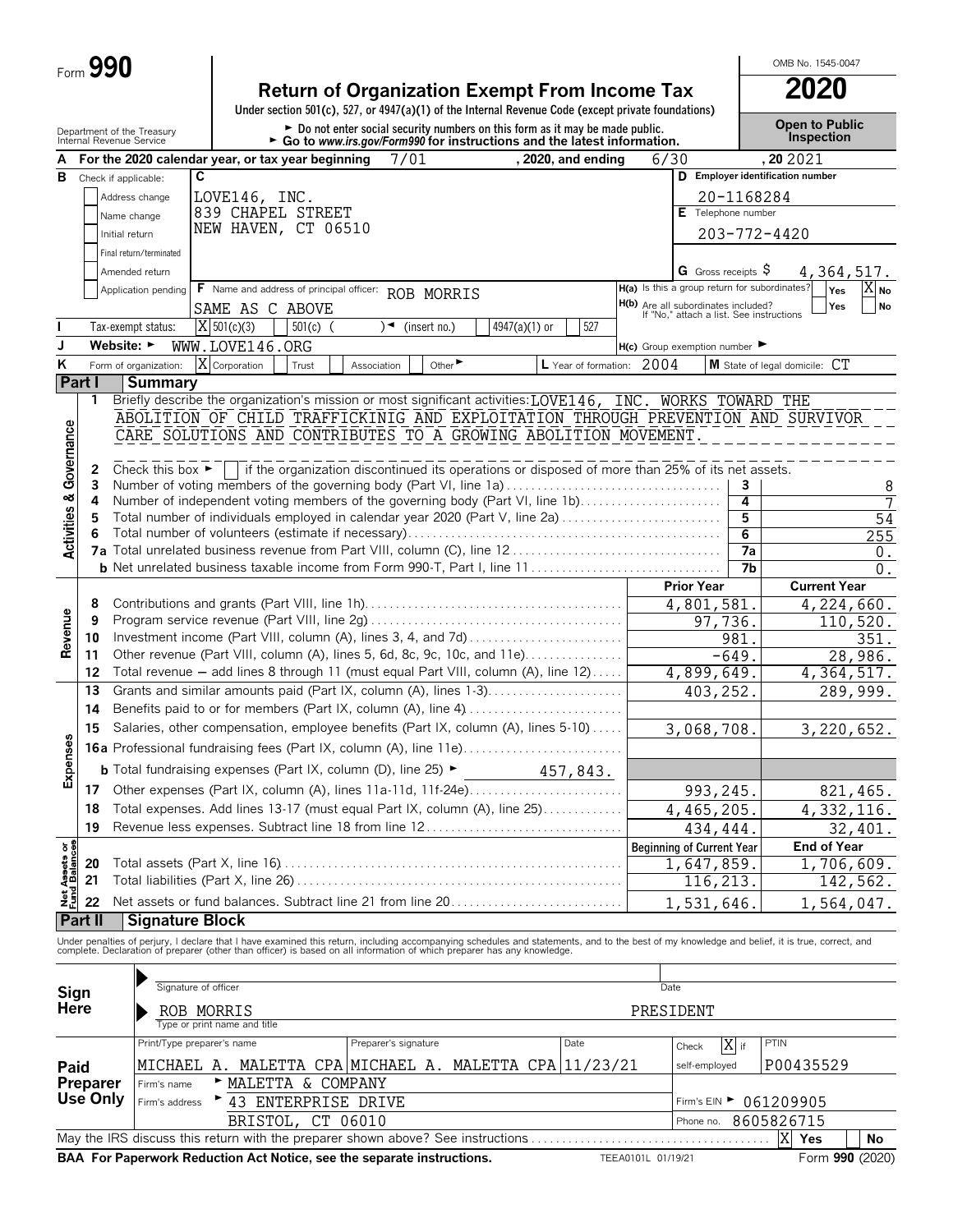| Ο<br>$Form$ $\bar{v}$ |           |
|-----------------------|-----------|
|                       | <b>90</b> |

|                                        | Form $990$ |                                                        |                              |                                                                                                                                                                |                                                                                                                                                           |                             |               |                           |                                                                                 |                | OMB No. 1545-0047                                                                                                                                                                                                                 |
|----------------------------------------|------------|--------------------------------------------------------|------------------------------|----------------------------------------------------------------------------------------------------------------------------------------------------------------|-----------------------------------------------------------------------------------------------------------------------------------------------------------|-----------------------------|---------------|---------------------------|---------------------------------------------------------------------------------|----------------|-----------------------------------------------------------------------------------------------------------------------------------------------------------------------------------------------------------------------------------|
|                                        |            |                                                        |                              | <b>Return of Organization Exempt From Income Tax</b><br>Under section 501(c), 527, or 4947(a)(1) of the Internal Revenue Code (except private foundations)     |                                                                                                                                                           |                             |               |                           |                                                                                 |                | 2020                                                                                                                                                                                                                              |
|                                        |            | Department of the Treasury<br>Internal Revenue Service |                              |                                                                                                                                                                | ► Do not enter social security numbers on this form as it may be made public.<br>► Go to www.irs.gov/Form990 for instructions and the latest information. |                             |               |                           |                                                                                 |                | <b>Open to Public</b><br>Inspection                                                                                                                                                                                               |
|                                        |            |                                                        |                              | For the 2020 calendar year, or tax year beginning                                                                                                              | 7/01                                                                                                                                                      |                             |               | , 2020, and ending        | 6/30                                                                            |                | , 20 20 21                                                                                                                                                                                                                        |
| в                                      |            | Check if applicable:                                   | C                            |                                                                                                                                                                |                                                                                                                                                           |                             |               |                           |                                                                                 |                | D Employer identification number                                                                                                                                                                                                  |
|                                        |            | Address change                                         |                              | LOVE146, INC.                                                                                                                                                  |                                                                                                                                                           |                             |               |                           |                                                                                 | 20-1168284     |                                                                                                                                                                                                                                   |
|                                        |            | Name change                                            |                              | 839 CHAPEL STREET                                                                                                                                              |                                                                                                                                                           |                             |               |                           | E Telephone number                                                              |                |                                                                                                                                                                                                                                   |
|                                        |            | Initial return                                         |                              | NEW HAVEN, CT 06510                                                                                                                                            |                                                                                                                                                           |                             |               |                           |                                                                                 |                | 203-772-4420                                                                                                                                                                                                                      |
|                                        |            | Final return/terminated                                |                              |                                                                                                                                                                |                                                                                                                                                           |                             |               |                           |                                                                                 |                |                                                                                                                                                                                                                                   |
|                                        |            | Amended return                                         |                              |                                                                                                                                                                |                                                                                                                                                           |                             |               |                           | <b>G</b> Gross receipts $\varsigma$                                             |                | 4, 364, 517.                                                                                                                                                                                                                      |
|                                        |            | Application pending                                    |                              | F Name and address of principal officer: ROB MORRIS                                                                                                            |                                                                                                                                                           |                             |               |                           | H(a) Is this a group return for subordinates?                                   |                | $X_{N0}$<br><b>Yes</b>                                                                                                                                                                                                            |
|                                        |            |                                                        |                              | SAME AS C ABOVE                                                                                                                                                |                                                                                                                                                           |                             |               |                           | H(b) Are all subordinates included?<br>If "No," attach a list. See instructions |                | No<br>Yes                                                                                                                                                                                                                         |
|                                        |            | Tax-exempt status:                                     | $X$ 501(c)(3)                | $501(c)$ (                                                                                                                                                     | $\sqrt{\bullet}$ (insert no.)                                                                                                                             |                             | 4947(a)(1) or | 527                       |                                                                                 |                |                                                                                                                                                                                                                                   |
|                                        |            | Website: $\blacktriangleright$                         |                              | WWW.LOVE146.ORG                                                                                                                                                |                                                                                                                                                           |                             |               |                           | $H(c)$ Group exemption number $\blacktriangleright$                             |                |                                                                                                                                                                                                                                   |
| K                                      |            | Form of organization:                                  | X Corporation                | Trust                                                                                                                                                          | Association                                                                                                                                               | Other $\blacktriangleright$ |               | L Year of formation: 2004 |                                                                                 |                | M State of legal domicile: CT                                                                                                                                                                                                     |
|                                        | Part I     | <b>Summary</b>                                         |                              |                                                                                                                                                                |                                                                                                                                                           |                             |               |                           |                                                                                 |                |                                                                                                                                                                                                                                   |
|                                        | 1          |                                                        |                              | Briefly describe the organization's mission or most significant activities: LOVE146, INC. WORKS TOWARD THE                                                     |                                                                                                                                                           |                             |               |                           |                                                                                 |                |                                                                                                                                                                                                                                   |
|                                        |            |                                                        |                              |                                                                                                                                                                |                                                                                                                                                           |                             |               |                           |                                                                                 |                | ABOLITION OF CHILD TRAFFICKINIG AND EXPLOITATION THROUGH PREVENTION AND SURVIVOR                                                                                                                                                  |
|                                        |            |                                                        |                              | CARE SOLUTIONS AND CONTRIBUTES TO A GROWING ABOLITION MOVEMENT                                                                                                 |                                                                                                                                                           |                             |               |                           |                                                                                 |                |                                                                                                                                                                                                                                   |
| <b>Activities &amp; Governance</b>     |            |                                                        |                              |                                                                                                                                                                |                                                                                                                                                           |                             |               |                           |                                                                                 |                |                                                                                                                                                                                                                                   |
|                                        | 2          | Check this box $\blacktriangleright$                   |                              | if the organization discontinued its operations or disposed of more than 25% of its net assets.                                                                |                                                                                                                                                           |                             |               |                           |                                                                                 |                |                                                                                                                                                                                                                                   |
|                                        | 3<br>4     |                                                        |                              | Number of voting members of the governing body (Part VI, line 1a)<br>Number of independent voting members of the governing body (Part VI, line 1b)             |                                                                                                                                                           |                             |               |                           |                                                                                 | 3<br>4         | 8                                                                                                                                                                                                                                 |
|                                        | 5          |                                                        |                              | Total number of individuals employed in calendar year 2020 (Part V, line 2a)                                                                                   |                                                                                                                                                           |                             |               |                           |                                                                                 | 5              | $\overline{54}$                                                                                                                                                                                                                   |
|                                        |            |                                                        |                              |                                                                                                                                                                |                                                                                                                                                           |                             |               |                           |                                                                                 | $\overline{6}$ | 255                                                                                                                                                                                                                               |
|                                        |            |                                                        |                              |                                                                                                                                                                |                                                                                                                                                           |                             |               |                           |                                                                                 | 7a             | $0$ .                                                                                                                                                                                                                             |
|                                        |            |                                                        |                              |                                                                                                                                                                |                                                                                                                                                           |                             |               |                           |                                                                                 | 7b             | 0.                                                                                                                                                                                                                                |
|                                        |            |                                                        |                              |                                                                                                                                                                |                                                                                                                                                           |                             |               |                           | <b>Prior Year</b>                                                               |                | <b>Current Year</b>                                                                                                                                                                                                               |
|                                        | 8          |                                                        |                              |                                                                                                                                                                |                                                                                                                                                           |                             |               |                           | 4,801,581                                                                       |                | 4,224,660.                                                                                                                                                                                                                        |
| Revenue                                | 9          |                                                        |                              |                                                                                                                                                                |                                                                                                                                                           |                             |               |                           | 97,736.                                                                         |                | 110,520.                                                                                                                                                                                                                          |
|                                        | 10         |                                                        |                              | Investment income (Part VIII, column (A), lines 3, 4, and 7d)                                                                                                  |                                                                                                                                                           |                             |               |                           |                                                                                 | 981.           | 351.                                                                                                                                                                                                                              |
|                                        | 11<br>12   |                                                        |                              | Other revenue (Part VIII, column (A), lines 5, 6d, 8c, 9c, 10c, and 11e)<br>Total revenue - add lines 8 through 11 (must equal Part VIII, column (A), line 12) |                                                                                                                                                           |                             |               |                           | 4,899,649.                                                                      | $-649.$        | 28,986.                                                                                                                                                                                                                           |
|                                        | 13         |                                                        |                              | Grants and similar amounts paid (Part IX, column (A), lines 1-3)                                                                                               |                                                                                                                                                           |                             |               |                           | 403,252.                                                                        |                | 4,364,517.                                                                                                                                                                                                                        |
|                                        | 14         |                                                        |                              | Benefits paid to or for members (Part IX, column (A), line 4)                                                                                                  |                                                                                                                                                           |                             |               |                           |                                                                                 |                | 289,999.                                                                                                                                                                                                                          |
|                                        | 15         |                                                        |                              | Salaries, other compensation, employee benefits (Part IX, column (A), lines 5-10)                                                                              |                                                                                                                                                           |                             |               |                           | 3,068,708.                                                                      |                | 3,220,652.                                                                                                                                                                                                                        |
| U)<br>٥                                |            |                                                        |                              | 16a Professional fundraising fees (Part IX, column (A), line 11e).                                                                                             |                                                                                                                                                           |                             |               |                           |                                                                                 |                |                                                                                                                                                                                                                                   |
| Expense                                |            |                                                        |                              |                                                                                                                                                                |                                                                                                                                                           |                             |               |                           |                                                                                 |                |                                                                                                                                                                                                                                   |
|                                        |            |                                                        |                              | <b>b</b> Total fundraising expenses (Part IX, column (D), line 25) $\blacktriangleright$                                                                       |                                                                                                                                                           |                             | 457,843.      |                           |                                                                                 |                |                                                                                                                                                                                                                                   |
|                                        | 17         |                                                        |                              | Other expenses (Part IX, column (A), lines 11a-11d, 11f-24e)                                                                                                   |                                                                                                                                                           |                             |               |                           | 993, 245.                                                                       |                | 821,465.                                                                                                                                                                                                                          |
|                                        | 18         |                                                        |                              | Total expenses. Add lines 13-17 (must equal Part IX, column (A), line 25)                                                                                      |                                                                                                                                                           |                             |               |                           | 4,465,205.                                                                      |                | 4,332,116.                                                                                                                                                                                                                        |
|                                        | 19         |                                                        |                              | Revenue less expenses. Subtract line 18 from line 12                                                                                                           |                                                                                                                                                           |                             |               |                           | 434,444                                                                         |                | 32,401.                                                                                                                                                                                                                           |
|                                        |            |                                                        |                              |                                                                                                                                                                |                                                                                                                                                           |                             |               |                           | <b>Beginning of Current Year</b>                                                |                | <b>End of Year</b>                                                                                                                                                                                                                |
| <b>Net Assets or<br/>Fund Balances</b> | 20         |                                                        |                              |                                                                                                                                                                |                                                                                                                                                           |                             |               |                           | 1,647,859.                                                                      |                | $\overline{1}$ , 706, 609.                                                                                                                                                                                                        |
|                                        | 21         |                                                        |                              |                                                                                                                                                                |                                                                                                                                                           |                             |               |                           | 116,213.                                                                        |                | 142,562.                                                                                                                                                                                                                          |
|                                        | 22         |                                                        |                              |                                                                                                                                                                |                                                                                                                                                           |                             |               |                           | 1,531,646                                                                       |                | 1,564,047.                                                                                                                                                                                                                        |
|                                        | Part II    | <b>Signature Block</b>                                 |                              |                                                                                                                                                                |                                                                                                                                                           |                             |               |                           |                                                                                 |                |                                                                                                                                                                                                                                   |
|                                        |            |                                                        |                              |                                                                                                                                                                |                                                                                                                                                           |                             |               |                           |                                                                                 |                | Under penalties of perjury, I declare that I have examined this return, including accompanying schedules and statements, and to the best of my knowledge and belief, it is true, correct, and<br>complete. Declaration of prepare |
|                                        |            |                                                        |                              |                                                                                                                                                                |                                                                                                                                                           |                             |               |                           |                                                                                 |                |                                                                                                                                                                                                                                   |
| Sign                                   |            |                                                        | Signature of officer         |                                                                                                                                                                |                                                                                                                                                           |                             |               |                           | Date                                                                            |                |                                                                                                                                                                                                                                   |
| Here                                   |            |                                                        | ROB MORRIS                   |                                                                                                                                                                |                                                                                                                                                           |                             |               |                           | PRESIDENT                                                                       |                |                                                                                                                                                                                                                                   |
|                                        |            |                                                        | Type or print name and title |                                                                                                                                                                |                                                                                                                                                           |                             |               |                           |                                                                                 |                |                                                                                                                                                                                                                                   |
|                                        |            |                                                        | Print/Type preparer's name   |                                                                                                                                                                | Preparer's signature                                                                                                                                      |                             |               | Date                      | Check                                                                           | $X$ if         | PTIN                                                                                                                                                                                                                              |
| Paid                                   |            |                                                        |                              | MICHAEL A. MALETTA CPA MICHAEL A. MALETTA CPA 11/23/21                                                                                                         |                                                                                                                                                           |                             |               |                           | self-employed                                                                   |                | P00435529                                                                                                                                                                                                                         |
|                                        |            |                                                        |                              |                                                                                                                                                                |                                                                                                                                                           |                             |               |                           |                                                                                 |                |                                                                                                                                                                                                                                   |

| Firm's name |                         |                                                                 |                                                                        |  |                                                                                                       |     |                                                               |                 |
|-------------|-------------------------|-----------------------------------------------------------------|------------------------------------------------------------------------|--|-------------------------------------------------------------------------------------------------------|-----|---------------------------------------------------------------|-----------------|
|             |                         |                                                                 |                                                                        |  |                                                                                                       |     |                                                               |                 |
|             |                         |                                                                 |                                                                        |  |                                                                                                       |     |                                                               |                 |
|             |                         |                                                                 |                                                                        |  |                                                                                                       | Yes | No                                                            |                 |
|             |                         |                                                                 |                                                                        |  |                                                                                                       |     |                                                               |                 |
|             | Use Only Firm's address | MALETTA & COMPANY<br>► 43 ENTERPRISE DRIVE<br>BRISTOL, CT 06010 | BAA For Paperwork Reduction Act Notice, see the separate instructions. |  | May the IRS discuss this return with the preparer shown above? See instructions<br>TEEA0101L 01/19/21 |     | Firm's EIN $\triangleright$ 061209905<br>Phone no. 8605826715 | Form 990 (2020) |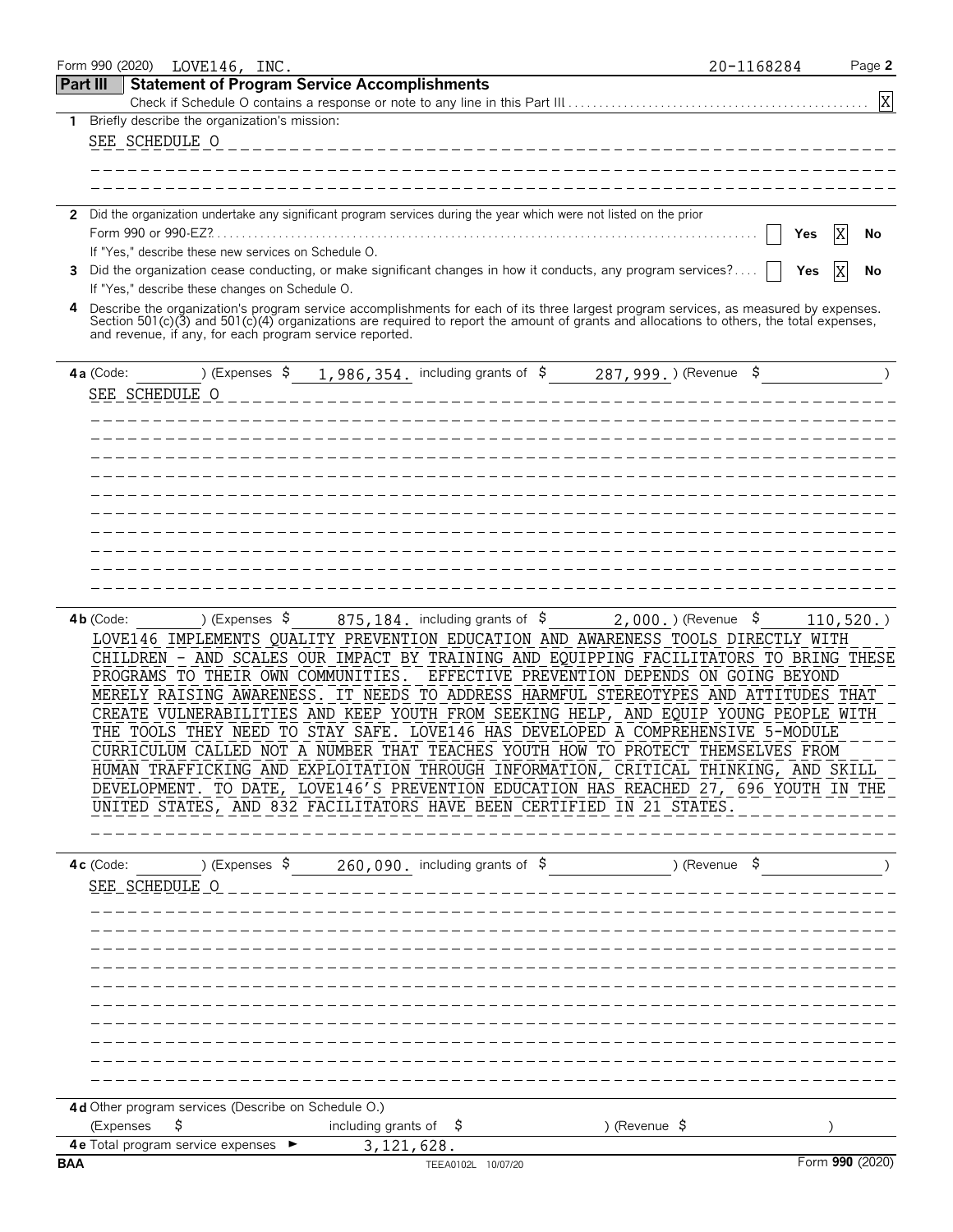|            | Form 990 (2020)<br>LOVE146, INC.                        |                                                                                                                                          | 20-1168284              | Page 2          |
|------------|---------------------------------------------------------|------------------------------------------------------------------------------------------------------------------------------------------|-------------------------|-----------------|
| Part III   |                                                         | <b>Statement of Program Service Accomplishments</b>                                                                                      |                         |                 |
|            |                                                         |                                                                                                                                          |                         | X               |
| 1          | Briefly describe the organization's mission:            |                                                                                                                                          |                         |                 |
|            | SEE SCHEDULE O                                          |                                                                                                                                          |                         |                 |
|            |                                                         |                                                                                                                                          |                         |                 |
|            |                                                         |                                                                                                                                          |                         |                 |
|            |                                                         | 2 Did the organization undertake any significant program services during the year which were not listed on the prior                     |                         |                 |
|            |                                                         |                                                                                                                                          | X<br>Yes                | No              |
|            | If "Yes," describe these new services on Schedule O.    |                                                                                                                                          |                         |                 |
| 3.         |                                                         | Did the organization cease conducting, or make significant changes in how it conducts, any program services?                             | Yes<br>X                | No              |
|            | If "Yes," describe these changes on Schedule O.         |                                                                                                                                          |                         |                 |
| 4          |                                                         | Describe the organization's program service accomplishments for each of its three largest program services, as measured by expenses.     |                         |                 |
|            | and revenue, if any, for each program service reported. | Section 501(c)(3) and 501(c)(4) organizations are required to report the amount of grants and allocations to others, the total expenses, |                         |                 |
|            |                                                         |                                                                                                                                          |                         |                 |
|            | $4a$ (Code:                                             | ) (Expenses $\frac{1}{986}$ , 354. including grants of $\frac{287}{999}$ .) (Revenue $\frac{287}{999}$ .)                                |                         |                 |
|            | SEE SCHEDULE O                                          |                                                                                                                                          |                         |                 |
|            |                                                         |                                                                                                                                          |                         |                 |
|            |                                                         |                                                                                                                                          |                         |                 |
|            |                                                         |                                                                                                                                          |                         |                 |
|            |                                                         |                                                                                                                                          |                         |                 |
|            |                                                         |                                                                                                                                          |                         |                 |
|            |                                                         |                                                                                                                                          |                         |                 |
|            |                                                         |                                                                                                                                          |                         |                 |
|            |                                                         |                                                                                                                                          |                         |                 |
|            |                                                         |                                                                                                                                          |                         |                 |
|            |                                                         | _______________                                                                                                                          |                         |                 |
|            |                                                         |                                                                                                                                          |                         |                 |
|            | ) (Expenses \$<br>$4b$ (Code:                           | $875, 184$ . including grants of $\$$<br>LOVE146 IMPLEMENTS QUALITY PREVENTION EDUCATION AND AWARENESS TOOLS DIRECTLY WITH               | $2,000.$ ) (Revenue $$$ | 110, 520.       |
|            |                                                         | CHILDREN - AND SCALES OUR IMPACT BY TRAINING AND EQUIPPING FACILITATORS TO BRING THESE                                                   |                         |                 |
|            |                                                         | PROGRAMS TO THEIR OWN COMMUNITIES. EFFECTIVE PREVENTION DEPENDS ON GOING BEYOND                                                          |                         |                 |
|            |                                                         | MERELY RAISING AWARENESS. IT NEEDS TO ADDRESS HARMFUL STEREOTYPES AND ATTITUDES THAT                                                     |                         |                 |
|            |                                                         | CREATE VULNERABILITIES AND KEEP YOUTH FROM SEEKING HELP, AND EQUIP YOUNG PEOPLE WITH                                                     |                         |                 |
|            |                                                         | THE TOOLS THEY NEED TO STAY SAFE. LOVE146 HAS DEVELOPED A COMPREHENSIVE 5-MODULE                                                         |                         |                 |
|            |                                                         | CURRICULUM CALLED NOT A NUMBER THAT TEACHES YOUTH HOW TO PROTECT THEMSELVES FROM                                                         |                         |                 |
|            |                                                         | HUMAN TRAFFICKING AND EXPLOITATION THROUGH INFORMATION, CRITICAL THINKING, AND SKILL                                                     |                         |                 |
|            |                                                         | DEVELOPMENT. TO DATE, LOVE146'S PREVENTION EDUCATION HAS REACHED 27, 696 YOUTH IN THE                                                    |                         |                 |
|            |                                                         | UNITED STATES, AND 832 FACILITATORS HAVE BEEN CERTIFIED IN 21 STATES.                                                                    |                         |                 |
|            |                                                         |                                                                                                                                          |                         |                 |
|            |                                                         |                                                                                                                                          |                         |                 |
|            | $4c$ (Code:                                             | ) (Expenses $\sqrt{5}$ 260,090, including grants of $\sqrt{5}$ ) (Revenue $\sqrt{5}$                                                     |                         |                 |
|            | SEE SCHEDULE O                                          |                                                                                                                                          |                         |                 |
|            |                                                         |                                                                                                                                          |                         |                 |
|            |                                                         |                                                                                                                                          |                         |                 |
|            |                                                         |                                                                                                                                          |                         |                 |
|            |                                                         |                                                                                                                                          |                         |                 |
|            |                                                         |                                                                                                                                          |                         |                 |
|            |                                                         |                                                                                                                                          |                         |                 |
|            |                                                         |                                                                                                                                          |                         |                 |
|            |                                                         |                                                                                                                                          |                         |                 |
|            |                                                         |                                                                                                                                          |                         |                 |
|            |                                                         |                                                                                                                                          |                         |                 |
|            | 4d Other program services (Describe on Schedule O.)     |                                                                                                                                          |                         |                 |
|            | (Expenses<br>\$                                         | including grants of $\frac{1}{2}$<br>) (Revenue $\sqrt{5}$                                                                               |                         |                 |
|            | 4 e Total program service expenses ►                    | 3, 121, 628.                                                                                                                             |                         |                 |
| <b>BAA</b> |                                                         | TEEA0102L 10/07/20                                                                                                                       |                         | Form 990 (2020) |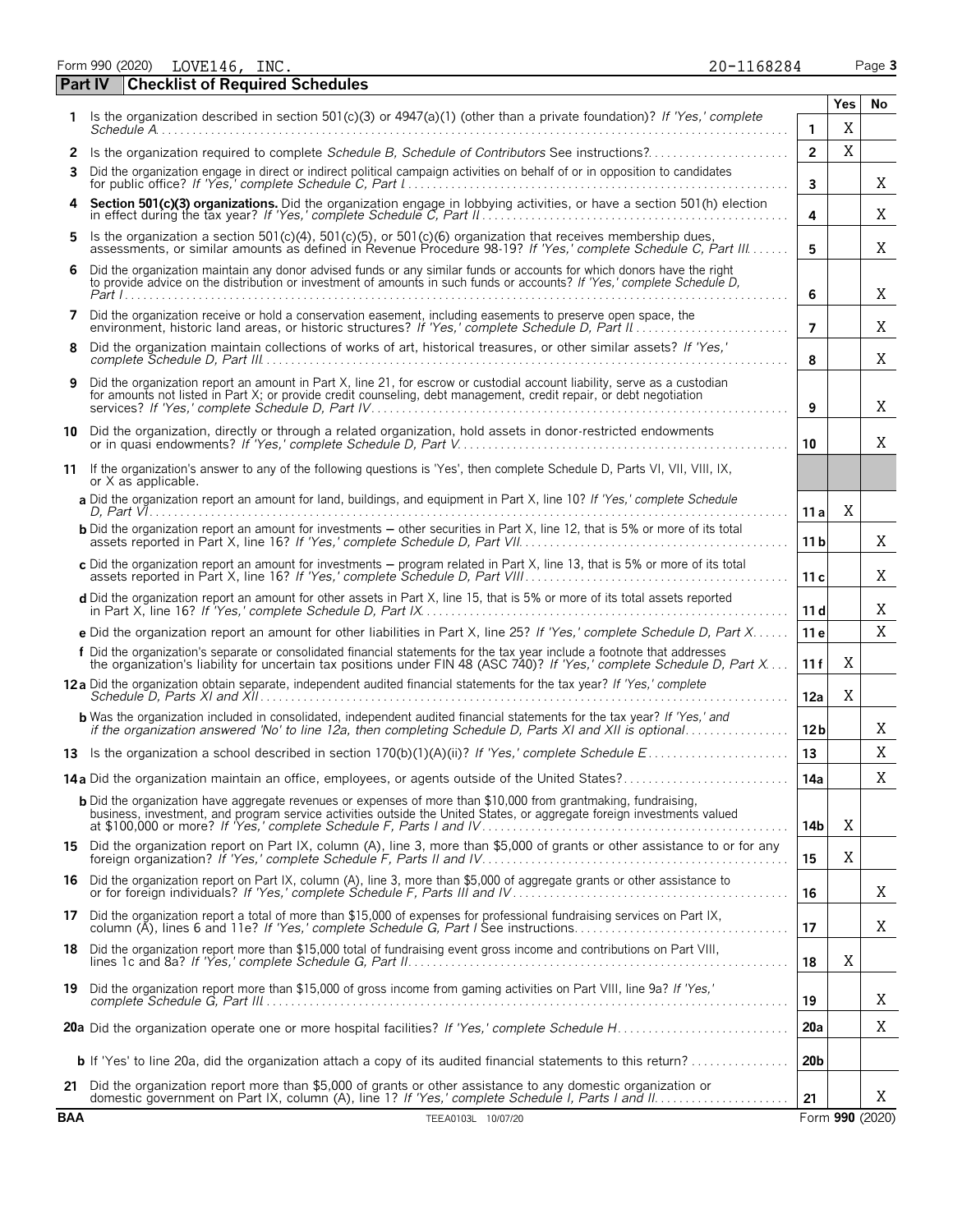Form 990 (2020) Page **3** LOVE146, INC. 20-1168284

|              | Part IV<br><b>Checklist of Required Schedules</b>                                                                                                                                                                                                   |                 |             |    |
|--------------|-----------------------------------------------------------------------------------------------------------------------------------------------------------------------------------------------------------------------------------------------------|-----------------|-------------|----|
|              |                                                                                                                                                                                                                                                     |                 | Yes         | No |
| 1.           | Is the organization described in section 501(c)(3) or 4947(a)(1) (other than a private foundation)? If 'Yes,' complete                                                                                                                              | 1               | X           |    |
| $\mathbf{2}$ | Is the organization required to complete Schedule B, Schedule of Contributors See instructions?                                                                                                                                                     | $\overline{2}$  | X           |    |
| 3            | Did the organization engage in direct or indirect political campaign activities on behalf of or in opposition to candidates                                                                                                                         | 3               |             | Χ  |
| 4            | Section 501(c)(3) organizations. Did the organization engage in lobbying activities, or have a section 501(h) election in effect during the tax year? If 'Yes,' complete Schedule C, Part II                                                        | 4               |             | Χ  |
| 5            | Is the organization a section 501(c)(4), 501(c)(5), or 501(c)(6) organization that receives membership dues,<br>assessments, or similar amounts as defined in Revenue Procedure 98-19? If 'Yes,' complete Schedule C, Part III                      | 5               |             | X  |
| 6            | Did the organization maintain any donor advised funds or any similar funds or accounts for which donors have the right to provide advice on the distribution or investment of amounts in such funds or accounts? If 'Yes,' com                      | 6               |             | X  |
| 7            | Did the organization receive or hold a conservation easement, including easements to preserve open space, the                                                                                                                                       | $\overline{7}$  |             | Χ  |
| 8            | Did the organization maintain collections of works of art, historical treasures, or other similar assets? If 'Yes,'                                                                                                                                 | 8               |             | Χ  |
| 9            | Did the organization report an amount in Part X, line 21, for escrow or custodial account liability, serve as a custodian<br>for amounts not listed in Part X; or provide credit counseling, debt management, credit repair, or debt negotiation    | 9               |             | X  |
|              | 10 Did the organization, directly or through a related organization, hold assets in donor-restricted endowments<br>or in quasi endowments? If 'Yes,' complete Schedule D, Part V.                                                                   | 10              |             | X  |
|              | 11 If the organization's answer to any of the following questions is 'Yes', then complete Schedule D, Parts VI, VII, VIII, IX,<br>or X as applicable.                                                                                               |                 |             |    |
|              | a Did the organization report an amount for land, buildings, and equipment in Part X, line 10? If 'Yes,' complete Schedule<br>D. Part $V_1, \ldots, \ldots, \ldots, \ldots, \ldots, \ldots, \ldots, \ldots$                                         | 11 a            | Χ           |    |
|              | <b>b</b> Did the organization report an amount for investments – other securities in Part X, line 12, that is 5% or more of its total                                                                                                               | 11 b            |             | Χ  |
|              | c Did the organization report an amount for investments - program related in Part X, line 13, that is 5% or more of its total                                                                                                                       | 11c             |             | X  |
|              | d Did the organization report an amount for other assets in Part X, line 15, that is 5% or more of its total assets reported                                                                                                                        | 11d             |             | X  |
|              | e Did the organization report an amount for other liabilities in Part X, line 25? If 'Yes,' complete Schedule D, Part X                                                                                                                             | 11e             |             | X  |
|              | f Did the organization's separate or consolidated financial statements for the tax year include a footnote that addresses<br>the organization's liability for uncertain tax positions under FIN 48 (ASC 740)? If 'Yes,' complete Schedule D, Part X | 11f             | Χ           |    |
|              | 12a Did the organization obtain separate, independent audited financial statements for the tax year? If 'Yes,' complete                                                                                                                             | 12a             | X           |    |
|              | <b>b</b> Was the organization included in consolidated, independent audited financial statements for the tax year? If 'Yes,' and if the organization answered 'No' to line 12a, then completing Schedule D, Parts XI and XII is opt                 | 12 <sub>b</sub> |             | Χ  |
|              |                                                                                                                                                                                                                                                     | 13              |             | X  |
|              |                                                                                                                                                                                                                                                     | 14a             |             | Χ  |
|              | <b>b</b> Did the organization have aggregate revenues or expenses of more than \$10,000 from grantmaking, fundraising,                                                                                                                              | 14b             | X           |    |
|              | 15 Did the organization report on Part IX, column (A), line 3, more than \$5,000 of grants or other assistance to or for any                                                                                                                        | 15              | X           |    |
| 16           | Did the organization report on Part IX, column (A), line 3, more than \$5,000 of aggregate grants or other assistance to                                                                                                                            | 16              |             | X  |
|              | 17 Did the organization report a total of more than \$15,000 of expenses for professional fundraising services on Part IX,<br>column (A), lines 6 and 11e? If 'Yes,' complete Schedule G, Part I See instructions                                   | 17              |             | X  |
| 18.          | Did the organization report more than \$15,000 total of fundraising event gross income and contributions on Part VIII,                                                                                                                              | 18              | $\mathbf X$ |    |
|              | 19 Did the organization report more than \$15,000 of gross income from gaming activities on Part VIII, line 9a? If 'Yes,'                                                                                                                           | 19              |             | Χ  |
|              |                                                                                                                                                                                                                                                     | 20a             |             | Χ  |
|              | <b>b</b> If 'Yes' to line 20a, did the organization attach a copy of its audited financial statements to this return?                                                                                                                               | 20 <sub>b</sub> |             |    |
|              | 21 Did the organization report more than \$5,000 of grants or other assistance to any domestic organization or                                                                                                                                      | 21              |             | X  |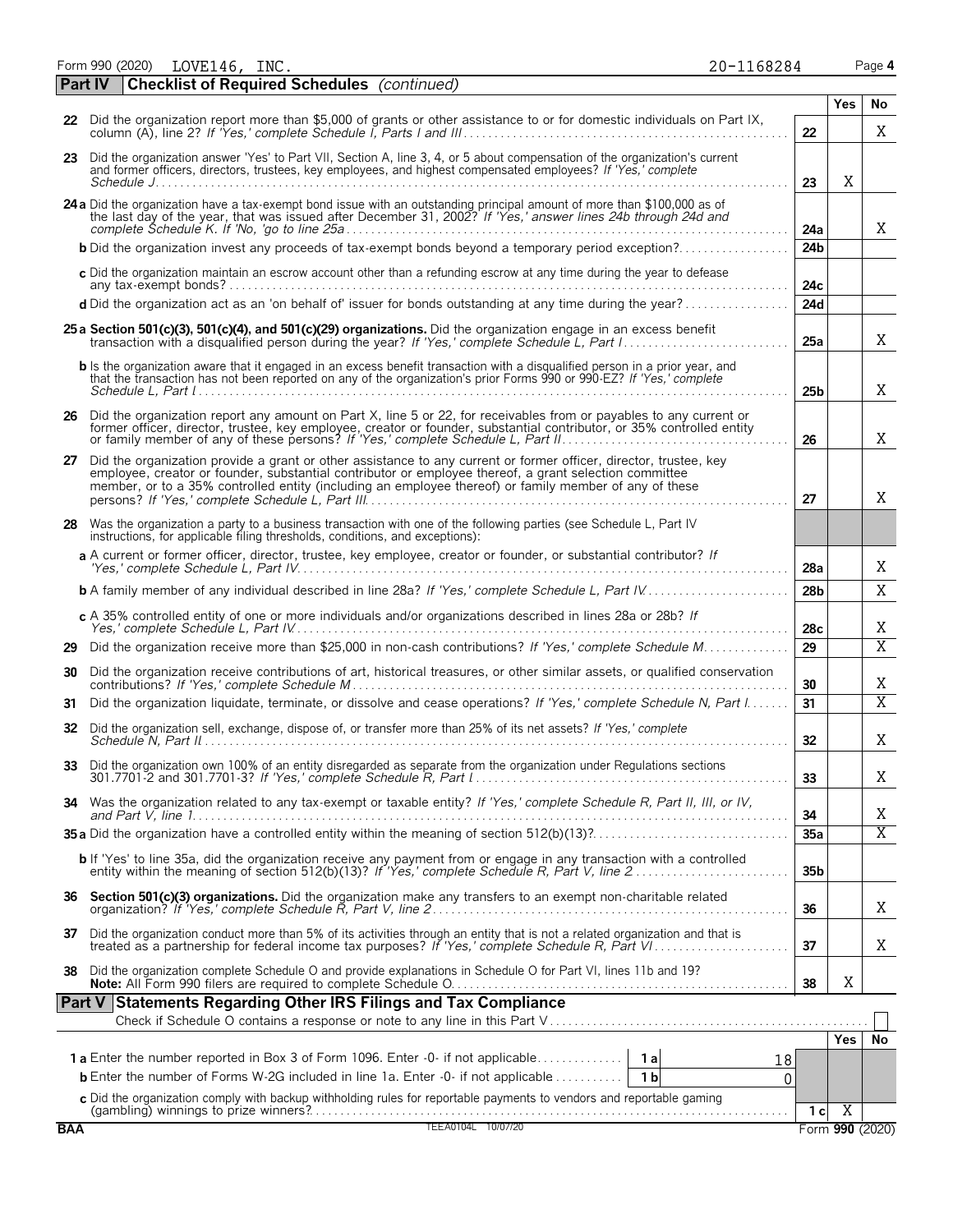Form 990 (2020) LOVE146,INC. 20-1168284 Page **4** LOVE146, INC. 20-1168284

| 20-1168284 |  |  |  |
|------------|--|--|--|
|            |  |  |  |

|            | <b>Checklist of Required Schedules</b> (continued)<br><b>Part IV</b>                                                                                                                                                                                                                                                                  |                 |                |                 |
|------------|---------------------------------------------------------------------------------------------------------------------------------------------------------------------------------------------------------------------------------------------------------------------------------------------------------------------------------------|-----------------|----------------|-----------------|
|            | 22 Did the organization report more than \$5,000 of grants or other assistance to or for domestic individuals on Part IX,                                                                                                                                                                                                             |                 | Yes            | No              |
|            |                                                                                                                                                                                                                                                                                                                                       | 22              |                | X               |
|            | 23 Did the organization answer 'Yes' to Part VII, Section A, line 3, 4, or 5 about compensation of the organization's current<br>and former officers, directors, trustees, key employees, and highest compensated employees? If 'Yes,' complete                                                                                       | 23              | X              |                 |
|            | 24 a Did the organization have a tax-exempt bond issue with an outstanding principal amount of more than \$100,000 as of the last day of the year, that was issued after December 31, 2002? If 'Yes,' answer lines 24b through                                                                                                        | 24a             |                | X               |
|            | <b>b</b> Did the organization invest any proceeds of tax-exempt bonds beyond a temporary period exception?                                                                                                                                                                                                                            | 24 <sub>b</sub> |                |                 |
|            | c Did the organization maintain an escrow account other than a refunding escrow at any time during the year to defease                                                                                                                                                                                                                | 24с             |                |                 |
|            | d Did the organization act as an 'on behalf of' issuer for bonds outstanding at any time during the year?                                                                                                                                                                                                                             | 24d             |                |                 |
|            | 25 a Section 501(c)(3), 501(c)(4), and 501(c)(29) organizations. Did the organization engage in an excess benefit                                                                                                                                                                                                                     | 25a             |                | X               |
|            | <b>b</b> Is the organization aware that it engaged in an excess benefit transaction with a disqualified person in a prior year, and<br>that the transaction has not been reported on any of the organization's prior Forms 990 or 990-EZ? If 'Yes,' complete                                                                          | 25b             |                | Χ               |
|            | 26 Did the organization report any amount on Part X, line 5 or 22, for receivables from or payables to any current or<br>former officer, director, trustee, key employee, creator or founder, substantial contributor, or 35% controlled entity<br>or family member of any of these persons? If 'Yes,' complete Schedule L, Part II   | 26              |                | Χ               |
| 27         | Did the organization provide a grant or other assistance to any current or former officer, director, trustee, key<br>employee, creator or founder, substantial contributor or employee thereof, a grant selection committee<br>member, or to a 35% controlled entity (including an employee thereof) or family member of any of these | 27              |                | Χ               |
|            | 28 Was the organization a party to a business transaction with one of the following parties (see Schedule L, Part IV<br>instructions, for applicable filing thresholds, conditions, and exceptions):                                                                                                                                  |                 |                |                 |
|            | a A current or former officer, director, trustee, key employee, creator or founder, or substantial contributor? If                                                                                                                                                                                                                    | 28a             |                | Χ               |
|            |                                                                                                                                                                                                                                                                                                                                       | 28 <sub>b</sub> |                | X               |
|            | c A 35% controlled entity of one or more individuals and/or organizations described in lines 28a or 28b? If                                                                                                                                                                                                                           | 28c             |                | Χ               |
| 29         | Did the organization receive more than \$25,000 in non-cash contributions? If 'Yes,' complete Schedule M                                                                                                                                                                                                                              | 29              |                | X               |
| 30         | Did the organization receive contributions of art, historical treasures, or other similar assets, or qualified conservation                                                                                                                                                                                                           | 30              |                | Χ               |
| 31         | Did the organization liquidate, terminate, or dissolve and cease operations? If 'Yes,' complete Schedule N, Part I                                                                                                                                                                                                                    | 31              |                | $\overline{X}$  |
|            | 32 Did the organization sell, exchange, dispose of, or transfer more than 25% of its net assets? If 'Yes,' complete                                                                                                                                                                                                                   | 32              |                | Χ               |
| 33         | Did the organization own 100% of an entity disregarded as separate from the organization under Regulations sections                                                                                                                                                                                                                   | 33              |                | Χ               |
|            | 34 Was the organization related to any tax-exempt or taxable entity? If 'Yes,' complete Schedule R, Part II, III, or IV,                                                                                                                                                                                                              | 34              |                | Χ               |
|            |                                                                                                                                                                                                                                                                                                                                       | 35a             |                | $\overline{X}$  |
|            | b If 'Yes' to line 35a, did the organization receive any payment from or engage in any transaction with a controlled<br>entity within the meaning of section 512(b)(13)? If 'Yes,' complete Schedule R, Part V, line 2                                                                                                                | 35 <sub>b</sub> |                |                 |
|            |                                                                                                                                                                                                                                                                                                                                       | 36              |                | Χ               |
|            | 37 Did the organization conduct more than 5% of its activities through an entity that is not a related organization and that is treated as a partnership for federal income tax purposes? If 'Yes,' complete Schedule R, Part                                                                                                         | 37              |                | Χ               |
|            | 38 Did the organization complete Schedule O and provide explanations in Schedule O for Part VI, lines 11b and 19?                                                                                                                                                                                                                     | 38              | X              |                 |
|            | Part V Statements Regarding Other IRS Filings and Tax Compliance                                                                                                                                                                                                                                                                      |                 |                |                 |
|            |                                                                                                                                                                                                                                                                                                                                       |                 | Yes            | No              |
|            | 18                                                                                                                                                                                                                                                                                                                                    |                 |                |                 |
|            | <b>b</b> Enter the number of Forms W-2G included in line 1a. Enter -0- if not applicable<br>1 b<br>0                                                                                                                                                                                                                                  |                 |                |                 |
|            | <b>c</b> Did the organization comply with backup withholding rules for reportable payments to vendors and reportable gaming<br>(gambling) winnings to prize winners?<br>TEEA0104L 10/07/20                                                                                                                                            | 1 <sub>c</sub>  | $\overline{X}$ |                 |
| <b>BAA</b> |                                                                                                                                                                                                                                                                                                                                       |                 |                | Form 990 (2020) |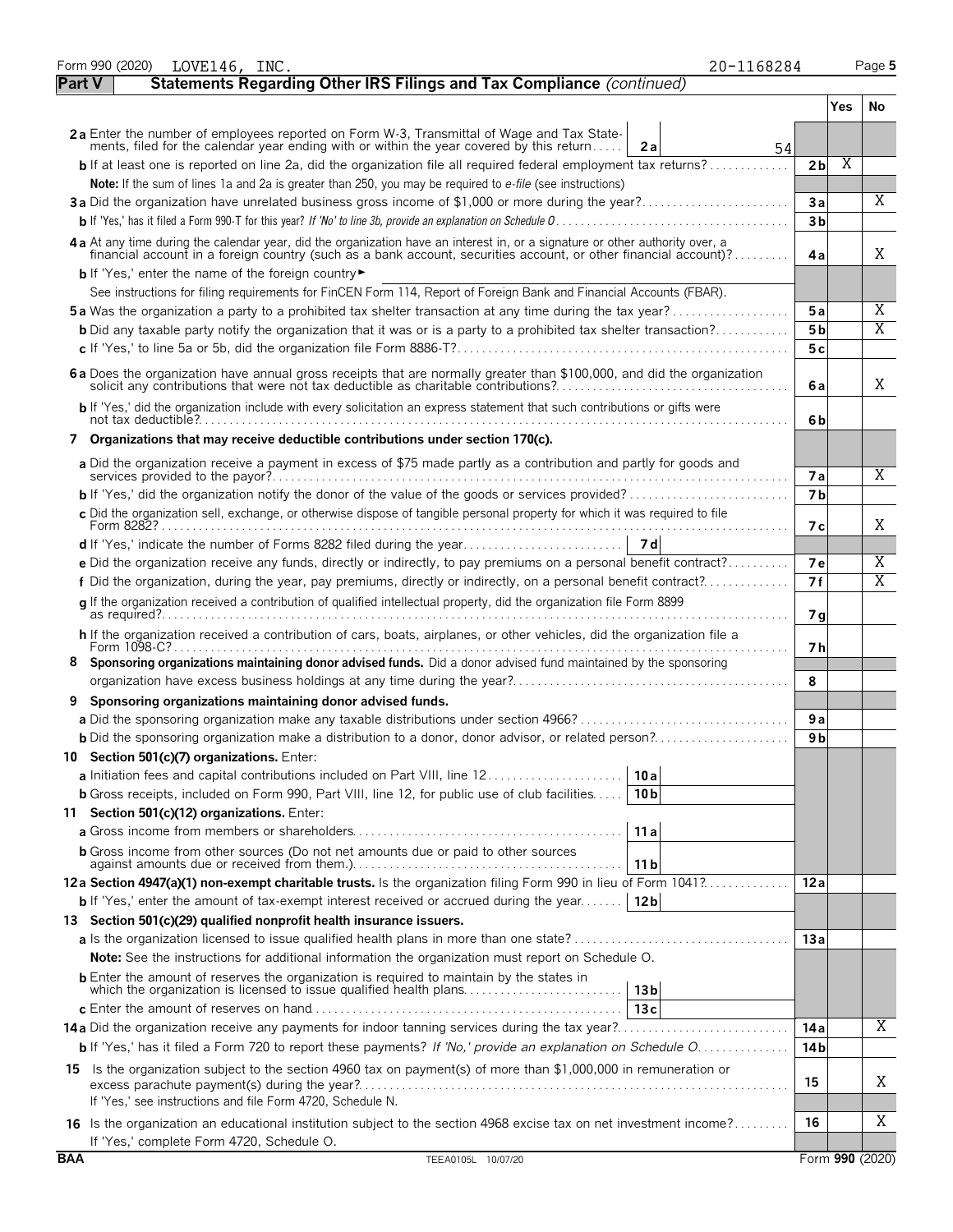|               | Form 990 (2020)<br>20-1168284<br>LOVE146, INC.                                                                                                                                                                                                        |                 |            | Page 5          |
|---------------|-------------------------------------------------------------------------------------------------------------------------------------------------------------------------------------------------------------------------------------------------------|-----------------|------------|-----------------|
| <b>Part V</b> | Statements Regarding Other IRS Filings and Tax Compliance (continued)                                                                                                                                                                                 |                 |            |                 |
|               |                                                                                                                                                                                                                                                       |                 | <b>Yes</b> | No              |
|               | 2a Enter the number of employees reported on Form W-3, Transmittal of Wage and Tax Statements, filed for the calendar year ending with or within the year covered by this return                                                                      |                 |            |                 |
|               | 2a<br>54                                                                                                                                                                                                                                              |                 |            |                 |
|               | <b>b</b> If at least one is reported on line 2a, did the organization file all required federal employment tax returns?                                                                                                                               | 2 <sub>b</sub>  | Χ          |                 |
|               | Note: If the sum of lines 1a and 2a is greater than 250, you may be required to e-file (see instructions)                                                                                                                                             |                 |            |                 |
|               | 3a Did the organization have unrelated business gross income of \$1,000 or more during the year?                                                                                                                                                      | 3a              |            | X               |
|               |                                                                                                                                                                                                                                                       | 3 <sub>b</sub>  |            |                 |
|               | 4a At any time during the calendar year, did the organization have an interest in, or a signature or other authority over, a<br>financial account in a foreign country (such as a bank account, securities account, or other financial account)?      | 4a              |            | X               |
|               | b If 'Yes,' enter the name of the foreign country<br>See instructions for filing requirements for FinCEN Form 114, Report of Foreign Bank and Financial Accounts (FBAR).                                                                              |                 |            |                 |
|               | <b>5a</b> Was the organization a party to a prohibited tax shelter transaction at any time during the tax year?                                                                                                                                       | 5a              |            | $\overline{X}$  |
|               | <b>b</b> Did any taxable party notify the organization that it was or is a party to a prohibited tax shelter transaction?                                                                                                                             | 5 <sub>b</sub>  |            | $\overline{X}$  |
|               |                                                                                                                                                                                                                                                       | 5c              |            |                 |
|               |                                                                                                                                                                                                                                                       |                 |            |                 |
|               | 6 a Does the organization have annual gross receipts that are normally greater than \$100,000, and did the organization                                                                                                                               | 6а              |            | X               |
|               | b If 'Yes,' did the organization include with every solicitation an express statement that such contributions or gifts were                                                                                                                           | 6b              |            |                 |
|               | Organizations that may receive deductible contributions under section 170(c).                                                                                                                                                                         |                 |            |                 |
|               | a Did the organization receive a payment in excess of \$75 made partly as a contribution and partly for goods and                                                                                                                                     |                 |            | $\overline{X}$  |
|               |                                                                                                                                                                                                                                                       | <b>7a</b>       |            |                 |
|               | <b>b</b> If 'Yes,' did the organization notify the donor of the value of the goods or services provided?                                                                                                                                              | 7 <sub>b</sub>  |            |                 |
|               | c Did the organization sell, exchange, or otherwise dispose of tangible personal property for which it was required to file                                                                                                                           | 7 с             |            | X               |
|               |                                                                                                                                                                                                                                                       |                 |            |                 |
|               | e Did the organization receive any funds, directly or indirectly, to pay premiums on a personal benefit contract?                                                                                                                                     | 7е              |            | Χ               |
|               | f Did the organization, during the year, pay premiums, directly or indirectly, on a personal benefit contract?                                                                                                                                        | 7f              |            | X               |
|               | q If the organization received a contribution of qualified intellectual property, did the organization file Form 8899                                                                                                                                 | 7g              |            |                 |
|               | h If the organization received a contribution of cars, boats, airplanes, or other vehicles, did the organization file a                                                                                                                               | 7 h             |            |                 |
| 8             | Sponsoring organizations maintaining donor advised funds. Did a donor advised fund maintained by the sponsoring                                                                                                                                       |                 |            |                 |
|               |                                                                                                                                                                                                                                                       | 8               |            |                 |
|               | Sponsoring organizations maintaining donor advised funds.                                                                                                                                                                                             |                 |            |                 |
|               |                                                                                                                                                                                                                                                       | 9a              |            |                 |
|               | <b>b</b> Did the sponsoring organization make a distribution to a donor, donor advisor, or related person?                                                                                                                                            | 9 <sub>b</sub>  |            |                 |
|               | 10 Section 501(c)(7) organizations. Enter:                                                                                                                                                                                                            |                 |            |                 |
|               | a Initiation fees and capital contributions included on Part VIII, line 12<br>10 a                                                                                                                                                                    |                 |            |                 |
|               | <b>b</b> Gross receipts, included on Form 990, Part VIII, line 12, for public use of club facilities<br>10 <sub>b</sub>                                                                                                                               |                 |            |                 |
|               | 11 Section 501(c)(12) organizations. Enter:                                                                                                                                                                                                           |                 |            |                 |
|               | 11a                                                                                                                                                                                                                                                   |                 |            |                 |
|               | <b>b</b> Gross income from other sources (Do not net amounts due or paid to other sources<br>11 b                                                                                                                                                     |                 |            |                 |
|               | 12a Section 4947(a)(1) non-exempt charitable trusts. Is the organization filing Form 990 in lieu of Form 1041?                                                                                                                                        | 12a             |            |                 |
|               | <b>b</b> If 'Yes,' enter the amount of tax-exempt interest received or accrued during the year<br>12 <sub>b</sub>                                                                                                                                     |                 |            |                 |
|               | 13 Section 501(c)(29) qualified nonprofit health insurance issuers.                                                                                                                                                                                   | 13 a            |            |                 |
|               | <b>Note:</b> See the instructions for additional information the organization must report on Schedule O.                                                                                                                                              |                 |            |                 |
|               | <b>b</b> Enter the amount of reserves the organization is required to maintain by the states in                                                                                                                                                       |                 |            |                 |
|               | 13 <sub>b</sub>                                                                                                                                                                                                                                       |                 |            |                 |
|               | 13c<br><b>c</b> Enter the amount of reserves on hand $\ldots \ldots \ldots \ldots \ldots \ldots \ldots \ldots \ldots \ldots \ldots \ldots$                                                                                                            | 14 a            |            | X               |
|               | <b>14a</b> Did the organization receive any payments for indoor tanning services during the tax year?<br><b>b</b> If 'Yes,' has it filed a Form 720 to report these payments? If 'No,' provide an explanation on Schedule $0, \ldots, \ldots, \ldots$ | 14 <sub>b</sub> |            |                 |
|               |                                                                                                                                                                                                                                                       |                 |            |                 |
|               | 15 Is the organization subject to the section 4960 tax on payment(s) of more than \$1,000,000 in remuneration or                                                                                                                                      | 15              |            | Χ               |
|               | If 'Yes,' see instructions and file Form 4720, Schedule N.                                                                                                                                                                                            |                 |            |                 |
|               | 16 Is the organization an educational institution subject to the section 4968 excise tax on net investment income?                                                                                                                                    | 16              |            | Χ               |
|               | If 'Yes,' complete Form 4720, Schedule O.                                                                                                                                                                                                             |                 |            |                 |
| <b>BAA</b>    | TEEA0105L 10/07/20                                                                                                                                                                                                                                    |                 |            | Form 990 (2020) |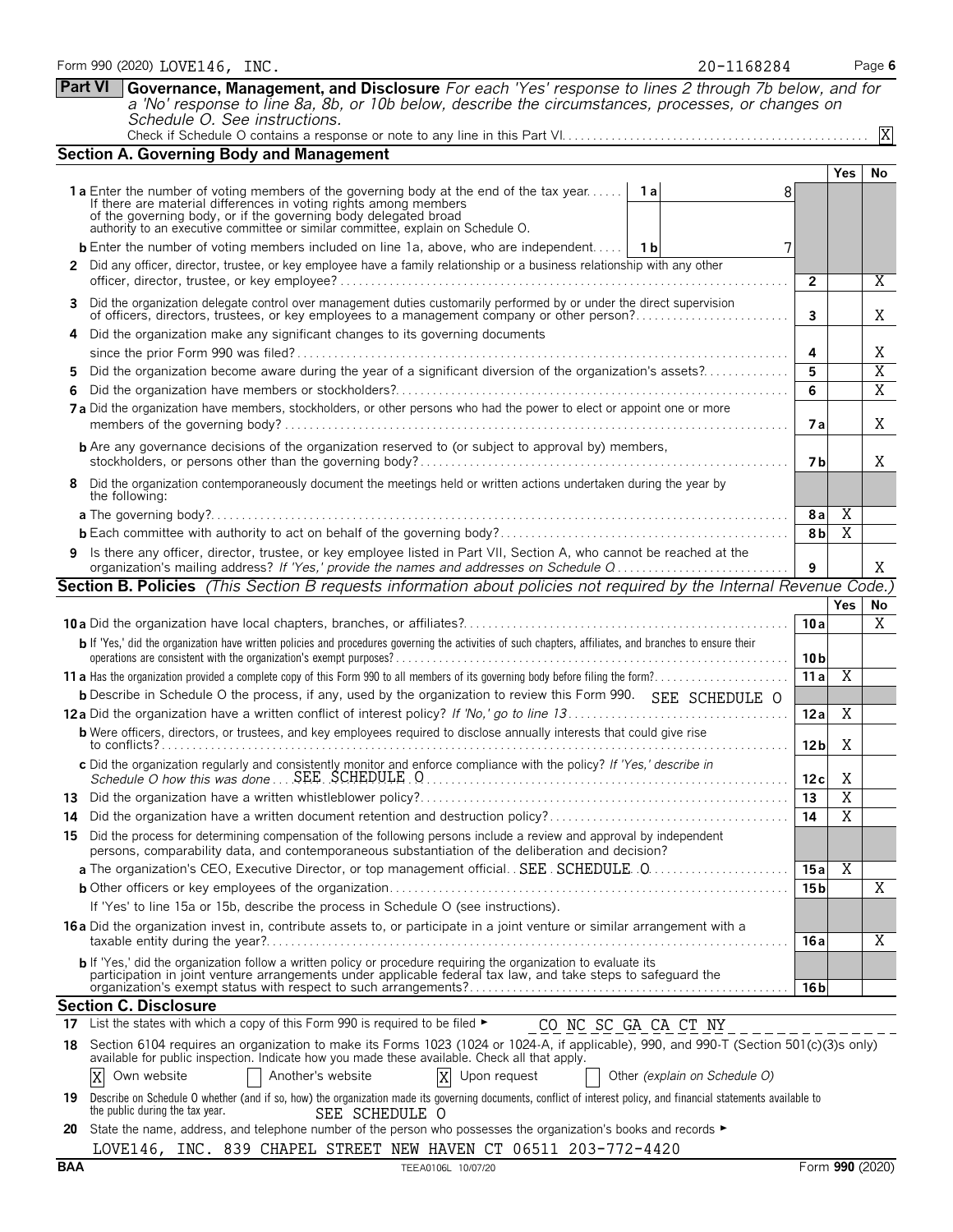|     | Schedule O. See instructions.                                                                                                                                                                                                                                                                                                                 |                 |                         | $\overline{X}$  |
|-----|-----------------------------------------------------------------------------------------------------------------------------------------------------------------------------------------------------------------------------------------------------------------------------------------------------------------------------------------------|-----------------|-------------------------|-----------------|
|     | <b>Section A. Governing Body and Management</b>                                                                                                                                                                                                                                                                                               |                 |                         |                 |
|     |                                                                                                                                                                                                                                                                                                                                               |                 | Yes                     | No              |
|     | <b>1a</b> Enter the number of voting members of the governing body at the end of the tax year<br>1 a<br>If there are material differences in voting rights among members<br>of the governing body, or if the governing body delegated broad<br>authority to an executive committee or similar committee, explain on Schedule O.               |                 |                         |                 |
|     | <b>b</b> Enter the number of voting members included on line 1a, above, who are independent   1b<br>7                                                                                                                                                                                                                                         |                 |                         |                 |
|     | 2 Did any officer, director, trustee, or key employee have a family relationship or a business relationship with any other                                                                                                                                                                                                                    |                 |                         |                 |
|     |                                                                                                                                                                                                                                                                                                                                               | $\overline{2}$  |                         | Χ               |
| 3   | Did the organization delegate control over management duties customarily performed by or under the direct supervision<br>of officers, directors, trustees, or key employees to a management company or other person?                                                                                                                          | $\mathbf{3}$    |                         | Χ               |
|     | Did the organization make any significant changes to its governing documents                                                                                                                                                                                                                                                                  |                 |                         |                 |
|     |                                                                                                                                                                                                                                                                                                                                               | 4               |                         | X               |
| 5.  | Did the organization become aware during the year of a significant diversion of the organization's assets?                                                                                                                                                                                                                                    | 5               |                         | X               |
| 6   |                                                                                                                                                                                                                                                                                                                                               | 6               |                         | Χ               |
|     | 7a Did the organization have members, stockholders, or other persons who had the power to elect or appoint one or more                                                                                                                                                                                                                        | 7а              |                         | X               |
|     | <b>b</b> Are any governance decisions of the organization reserved to (or subject to approval by) members,                                                                                                                                                                                                                                    | 7 b             |                         | X               |
| 8   | Did the organization contemporaneously document the meetings held or written actions undertaken during the year by<br>the following:                                                                                                                                                                                                          |                 |                         |                 |
|     | <b>a</b> The governing body?                                                                                                                                                                                                                                                                                                                  | 8a              | $\overline{X}$          |                 |
|     |                                                                                                                                                                                                                                                                                                                                               | 8 <sub>b</sub>  | $\overline{\text{X}}$   |                 |
| 9   | Is there any officer, director, trustee, or key employee listed in Part VII, Section A, who cannot be reached at the                                                                                                                                                                                                                          |                 |                         |                 |
|     | organization's mailing address? If 'Yes,' provide the names and addresses on Schedule Q                                                                                                                                                                                                                                                       | 9               |                         | X               |
|     | Section B. Policies (This Section B requests information about policies not required by the Internal Revenue Code.)                                                                                                                                                                                                                           |                 | <b>Yes</b>              |                 |
|     |                                                                                                                                                                                                                                                                                                                                               | 10a             |                         | No<br>Χ         |
|     | b If 'Yes,' did the organization have written policies and procedures governing the activities of such chapters, affiliates, and branches to ensure their                                                                                                                                                                                     |                 |                         |                 |
|     |                                                                                                                                                                                                                                                                                                                                               | 10 <sub>b</sub> |                         |                 |
|     |                                                                                                                                                                                                                                                                                                                                               | 11a             | Χ                       |                 |
|     | <b>b</b> Describe in Schedule O the process, if any, used by the organization to review this Form 990. SEE SCHEDULE O                                                                                                                                                                                                                         |                 |                         |                 |
|     |                                                                                                                                                                                                                                                                                                                                               | 12a             | Χ                       |                 |
|     | <b>b</b> Were officers, directors, or trustees, and key employees required to disclose annually interests that could give rise                                                                                                                                                                                                                | 12 <sub>b</sub> | Χ                       |                 |
|     | c Did the organization regularly and consistently monitor and enforce compliance with the policy? If 'Yes,' describe in                                                                                                                                                                                                                       | 12 c            | X                       |                 |
|     |                                                                                                                                                                                                                                                                                                                                               | 13              | $\overline{X}$          |                 |
|     | Did the organization have a written document retention and destruction policy?                                                                                                                                                                                                                                                                | 14              | $\overline{X}$          |                 |
|     | 15 Did the process for determining compensation of the following persons include a review and approval by independent<br>persons, comparability data, and contemporaneous substantiation of the deliberation and decision?                                                                                                                    |                 |                         |                 |
|     | a The organization's CEO, Executive Director, or top management official. SEE SCHEDULE 0                                                                                                                                                                                                                                                      | 15a             | $\overline{\mathbf{X}}$ |                 |
|     |                                                                                                                                                                                                                                                                                                                                               | 15 <sub>b</sub> |                         | Χ               |
|     | If 'Yes' to line 15a or 15b, describe the process in Schedule O (see instructions).                                                                                                                                                                                                                                                           |                 |                         |                 |
|     | <b>16a</b> Did the organization invest in, contribute assets to, or participate in a joint venture or similar arrangement with a                                                                                                                                                                                                              | 16 a            |                         | Χ               |
|     | b If 'Yes,' did the organization follow a written policy or procedure requiring the organization to evaluate its<br>participation in joint venture arrangements under applicable federal tax law, and take steps to safeguard the                                                                                                             |                 |                         |                 |
|     | <b>Section C. Disclosure</b>                                                                                                                                                                                                                                                                                                                  | 16 b            |                         |                 |
|     | 17 List the states with which a copy of this Form 990 is required to be filed $\blacktriangleright$<br>CONCSCGACACTNY                                                                                                                                                                                                                         |                 |                         |                 |
|     | 18 Section 6104 requires an organization to make its Forms 1023 (1024 or 1024-A, if applicable), 990, and 990-T (Section 501(c)(3)s only)                                                                                                                                                                                                     |                 |                         |                 |
|     | available for public inspection. Indicate how you made these available. Check all that apply.<br>X<br>X<br>Another's website<br>Upon request<br>Other (explain on Schedule O)<br>Own website                                                                                                                                                  |                 |                         |                 |
|     |                                                                                                                                                                                                                                                                                                                                               |                 |                         |                 |
| 20  | 19 Describe on Schedule O whether (and if so, how) the organization made its governing documents, conflict of interest policy, and financial statements available to<br>the public during the tax year.<br>SEE SCHEDULE O<br>State the name, address, and telephone number of the person who possesses the organization's books and records ► |                 |                         |                 |
|     | LOVE146, INC. 839 CHAPEL STREET NEW HAVEN CT 06511 203-772-4420                                                                                                                                                                                                                                                                               |                 |                         |                 |
| BAA | TEEA0106L 10/07/20                                                                                                                                                                                                                                                                                                                            |                 |                         | Form 990 (2020) |

Form 990 (2020) Page **6** LOVE146, INC. 20-1168284 **Part VI Governance, Management, and Disclosure** *For each 'Yes' response to lines 2 through 7b below, and for a 'No' response to line 8a, 8b, or 10b below, describe the circumstances, processes, or changes on*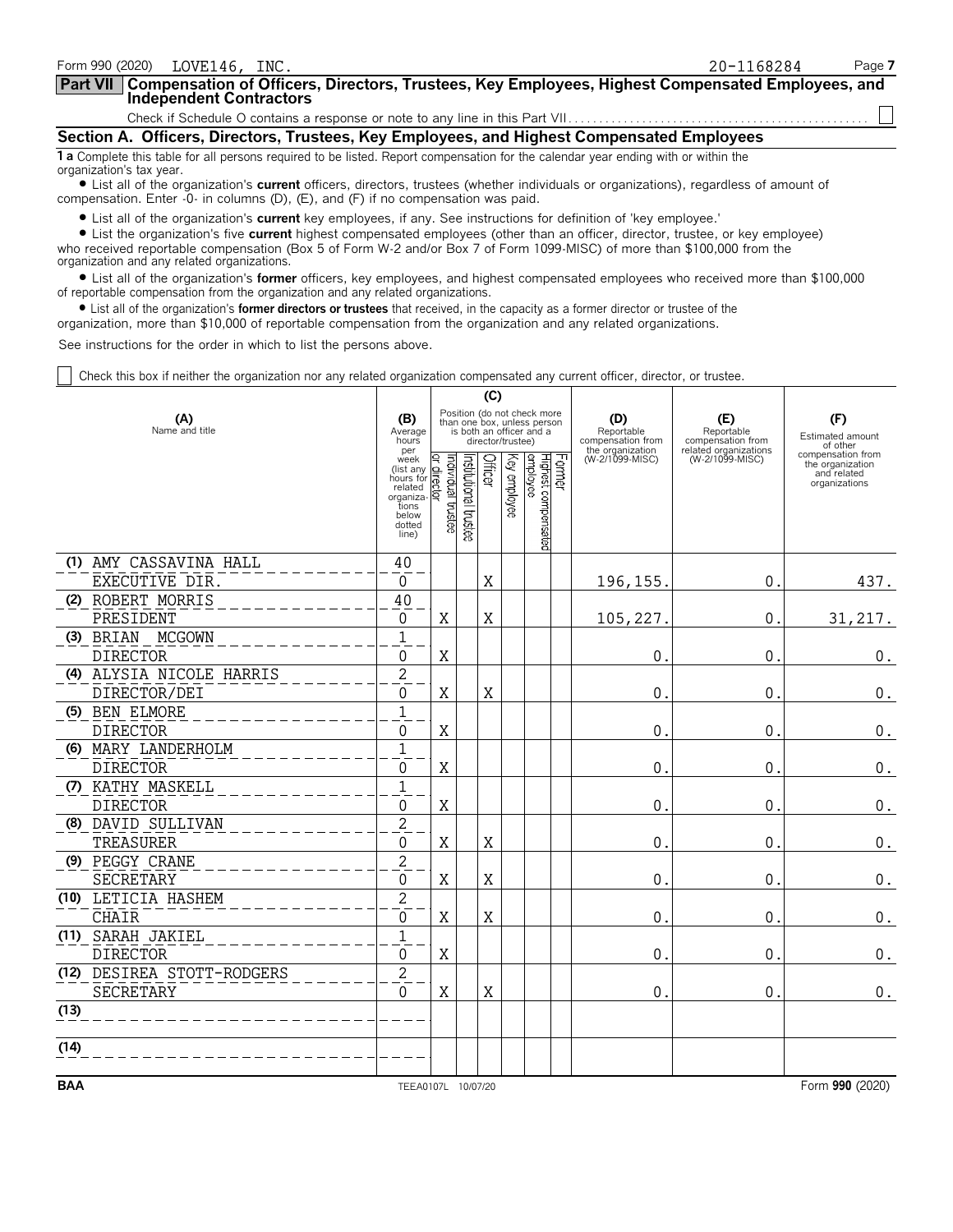| 20-1168284                                                                                                                         | Page 7                                                                                                                                  |
|------------------------------------------------------------------------------------------------------------------------------------|-----------------------------------------------------------------------------------------------------------------------------------------|
| Part VII   Compensation of Officers, Directors, Trustees, Key Employees, Highest Compensated Employees, and                        |                                                                                                                                         |
|                                                                                                                                    |                                                                                                                                         |
| Section A. Officers, Directors, Trustees, Key Employees, and Highest Compensated Employees                                         |                                                                                                                                         |
| 1 a Complete this table for all persons required to be listed. Report compensation for the calendar year ending with or within the |                                                                                                                                         |
|                                                                                                                                    | المتراومون والمستقر والمستخدم والمستحدث والمستشر والمستريم والمطروع والمستحدث والمستحدث والمتحدث والمستحدث والمستحدث والمستحار المستحدث |

? List all of the organization's **current** officers, directors, trustees (whether individuals or organizations), regardless of amount of compensation. Enter -0- in columns (D), (E), and (F) if no compensation was paid.

? List all of the organization's **current** key employees, if any. See instructions for definition of 'key employee.'

? List the organization's five **current** highest compensated employees (other than an officer, director, trustee, or key employee) who received reportable compensation (Box 5 of Form W-2 and/or Box 7 of Form 1099-MISC) of more than \$100,000 from the organization and any related organizations.

? List all of the organization's **former** officers, key employees, and highest compensated employees who received more than \$100,000 of reportable compensation from the organization and any related organizations.

? List all of the organization's **former directors or trustees** that received, in the capacity as a former director or trustee of the

organization, more than \$10,000 of reportable compensation from the organization and any related organizations.

See instructions for the order in which to list the persons above.

Check this box if neither the organization nor any related organization compensated any current officer, director, or trustee.

|            |                            |                                                                                                                                   |                         |                       | (C)         |                   |                                                                                        |                                                            |                                                                 |                                                                       |
|------------|----------------------------|-----------------------------------------------------------------------------------------------------------------------------------|-------------------------|-----------------------|-------------|-------------------|----------------------------------------------------------------------------------------|------------------------------------------------------------|-----------------------------------------------------------------|-----------------------------------------------------------------------|
|            | (A)<br>Name and title      | (B)<br>Average<br>hours<br>per                                                                                                    |                         |                       |             | director/trustee) | Position (do not check more<br>than one box, unless person<br>is both an officer and a | (D)<br>Reportable<br>compensation from<br>the organization | (E)<br>Reportable<br>compensation from<br>related organizations | (F)<br>Estimated amount<br>of other                                   |
|            |                            | week<br>week<br>(list any $\frac{Q}{R}$ )<br>hours for $\frac{Q}{Q}$<br>related<br>organiza-<br>tions<br>below<br>dotted<br>line) | əətəriqlal trustee<br>Σ | Institutional trustee | Officer     |                   | Former<br>Highest compensated<br>Key employee                                          | (W-2/1099-MISC)                                            | (W-2/1099-MISC)                                                 | compensation from<br>the organization<br>and related<br>organizations |
|            | (1) AMY CASSAVINA HALL     | 40                                                                                                                                |                         |                       |             |                   |                                                                                        |                                                            |                                                                 |                                                                       |
|            | EXECUTIVE DIR.             | $\Omega$                                                                                                                          |                         |                       | X           |                   |                                                                                        | 196, 155.                                                  | 0.                                                              | 437.                                                                  |
|            | (2) ROBERT MORRIS          | 40                                                                                                                                |                         |                       |             |                   |                                                                                        |                                                            |                                                                 |                                                                       |
|            | PRESIDENT                  | 0                                                                                                                                 | Χ                       |                       | Χ           |                   |                                                                                        | 105,227                                                    | 0.                                                              | 31, 217.                                                              |
|            | (3) BRIAN<br>MCGOWN        | $\mathbf{1}$                                                                                                                      |                         |                       |             |                   |                                                                                        |                                                            |                                                                 |                                                                       |
|            | <b>DIRECTOR</b>            | $\mathbf{0}$                                                                                                                      | X                       |                       |             |                   |                                                                                        | $\mathbf 0$                                                | 0.                                                              | $0_{.}$                                                               |
|            | (4) ALYSIA NICOLE HARRIS   | $\overline{2}$                                                                                                                    |                         |                       |             |                   |                                                                                        |                                                            |                                                                 |                                                                       |
|            | DIRECTOR/DEI               | 0                                                                                                                                 | X                       |                       | X           |                   |                                                                                        | $\mathbf 0$                                                | 0.                                                              | $0$ .                                                                 |
|            | (5) BEN ELMORE             | $\mathbf{1}$                                                                                                                      |                         |                       |             |                   |                                                                                        |                                                            |                                                                 |                                                                       |
|            | <b>DIRECTOR</b>            | $\mathbf{0}$                                                                                                                      | X                       |                       |             |                   |                                                                                        | $\mathbf 0$                                                | 0.                                                              | 0.                                                                    |
|            | (6) MARY LANDERHOLM        | $\overline{1}$                                                                                                                    |                         |                       |             |                   |                                                                                        |                                                            |                                                                 |                                                                       |
|            | <b>DIRECTOR</b>            | $\Omega$                                                                                                                          | X                       |                       |             |                   |                                                                                        | $\mathbf 0$                                                | 0.                                                              | $0$ .                                                                 |
|            | (7) KATHY MASKELL          | $\overline{1}$                                                                                                                    |                         |                       |             |                   |                                                                                        |                                                            |                                                                 |                                                                       |
|            | <b>DIRECTOR</b>            | 0                                                                                                                                 | X                       |                       |             |                   |                                                                                        | $\mathbf 0$                                                | 0.                                                              | 0.                                                                    |
|            | (8) DAVID SULLIVAN         | $\overline{2}$                                                                                                                    |                         |                       |             |                   |                                                                                        |                                                            |                                                                 |                                                                       |
|            | TREASURER                  | $\overline{0}$                                                                                                                    | X                       |                       | X           |                   |                                                                                        | $\mathbf 0$                                                | $\mathbf{0}$ .                                                  | $0_{.}$                                                               |
|            | (9) PEGGY CRANE            | $\overline{2}$                                                                                                                    |                         |                       |             |                   |                                                                                        |                                                            |                                                                 |                                                                       |
|            | SECRETARY                  | $\overline{0}$                                                                                                                    | X                       |                       | $\mathbf X$ |                   |                                                                                        | $\mathbf 0$                                                | $\mathbf{0}$ .                                                  | $\boldsymbol{0}$ .                                                    |
|            | (10) LETICIA HASHEM        | $\overline{2}$                                                                                                                    |                         |                       |             |                   |                                                                                        |                                                            |                                                                 |                                                                       |
|            | <b>CHAIR</b>               | $\mathbf 0$                                                                                                                       | X                       |                       | X           |                   |                                                                                        | $\mathbf 0$                                                | $0$ .                                                           | 0.                                                                    |
|            | (11) SARAH JAKIEL          | $\overline{1}$                                                                                                                    |                         |                       |             |                   |                                                                                        |                                                            |                                                                 |                                                                       |
|            | <b>DIRECTOR</b>            | 0                                                                                                                                 | X                       |                       |             |                   |                                                                                        | $\mathbf{0}$                                               | 0.                                                              | $\boldsymbol{0}$ .                                                    |
|            | (12) DESIREA STOTT-RODGERS | $\overline{2}$                                                                                                                    |                         |                       |             |                   |                                                                                        |                                                            |                                                                 |                                                                       |
|            | SECRETARY                  | $\overline{0}$                                                                                                                    | X                       |                       | X           |                   |                                                                                        | $\mathbf{0}$ .                                             | 0.                                                              | $0$ .                                                                 |
| (13)       |                            |                                                                                                                                   |                         |                       |             |                   |                                                                                        |                                                            |                                                                 |                                                                       |
| (14)       |                            |                                                                                                                                   |                         |                       |             |                   |                                                                                        |                                                            |                                                                 |                                                                       |
| <b>BAA</b> |                            | TEEA0107L 10/07/20                                                                                                                |                         |                       |             |                   |                                                                                        |                                                            |                                                                 | Form 990 (2020)                                                       |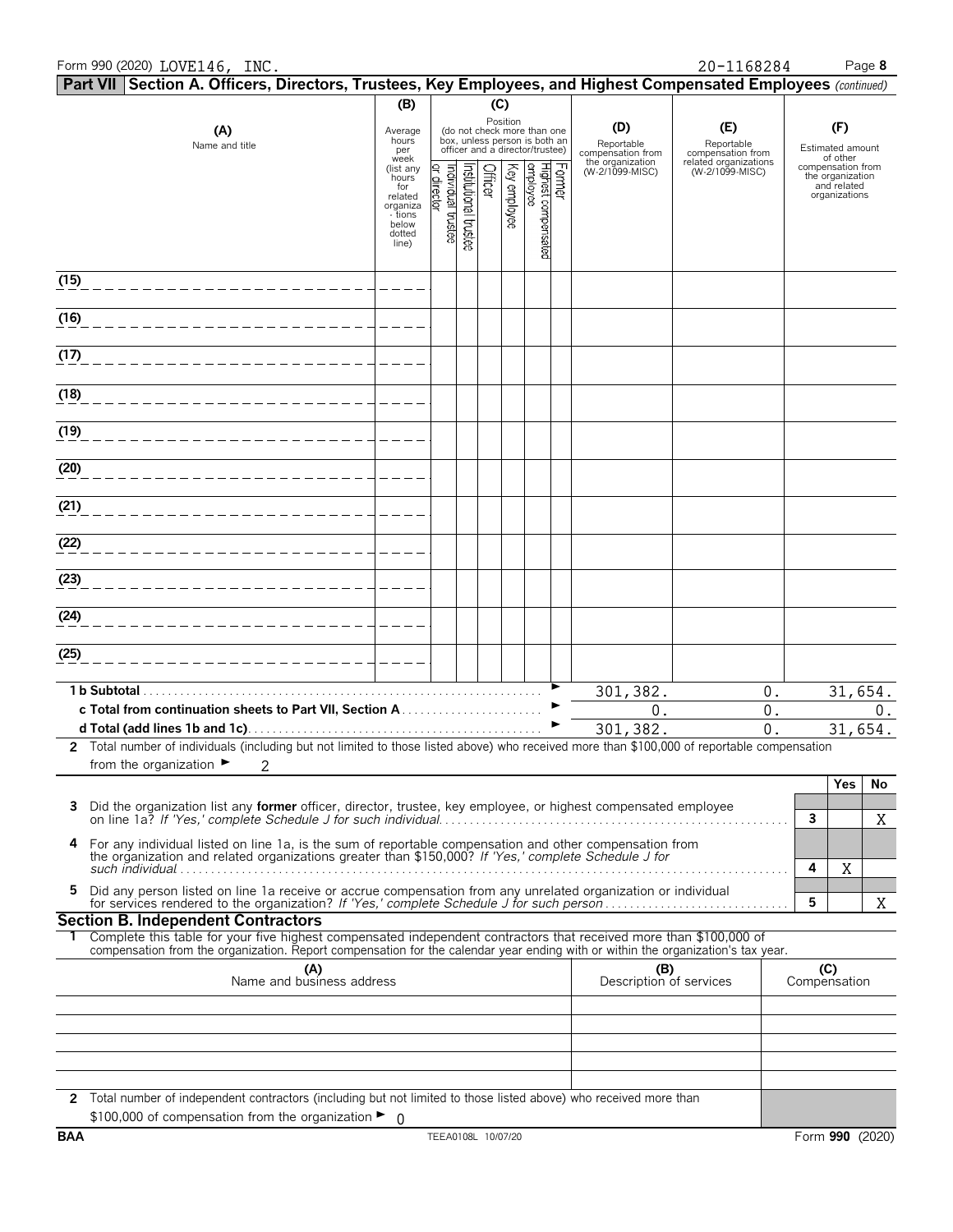#### Form 990 (2020) Page **8** LOVE146, INC. 20-1168284

|      | Part VII Section A. Officers, Directors, Trustees, Key Employees, and Highest Compensated Employees (continued)                                                                                                                                        |                              |             |                                              |         |              |                                                                                                             |        |                                        |                                          |              |                                       |         |
|------|--------------------------------------------------------------------------------------------------------------------------------------------------------------------------------------------------------------------------------------------------------|------------------------------|-------------|----------------------------------------------|---------|--------------|-------------------------------------------------------------------------------------------------------------|--------|----------------------------------------|------------------------------------------|--------------|---------------------------------------|---------|
|      |                                                                                                                                                                                                                                                        | (B)                          |             |                                              | (C)     |              |                                                                                                             |        |                                        |                                          |              |                                       |         |
|      | (A)<br>Name and title                                                                                                                                                                                                                                  | Average<br>hours<br>per      |             |                                              |         |              | Position<br>(do not check more than one<br>box, unless person is both an<br>officer and a director/trustee) |        | (D)<br>Reportable<br>compensation from | (E)<br>Reportable<br>compensation from   |              | (F)<br>Estimated amount<br>of other   |         |
|      |                                                                                                                                                                                                                                                        | week<br>(list any<br>hours   |             | Institutional trustee<br>Tindividual trustee | Officer |              |                                                                                                             | Former | the organization<br>(W-2/1099-MISC)    | related organizations<br>(W-2/1099-MISC) |              | compensation from<br>the organization |         |
|      |                                                                                                                                                                                                                                                        | for<br>related               | or director |                                              |         | Key employee | Highest compensated<br>employee                                                                             |        |                                        |                                          |              | and related<br>organizations          |         |
|      |                                                                                                                                                                                                                                                        | organiza<br>- tions<br>below |             |                                              |         |              |                                                                                                             |        |                                        |                                          |              |                                       |         |
|      |                                                                                                                                                                                                                                                        | dotted<br>line)              |             |                                              |         |              |                                                                                                             |        |                                        |                                          |              |                                       |         |
|      |                                                                                                                                                                                                                                                        |                              |             |                                              |         |              |                                                                                                             |        |                                        |                                          |              |                                       |         |
| (15) |                                                                                                                                                                                                                                                        |                              |             |                                              |         |              |                                                                                                             |        |                                        |                                          |              |                                       |         |
| (16) |                                                                                                                                                                                                                                                        |                              |             |                                              |         |              |                                                                                                             |        |                                        |                                          |              |                                       |         |
| (17) |                                                                                                                                                                                                                                                        |                              |             |                                              |         |              |                                                                                                             |        |                                        |                                          |              |                                       |         |
| (18) |                                                                                                                                                                                                                                                        |                              |             |                                              |         |              |                                                                                                             |        |                                        |                                          |              |                                       |         |
| (19) |                                                                                                                                                                                                                                                        |                              |             |                                              |         |              |                                                                                                             |        |                                        |                                          |              |                                       |         |
| (20) |                                                                                                                                                                                                                                                        |                              |             |                                              |         |              |                                                                                                             |        |                                        |                                          |              |                                       |         |
| (21) |                                                                                                                                                                                                                                                        |                              |             |                                              |         |              |                                                                                                             |        |                                        |                                          |              |                                       |         |
| (22) |                                                                                                                                                                                                                                                        |                              |             |                                              |         |              |                                                                                                             |        |                                        |                                          |              |                                       |         |
| (23) |                                                                                                                                                                                                                                                        |                              |             |                                              |         |              |                                                                                                             |        |                                        |                                          |              |                                       |         |
|      |                                                                                                                                                                                                                                                        |                              |             |                                              |         |              |                                                                                                             |        |                                        |                                          |              |                                       |         |
| (24) |                                                                                                                                                                                                                                                        |                              |             |                                              |         |              |                                                                                                             |        |                                        |                                          |              |                                       |         |
| (25) |                                                                                                                                                                                                                                                        |                              |             |                                              |         |              |                                                                                                             |        |                                        |                                          |              |                                       |         |
|      | 1 b Subtotal.                                                                                                                                                                                                                                          |                              |             |                                              |         |              |                                                                                                             |        | 301, 382.                              | $0$ .                                    |              |                                       | 31,654. |
|      |                                                                                                                                                                                                                                                        |                              |             |                                              |         |              |                                                                                                             |        | 0.                                     | 0.                                       |              |                                       | 0.      |
|      |                                                                                                                                                                                                                                                        |                              |             |                                              |         |              |                                                                                                             |        | 301, 382.                              | 0.                                       |              |                                       | 31,654. |
|      | 2 Total number of individuals (including but not limited to those listed above) who received more than \$100,000 of reportable compensation<br>from the organization $\blacktriangleright$<br>2                                                        |                              |             |                                              |         |              |                                                                                                             |        |                                        |                                          |              |                                       |         |
|      |                                                                                                                                                                                                                                                        |                              |             |                                              |         |              |                                                                                                             |        |                                        |                                          |              | Yes                                   | No      |
| 3    | Did the organization list any <b>former</b> officer, director, trustee, key employee, or highest compensated employee                                                                                                                                  |                              |             |                                              |         |              |                                                                                                             |        |                                        |                                          | $\mathbf{3}$ |                                       | X       |
| 4    |                                                                                                                                                                                                                                                        |                              |             |                                              |         |              |                                                                                                             |        |                                        |                                          |              |                                       |         |
|      | For any individual listed on line 1a, is the sum of reportable compensation and other compensation from the organization and related organizations greater than \$150,000? If 'Yes,' complete Schedule J for                                           |                              |             |                                              |         |              |                                                                                                             |        |                                        |                                          | 4            | Χ                                     |         |
| 5    | Did any person listed on line 1a receive or accrue compensation from any unrelated organization or individual                                                                                                                                          |                              |             |                                              |         |              |                                                                                                             |        |                                        |                                          | 5            |                                       | X       |
|      | <b>Section B. Independent Contractors</b>                                                                                                                                                                                                              |                              |             |                                              |         |              |                                                                                                             |        |                                        |                                          |              |                                       |         |
|      | Complete this table for your five highest compensated independent contractors that received more than \$100,000 of<br>compensation from the organization. Report compensation for the calendar year ending with or within the organization's tax year. |                              |             |                                              |         |              |                                                                                                             |        |                                        |                                          |              |                                       |         |
|      | (A)<br>Name and business address                                                                                                                                                                                                                       |                              |             |                                              |         |              |                                                                                                             |        | (B)<br>Description of services         |                                          | Compensation | (C)                                   |         |
|      |                                                                                                                                                                                                                                                        |                              |             |                                              |         |              |                                                                                                             |        |                                        |                                          |              |                                       |         |
|      |                                                                                                                                                                                                                                                        |                              |             |                                              |         |              |                                                                                                             |        |                                        |                                          |              |                                       |         |
|      |                                                                                                                                                                                                                                                        |                              |             |                                              |         |              |                                                                                                             |        |                                        |                                          |              |                                       |         |
|      |                                                                                                                                                                                                                                                        |                              |             |                                              |         |              |                                                                                                             |        |                                        |                                          |              |                                       |         |
|      | 2 Total number of independent contractors (including but not limited to those listed above) who received more than                                                                                                                                     |                              |             |                                              |         |              |                                                                                                             |        |                                        |                                          |              |                                       |         |
|      | \$100,000 of compensation from the organization $\blacktriangleright$ 0                                                                                                                                                                                |                              |             |                                              |         |              |                                                                                                             |        |                                        |                                          |              |                                       |         |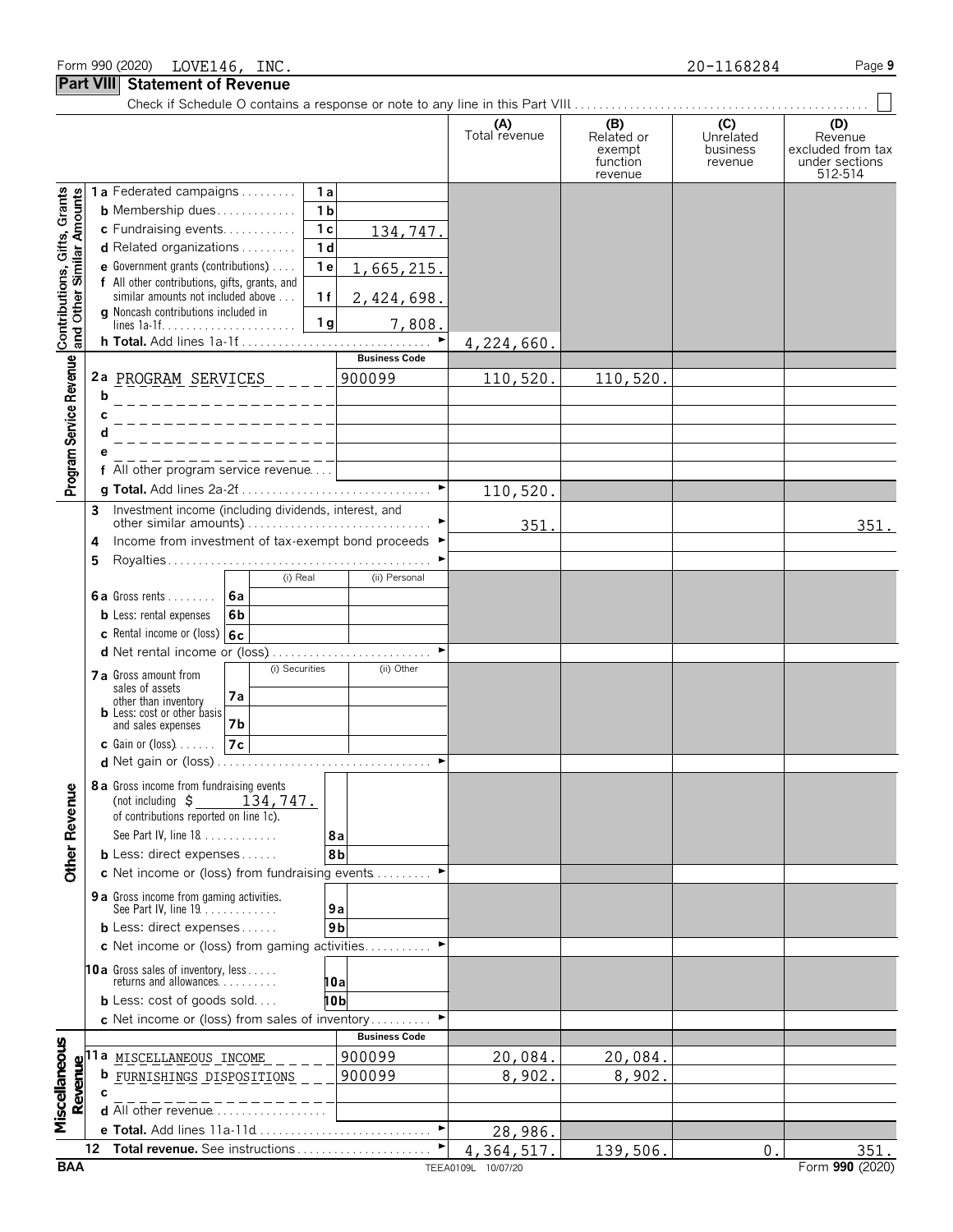|                                                           |    |                                                                                                            |                      | (A)<br>Total revenue | (B)<br>Related or<br>exempt<br>function<br>revenue | (C)<br>Unrelated<br>business<br>revenue | (D)<br>Revenue<br>excluded from tax<br>under sections<br>512-514 |
|-----------------------------------------------------------|----|------------------------------------------------------------------------------------------------------------|----------------------|----------------------|----------------------------------------------------|-----------------------------------------|------------------------------------------------------------------|
|                                                           |    | 1a Federated campaigns<br>1a                                                                               |                      |                      |                                                    |                                         |                                                                  |
| Contributions, Gifts, Grants<br>and Other Similar Amounts |    | 1 <sub>b</sub><br><b>b</b> Membership dues                                                                 |                      |                      |                                                    |                                         |                                                                  |
|                                                           |    | c Fundraising events<br>1c                                                                                 | 134,747.             |                      |                                                    |                                         |                                                                  |
|                                                           |    | <b>d</b> Related organizations $\ldots$<br>1 <sub>d</sub>                                                  |                      |                      |                                                    |                                         |                                                                  |
|                                                           |    | 1e<br><b>e</b> Government grants (contributions) $\ldots$<br>f All other contributions, gifts, grants, and | 1,665,215.           |                      |                                                    |                                         |                                                                  |
|                                                           |    | similar amounts not included above<br>1f                                                                   | 2,424,698.           |                      |                                                    |                                         |                                                                  |
|                                                           |    | g Noncash contributions included in<br>1 <sub>g</sub>                                                      | 7,808.               |                      |                                                    |                                         |                                                                  |
|                                                           |    | h Total. Add lines 1a-1f                                                                                   | ►                    | 4,224,660.           |                                                    |                                         |                                                                  |
| Program Service Revenue                                   |    |                                                                                                            | <b>Business Code</b> |                      |                                                    |                                         |                                                                  |
|                                                           | b  | 2a PROGRAM SERVICES                                                                                        | 900099               | 110,520.             | 110,520.                                           |                                         |                                                                  |
|                                                           |    | . _ _ _ _ _ _ _ _ _ _ _ _ _ _ _ _ <del>_ _</del> _                                                         |                      |                      |                                                    |                                         |                                                                  |
|                                                           |    |                                                                                                            |                      |                      |                                                    |                                         |                                                                  |
|                                                           |    |                                                                                                            |                      |                      |                                                    |                                         |                                                                  |
|                                                           |    | f All other program service revenue                                                                        |                      |                      |                                                    |                                         |                                                                  |
|                                                           |    |                                                                                                            |                      | 110,520.             |                                                    |                                         |                                                                  |
|                                                           | 3  | Investment income (including dividends, interest, and                                                      |                      | 351.                 |                                                    |                                         | 351.                                                             |
|                                                           | 4  | Income from investment of tax-exempt bond proceeds ▶                                                       |                      |                      |                                                    |                                         |                                                                  |
|                                                           | 5  |                                                                                                            |                      |                      |                                                    |                                         |                                                                  |
|                                                           |    | (i) Real                                                                                                   | (ii) Personal        |                      |                                                    |                                         |                                                                  |
|                                                           |    | 6a<br>6a Gross rents                                                                                       |                      |                      |                                                    |                                         |                                                                  |
|                                                           |    | 6 <sub>b</sub><br><b>b</b> Less: rental expenses<br>c Rental income or (loss) 6c                           |                      |                      |                                                    |                                         |                                                                  |
|                                                           |    | d Net rental income or (loss)                                                                              |                      |                      |                                                    |                                         |                                                                  |
|                                                           |    | (i) Securities<br>7 a Gross amount from                                                                    | (ii) Other           |                      |                                                    |                                         |                                                                  |
|                                                           |    | sales of assets<br>7a<br>other than inventory                                                              |                      |                      |                                                    |                                         |                                                                  |
|                                                           |    | <b>b</b> Less: cost or other basis                                                                         |                      |                      |                                                    |                                         |                                                                  |
|                                                           |    | <b>7b</b><br>and sales expenses<br>7c<br>$c$ Gain or (loss)                                                |                      |                      |                                                    |                                         |                                                                  |
|                                                           |    |                                                                                                            |                      |                      |                                                    |                                         |                                                                  |
|                                                           |    | <b>8a</b> Gross income from fundraising events                                                             |                      |                      |                                                    |                                         |                                                                  |
|                                                           |    | (not including $\zeta$<br>134,747.                                                                         |                      |                      |                                                    |                                         |                                                                  |
|                                                           |    | of contributions reported on line 1c).                                                                     |                      |                      |                                                    |                                         |                                                                  |
|                                                           |    | See Part IV, line 18<br><b>b</b> Less: direct expenses                                                     | 8a<br>8b             |                      |                                                    |                                         |                                                                  |
| <b>Other Revenue</b>                                      |    | c Net income or (loss) from fundraising events                                                             |                      |                      |                                                    |                                         |                                                                  |
|                                                           |    | 9 a Gross income from gaming activities.                                                                   |                      |                      |                                                    |                                         |                                                                  |
|                                                           |    | See Part IV, line 19.                                                                                      | 9a                   |                      |                                                    |                                         |                                                                  |
|                                                           |    | <b>b</b> Less: direct expenses                                                                             | 9 <sub>b</sub>       |                      |                                                    |                                         |                                                                  |
|                                                           |    | c Net income or (loss) from gaming activities                                                              |                      |                      |                                                    |                                         |                                                                  |
|                                                           |    | 10a Gross sales of inventory, less<br>returns and allowances                                               | 10a                  |                      |                                                    |                                         |                                                                  |
|                                                           |    | <b>b</b> Less: cost of goods sold                                                                          | 10b                  |                      |                                                    |                                         |                                                                  |
|                                                           |    | c Net income or (loss) from sales of inventory                                                             |                      |                      |                                                    |                                         |                                                                  |
|                                                           |    |                                                                                                            | <b>Business Code</b> |                      |                                                    |                                         |                                                                  |
| Miscellaneous                                             |    | <u>110 MISCELLANEOUS INCOME</u>                                                                            | 900099               | 20,084.              | 20,084.                                            |                                         |                                                                  |
| Revenu                                                    |    | b<br>FURNISHINGS DISPOSITIONS                                                                              | 900099               | 8,902.               | 8,902.                                             |                                         |                                                                  |
|                                                           |    | <b>d</b> All other revenue $\ldots$ , $\ldots$                                                             |                      |                      |                                                    |                                         |                                                                  |
|                                                           |    | e Total. Add lines 11a-11d                                                                                 | ▶                    | 28,986.              |                                                    |                                         |                                                                  |
|                                                           | 12 | Total revenue. See instructions                                                                            |                      | 4,364,517.           | 139,506.                                           | $\mathbf 0$                             | 351.                                                             |
| <b>BAA</b>                                                |    |                                                                                                            |                      | TEEA0109L 10/07/20   |                                                    |                                         | Form 990 (2020)                                                  |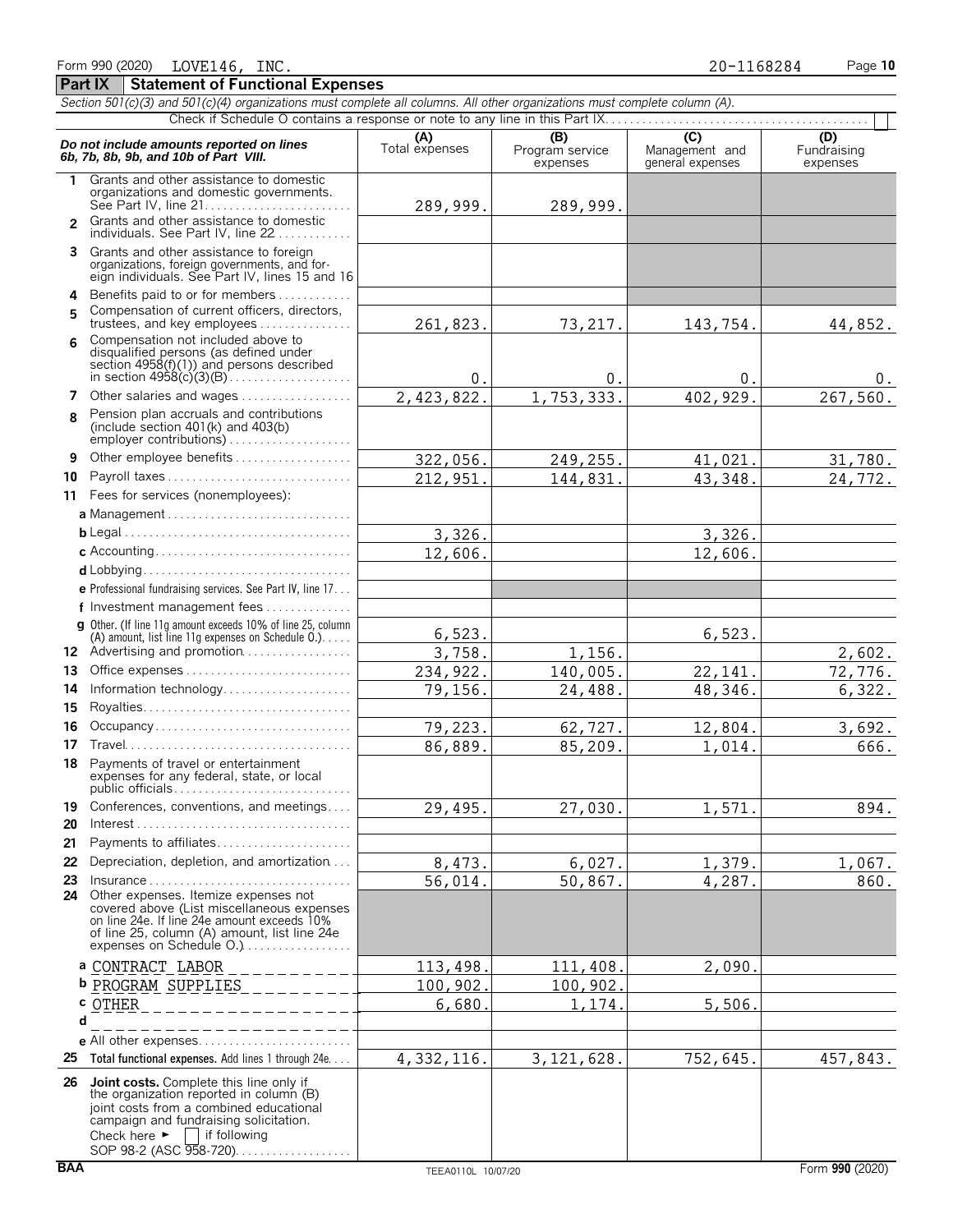| Section 501(c)(3) and 501(c)(4) organizations must complete all columns. All other organizations must complete column (A). |                                                                                                                                                                                                                                                       |                       |                             |                                    |                         |  |  |  |  |  |  |
|----------------------------------------------------------------------------------------------------------------------------|-------------------------------------------------------------------------------------------------------------------------------------------------------------------------------------------------------------------------------------------------------|-----------------------|-----------------------------|------------------------------------|-------------------------|--|--|--|--|--|--|
|                                                                                                                            |                                                                                                                                                                                                                                                       |                       | (B)                         | $\overline{C}$                     | (D)                     |  |  |  |  |  |  |
|                                                                                                                            | Do not include amounts reported on lines<br>6b, 7b, 8b, 9b, and 10b of Part VIII.                                                                                                                                                                     | (A)<br>Total expenses | Program service<br>expenses | Management and<br>general expenses | Fundraising<br>expenses |  |  |  |  |  |  |
| 1.                                                                                                                         | Grants and other assistance to domestic<br>organizations and domestic governments.                                                                                                                                                                    | 289,999.              | 289,999.                    |                                    |                         |  |  |  |  |  |  |
|                                                                                                                            | 2 Grants and other assistance to domestic<br>individuals. See Part IV, line 22                                                                                                                                                                        |                       |                             |                                    |                         |  |  |  |  |  |  |
| 3                                                                                                                          | Grants and other assistance to foreign<br>organizations, foreign governments, and for-<br>eign individuals. See Part IV, lines 15 and 16                                                                                                              |                       |                             |                                    |                         |  |  |  |  |  |  |
| 4                                                                                                                          | Benefits paid to or for members                                                                                                                                                                                                                       |                       |                             |                                    |                         |  |  |  |  |  |  |
| 5                                                                                                                          | Compensation of current officers, directors,<br>trustees, and key employees                                                                                                                                                                           | 261,823.              | 73, 217.                    | 143,754.                           | 44,852.                 |  |  |  |  |  |  |
|                                                                                                                            | Compensation not included above to<br>disqualified persons (as defined under<br>section 4958(f)(1)) and persons described                                                                                                                             | 0.                    | 0.                          | 0.                                 | υ.                      |  |  |  |  |  |  |
|                                                                                                                            | 7 Other salaries and wages                                                                                                                                                                                                                            | 2,423,822.            | 1,753,333.                  | 402,929.                           | 267,560.                |  |  |  |  |  |  |
| 8                                                                                                                          | Pension plan accruals and contributions<br>(include section $401(k)$ and $403(b)$                                                                                                                                                                     |                       |                             |                                    |                         |  |  |  |  |  |  |
| 9                                                                                                                          | Other employee benefits                                                                                                                                                                                                                               | 322,056.              | 249,255.                    | 41,021.                            | 31,780.                 |  |  |  |  |  |  |
| 10                                                                                                                         | Payroll taxes                                                                                                                                                                                                                                         | 212, 951.             | 144,831                     | 43,348.                            | 24,772.                 |  |  |  |  |  |  |
|                                                                                                                            | 11 Fees for services (nonemployees):                                                                                                                                                                                                                  |                       |                             |                                    |                         |  |  |  |  |  |  |
|                                                                                                                            | a Management                                                                                                                                                                                                                                          |                       |                             |                                    |                         |  |  |  |  |  |  |
|                                                                                                                            |                                                                                                                                                                                                                                                       | 3,326.                |                             | 3,326.                             |                         |  |  |  |  |  |  |
|                                                                                                                            |                                                                                                                                                                                                                                                       | 12,606.               |                             | 12,606.                            |                         |  |  |  |  |  |  |
|                                                                                                                            |                                                                                                                                                                                                                                                       |                       |                             |                                    |                         |  |  |  |  |  |  |
|                                                                                                                            | e Professional fundraising services. See Part IV, line 17                                                                                                                                                                                             |                       |                             |                                    |                         |  |  |  |  |  |  |
|                                                                                                                            | f Investment management fees                                                                                                                                                                                                                          |                       |                             |                                    |                         |  |  |  |  |  |  |
|                                                                                                                            | <b>g</b> Other. (If line 11q amount exceeds 10% of line 25, column<br>(A) amount, list line 11g expenses on Schedule $0.$ )                                                                                                                           | 6,523.                |                             | 6,523.                             |                         |  |  |  |  |  |  |
|                                                                                                                            | 12 Advertising and promotion                                                                                                                                                                                                                          | 3,758.                | 1,156.                      |                                    | 2,602.                  |  |  |  |  |  |  |
| 13                                                                                                                         | Office expenses                                                                                                                                                                                                                                       | 234,922.              | 140,005.                    | 22, 141.                           | 72,776.                 |  |  |  |  |  |  |
| 14                                                                                                                         | Information technology                                                                                                                                                                                                                                | 79,156.               | 24,488.                     | 48,346.                            | 6,322.                  |  |  |  |  |  |  |
| 15                                                                                                                         |                                                                                                                                                                                                                                                       |                       |                             |                                    |                         |  |  |  |  |  |  |
| 16                                                                                                                         | Occupancy                                                                                                                                                                                                                                             | 79,223.               | 62,727.                     | 12,804.                            | 3,692.                  |  |  |  |  |  |  |
| 17                                                                                                                         |                                                                                                                                                                                                                                                       | 86,889.               | 85,209.                     | 1,014.                             | 666.                    |  |  |  |  |  |  |
| 18                                                                                                                         | Payments of travel or entertainment<br>expenses for any federal, state, or local                                                                                                                                                                      |                       |                             |                                    |                         |  |  |  |  |  |  |
| 19                                                                                                                         | Conferences, conventions, and meetings                                                                                                                                                                                                                | 29,495.               | 27,030.                     | 1,571.                             | 894.                    |  |  |  |  |  |  |
| 20                                                                                                                         | $Interest \dots \dots \dots \dots \dots \dots \dots \dots \dots \dots \dots \dots \dots$                                                                                                                                                              |                       |                             |                                    |                         |  |  |  |  |  |  |
| 21                                                                                                                         | Payments to affiliates                                                                                                                                                                                                                                |                       |                             |                                    |                         |  |  |  |  |  |  |
| 22                                                                                                                         | Depreciation, depletion, and amortization                                                                                                                                                                                                             | 8,473.                | 6,027.                      | $\overline{1}$ , 379.              | 1,067.                  |  |  |  |  |  |  |
| 23                                                                                                                         | Insurance                                                                                                                                                                                                                                             | 56,014.               | 50,867.                     | 4,287.                             | 860.                    |  |  |  |  |  |  |
| 24                                                                                                                         | Other expenses. Itemize expenses not<br>covered above (List miscellaneous expenses<br>on line 24e. If line 24e amount exceeds 10%<br>of line 25, column (A) amount, list line 24e<br>expenses on Schedule O.)                                         |                       |                             |                                    |                         |  |  |  |  |  |  |
|                                                                                                                            | a CONTRACT LABOR                                                                                                                                                                                                                                      | 113,498.              | 111,408.                    | 2,090.                             |                         |  |  |  |  |  |  |
|                                                                                                                            | <b>b</b> PROGRAM SUPPLIES                                                                                                                                                                                                                             | 100,902               | 100,902                     |                                    |                         |  |  |  |  |  |  |
|                                                                                                                            | c OTHER                                                                                                                                                                                                                                               | 6,680                 | 1,174                       | 5,506.                             |                         |  |  |  |  |  |  |
| d                                                                                                                          |                                                                                                                                                                                                                                                       |                       |                             |                                    |                         |  |  |  |  |  |  |
|                                                                                                                            | $e$ All other expenses                                                                                                                                                                                                                                |                       |                             |                                    |                         |  |  |  |  |  |  |
| 25                                                                                                                         | Total functional expenses. Add lines 1 through 24e.                                                                                                                                                                                                   | 4,332,116.            | 3, 121, 628.                | 752,645.                           | 457,843.                |  |  |  |  |  |  |
| 26                                                                                                                         | Joint costs. Complete this line only if<br>the organization reported in column (B)<br>joint costs from a combined educational<br>campaign and fundraising solicitation.<br>Check here $\blacktriangleright$<br>if following<br>SOP 98-2 (ASC 958-720) |                       |                             |                                    |                         |  |  |  |  |  |  |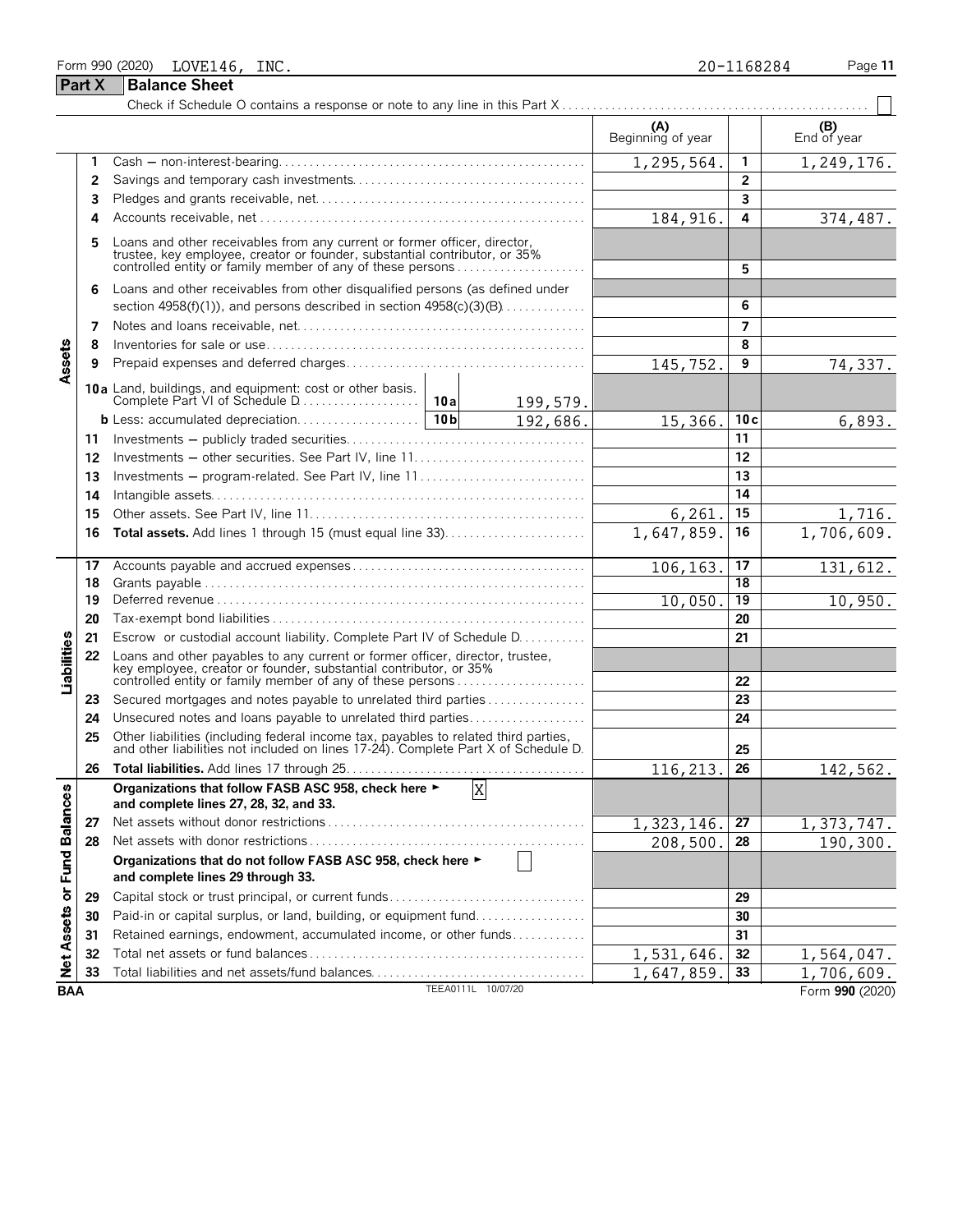|                             |        | Form 990 (2020)<br>LOVE146, INC.                                                                                                                                                                                 |                    |          |                          | 20-1168284              | Page 11                  |
|-----------------------------|--------|------------------------------------------------------------------------------------------------------------------------------------------------------------------------------------------------------------------|--------------------|----------|--------------------------|-------------------------|--------------------------|
|                             | Part X | <b>Balance Sheet</b>                                                                                                                                                                                             |                    |          |                          |                         |                          |
|                             |        |                                                                                                                                                                                                                  |                    |          |                          |                         |                          |
|                             |        |                                                                                                                                                                                                                  |                    |          | (A)<br>Beginning of year |                         | (B)<br>End of year       |
|                             | 1      |                                                                                                                                                                                                                  |                    |          | 1,295,564.               | 1                       | 1,249,176.               |
|                             | 2      |                                                                                                                                                                                                                  |                    |          |                          | $\overline{2}$          |                          |
|                             | 3      |                                                                                                                                                                                                                  |                    |          |                          | $\overline{\mathbf{3}}$ |                          |
|                             | 4      |                                                                                                                                                                                                                  |                    |          | 184, 916.                | 4                       | 374,487.                 |
|                             | 5      | Loans and other receivables from any current or former officer, director, trustee, key employee, creator or founder, substantial contributor, or 35% controlled entity or family member of any of these persons  |                    |          |                          | 5                       |                          |
|                             | 6      | Loans and other receivables from other disqualified persons (as defined under                                                                                                                                    |                    |          |                          |                         |                          |
|                             |        | section 4958(f)(1)), and persons described in section $4958(c)(3)(B)$                                                                                                                                            |                    |          |                          | 6                       |                          |
|                             | 7      |                                                                                                                                                                                                                  |                    |          |                          | $\overline{7}$          |                          |
| Assets                      | 8      |                                                                                                                                                                                                                  |                    |          |                          | 8                       |                          |
|                             | 9      |                                                                                                                                                                                                                  |                    |          | 145,752.                 | 9                       | 74,337.                  |
|                             |        |                                                                                                                                                                                                                  |                    | 199,579. |                          |                         |                          |
|                             |        |                                                                                                                                                                                                                  |                    | 192,686. | 15,366.                  | 10c                     | 6,893.                   |
|                             | 11     |                                                                                                                                                                                                                  |                    |          |                          | 11                      |                          |
|                             | 12     |                                                                                                                                                                                                                  |                    |          |                          | 12                      |                          |
|                             | 13     | Investments - program-related. See Part IV, line 11                                                                                                                                                              |                    |          | 13                       |                         |                          |
|                             | 14     |                                                                                                                                                                                                                  |                    |          |                          | 14                      |                          |
|                             | 15     |                                                                                                                                                                                                                  |                    |          | 6, 261.                  | 15                      | 1,716.                   |
|                             | 16     |                                                                                                                                                                                                                  |                    |          | 1,647,859.               | 16                      | 1,706,609.               |
|                             | 17     |                                                                                                                                                                                                                  |                    |          | 106,163.                 | 17                      | 131,612.                 |
|                             | 18     |                                                                                                                                                                                                                  |                    |          |                          | 18                      |                          |
|                             | 19     |                                                                                                                                                                                                                  |                    |          | 10,050                   | 19                      | 10,950.                  |
|                             | 20     |                                                                                                                                                                                                                  |                    |          |                          | 20                      |                          |
|                             | 21     | Escrow or custodial account liability. Complete Part IV of Schedule D.                                                                                                                                           |                    |          |                          | 21                      |                          |
| Liabilities                 | 22     | Loans and other payables to any current or former officer, director, trustee,<br>key employee, creator or founder, substantial contributor, or 35%<br>controlled entity or family member of any of these persons |                    |          |                          | 22                      |                          |
|                             | 23     | Secured mortgages and notes payable to unrelated third parties                                                                                                                                                   |                    |          |                          | 23                      |                          |
|                             | 24     | Unsecured notes and loans payable to unrelated third parties                                                                                                                                                     |                    |          |                          | 24                      |                          |
|                             | 25     | Other liabilities (including federal income tax, payables to related third parties, and other liabilities not included on lines 17-24). Complete Part X of Schedule D.                                           |                    |          |                          | 25                      |                          |
|                             | 26     |                                                                                                                                                                                                                  |                    |          | 116,213.                 | 26                      | 142,562.                 |
|                             |        | Organizations that follow FASB ASC 958, check here ►<br>and complete lines 27, 28, 32, and 33.                                                                                                                   | X                  |          |                          |                         |                          |
|                             | 27     |                                                                                                                                                                                                                  |                    |          | 1,323,146.               | 27                      | $\overline{1,373,747}$ . |
|                             | 28     |                                                                                                                                                                                                                  |                    |          | 208,500.                 | 28                      | 190,300.                 |
| Net Assets or Fund Balances |        | Organizations that do not follow FASB ASC 958, check here ►<br>and complete lines 29 through 33.                                                                                                                 |                    |          |                          |                         |                          |
|                             | 29     | Capital stock or trust principal, or current funds                                                                                                                                                               |                    |          |                          | 29                      |                          |
|                             | 30     | Paid-in or capital surplus, or land, building, or equipment fund                                                                                                                                                 |                    |          |                          | 30                      |                          |
|                             | 31     | Retained earnings, endowment, accumulated income, or other funds                                                                                                                                                 |                    |          |                          | 31                      |                          |
|                             | 32     |                                                                                                                                                                                                                  |                    |          | 1,531,646                | 32                      | 1,564,047.               |
|                             | 33     | Total liabilities and net assets/fund balances                                                                                                                                                                   |                    |          | 1,647,859.               | 33                      | 1,706,609.               |
| <b>BAA</b>                  |        |                                                                                                                                                                                                                  | TEEA0111L 10/07/20 |          |                          |                         | Form 990 (2020)          |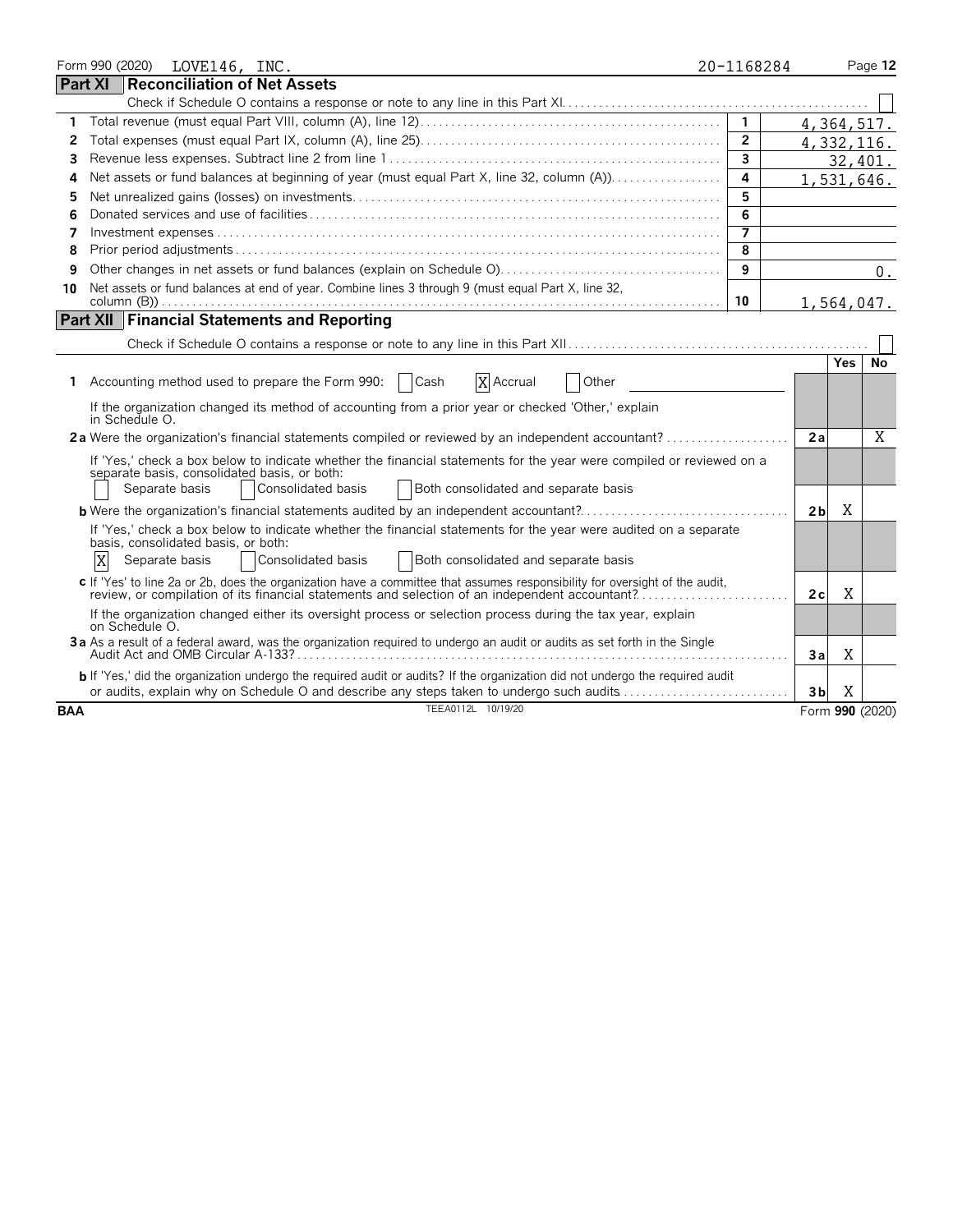|            |   | Form 990 (2020) | LOVE146, INC.                                         |  |                                                                                                                                                                                                                                    | 20-1168284     |                |            | Page 12         |
|------------|---|-----------------|-------------------------------------------------------|--|------------------------------------------------------------------------------------------------------------------------------------------------------------------------------------------------------------------------------------|----------------|----------------|------------|-----------------|
| Part XI    |   |                 |                                                       |  | <b>Reconciliation of Net Assets</b>                                                                                                                                                                                                |                |                |            |                 |
|            |   |                 |                                                       |  |                                                                                                                                                                                                                                    |                |                |            |                 |
| 1          |   |                 |                                                       |  |                                                                                                                                                                                                                                    | $\overline{1}$ |                | 4,364,517. |                 |
| 2          |   |                 |                                                       |  |                                                                                                                                                                                                                                    | $\overline{2}$ |                | 4,332,116. |                 |
| 3          |   |                 |                                                       |  |                                                                                                                                                                                                                                    | $\overline{3}$ |                |            | 32,401.         |
| 4          |   |                 |                                                       |  |                                                                                                                                                                                                                                    | 4              |                |            | 1,531,646.      |
| 5          |   |                 |                                                       |  |                                                                                                                                                                                                                                    | 5              |                |            |                 |
| 6          |   |                 |                                                       |  |                                                                                                                                                                                                                                    | 6              |                |            |                 |
| 7          |   |                 |                                                       |  |                                                                                                                                                                                                                                    | $\overline{7}$ |                |            |                 |
| 8          |   |                 |                                                       |  |                                                                                                                                                                                                                                    | 8              |                |            |                 |
| 9          |   |                 |                                                       |  |                                                                                                                                                                                                                                    |                |                |            | 0.              |
| 10         |   |                 |                                                       |  | Net assets or fund balances at end of year. Combine lines 3 through 9 (must equal Part X, line 32,                                                                                                                                 | 10             |                |            | 1,564,047.      |
|            |   |                 |                                                       |  | <b>Part XII   Financial Statements and Reporting</b>                                                                                                                                                                               |                |                |            |                 |
|            |   |                 |                                                       |  |                                                                                                                                                                                                                                    |                |                |            |                 |
|            |   |                 |                                                       |  |                                                                                                                                                                                                                                    |                |                | <b>Yes</b> | No              |
| 1          |   |                 |                                                       |  | Accounting method used to prepare the Form 990:<br><b>Cash</b><br>X Accrual<br>Other                                                                                                                                               |                |                |            |                 |
|            |   | in Schedule O.  |                                                       |  | If the organization changed its method of accounting from a prior year or checked 'Other,' explain                                                                                                                                 |                |                |            |                 |
|            |   |                 |                                                       |  | 2a Were the organization's financial statements compiled or reviewed by an independent accountant?                                                                                                                                 |                | 2a             |            | X               |
|            |   |                 | Separate basis                                        |  | If 'Yes,' check a box below to indicate whether the financial statements for the year were compiled or reviewed on a<br>separate basis, consolidated basis, or both:<br>Consolidated basis<br>Both consolidated and separate basis |                |                |            |                 |
|            |   |                 |                                                       |  | <b>b</b> Were the organization's financial statements audited by an independent accountant?                                                                                                                                        |                | 2 <sub>b</sub> | X          |                 |
|            | X |                 | basis, consolidated basis, or both:<br>Separate basis |  | If 'Yes,' check a box below to indicate whether the financial statements for the year were audited on a separate<br>Consolidated basis<br>Both consolidated and separate basis                                                     |                |                |            |                 |
|            |   |                 |                                                       |  | c If 'Yes' to line 2a or 2b, does the organization have a committee that assumes responsibility for oversight of the audit,<br>review, or compilation of its financial statements and selection of an independent accountant?      |                | 2c             | X          |                 |
|            |   | on Schedule O.  |                                                       |  | If the organization changed either its oversight process or selection process during the tax year, explain                                                                                                                         |                |                |            |                 |
|            |   |                 |                                                       |  | 3a As a result of a federal award, was the organization required to undergo an audit or audits as set forth in the Single                                                                                                          |                | Зa             | X          |                 |
|            |   |                 |                                                       |  | b If 'Yes,' did the organization undergo the required audit or audits? If the organization did not undergo the required audit<br>or audits, explain why on Schedule O and describe any steps taken to undergo such audits          |                | 3b             | X          |                 |
| <b>BAA</b> |   |                 |                                                       |  | TEEA0112L 10/19/20                                                                                                                                                                                                                 |                |                |            | Form 990 (2020) |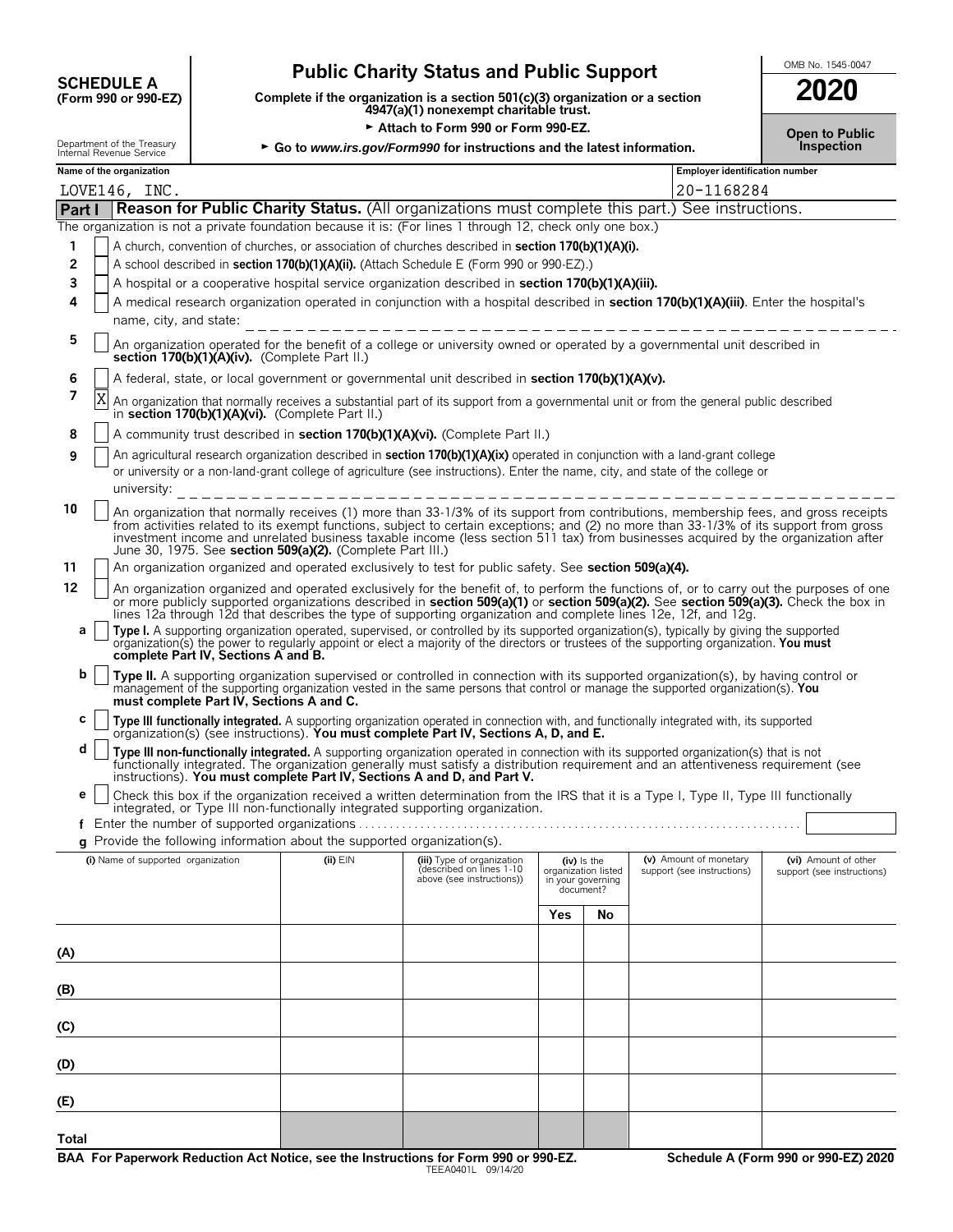# **CHEDULE A** Public Charity Status and Public Support<br>
(Form 990 or 990-EZ) Complete if the organization is a section 501(c)(3) organization or a section

**COMPOSCHEDULE A**<br>(Form 990 or 990-EZ) Complete if the organization is a section 501(c)(3) organization or a section<br>4947(a)(1) nonexempt charitable trust.

Attach to Form 990 or Form 990-EZ.

Department of the Treasury  $\rightarrow$  Go to *www.irs.gov/Form990 for instructions and the latest information.* 

| 2020                                |  |
|-------------------------------------|--|
| <b>Open to Public</b><br>Inspection |  |

| Maura af tha annsnimstian  |  |  |
|----------------------------|--|--|
| 11101110111001010000011100 |  |  |

|        |   | Name of the organization                                                                                                                                                                                                                                                                                                                                                                                                                                                         |                                                                                                                                                                                            |                                                       |                                                       |    | <b>Employer identification number</b>                            |                                                    |  |  |  |  |
|--------|---|----------------------------------------------------------------------------------------------------------------------------------------------------------------------------------------------------------------------------------------------------------------------------------------------------------------------------------------------------------------------------------------------------------------------------------------------------------------------------------|--------------------------------------------------------------------------------------------------------------------------------------------------------------------------------------------|-------------------------------------------------------|-------------------------------------------------------|----|------------------------------------------------------------------|----------------------------------------------------|--|--|--|--|
|        |   | LOVE146, INC.                                                                                                                                                                                                                                                                                                                                                                                                                                                                    |                                                                                                                                                                                            |                                                       |                                                       |    | 20-1168284                                                       |                                                    |  |  |  |  |
| Part I |   | Reason for Public Charity Status. (All organizations must complete this part.) See instructions.                                                                                                                                                                                                                                                                                                                                                                                 |                                                                                                                                                                                            |                                                       |                                                       |    |                                                                  |                                                    |  |  |  |  |
|        |   | The organization is not a private foundation because it is: (For lines 1 through 12, check only one box.)                                                                                                                                                                                                                                                                                                                                                                        |                                                                                                                                                                                            |                                                       |                                                       |    |                                                                  |                                                    |  |  |  |  |
| 1      |   | A church, convention of churches, or association of churches described in section 170(b)(1)(A)(i).                                                                                                                                                                                                                                                                                                                                                                               |                                                                                                                                                                                            |                                                       |                                                       |    |                                                                  |                                                    |  |  |  |  |
| 2      |   | A school described in section 170(b)(1)(A)(ii). (Attach Schedule E (Form 990 or 990-EZ).)                                                                                                                                                                                                                                                                                                                                                                                        |                                                                                                                                                                                            |                                                       |                                                       |    |                                                                  |                                                    |  |  |  |  |
| 3      |   | A hospital or a cooperative hospital service organization described in section 170(b)(1)(A)(iii).                                                                                                                                                                                                                                                                                                                                                                                |                                                                                                                                                                                            |                                                       |                                                       |    |                                                                  |                                                    |  |  |  |  |
| 4      |   | A medical research organization operated in conjunction with a hospital described in section 170(b)(1)(A)(iii). Enter the hospital's                                                                                                                                                                                                                                                                                                                                             |                                                                                                                                                                                            |                                                       |                                                       |    |                                                                  |                                                    |  |  |  |  |
|        |   | name, city, and state:                                                                                                                                                                                                                                                                                                                                                                                                                                                           |                                                                                                                                                                                            |                                                       |                                                       |    |                                                                  |                                                    |  |  |  |  |
| 5      |   | An organization operated for the benefit of a college or university owned or operated by a governmental unit described in<br>section 170(b)(1)(A)(iv). (Complete Part II.)                                                                                                                                                                                                                                                                                                       |                                                                                                                                                                                            |                                                       |                                                       |    |                                                                  |                                                    |  |  |  |  |
| 6      |   |                                                                                                                                                                                                                                                                                                                                                                                                                                                                                  | A federal, state, or local government or governmental unit described in section 170(b)(1)(A)(v).                                                                                           |                                                       |                                                       |    |                                                                  |                                                    |  |  |  |  |
| 7      | Χ |                                                                                                                                                                                                                                                                                                                                                                                                                                                                                  | An organization that normally receives a substantial part of its support from a governmental unit or from the general public described<br>in section 170(b)(1)(A)(vi). (Complete Part II.) |                                                       |                                                       |    |                                                                  |                                                    |  |  |  |  |
| 8      |   | A community trust described in section 170(b)(1)(A)(vi). (Complete Part II.)                                                                                                                                                                                                                                                                                                                                                                                                     |                                                                                                                                                                                            |                                                       |                                                       |    |                                                                  |                                                    |  |  |  |  |
| 9      |   | An agricultural research organization described in section 170(b)(1)(A)(ix) operated in conjunction with a land-grant college                                                                                                                                                                                                                                                                                                                                                    |                                                                                                                                                                                            |                                                       |                                                       |    |                                                                  |                                                    |  |  |  |  |
|        |   | or university or a non-land-grant college of agriculture (see instructions). Enter the name, city, and state of the college or                                                                                                                                                                                                                                                                                                                                                   |                                                                                                                                                                                            |                                                       |                                                       |    |                                                                  |                                                    |  |  |  |  |
|        |   | university:                                                                                                                                                                                                                                                                                                                                                                                                                                                                      |                                                                                                                                                                                            | _________________________________                     |                                                       |    |                                                                  |                                                    |  |  |  |  |
| 10     |   | An organization that normally receives (1) more than 33-1/3% of its support from contributions, membership fees, and gross receipts<br>from activities related to its exempt functions, subject to certain exceptions; and (2) no more than 33-1/3% of its support from gross<br>investment income and unrelated business taxable income (less section 511 tax) from businesses acquired by the organization after<br>June 30, 1975. See section 509(a)(2). (Complete Part III.) |                                                                                                                                                                                            |                                                       |                                                       |    |                                                                  |                                                    |  |  |  |  |
| 11     |   | An organization organized and operated exclusively to test for public safety. See section 509(a)(4).                                                                                                                                                                                                                                                                                                                                                                             |                                                                                                                                                                                            |                                                       |                                                       |    |                                                                  |                                                    |  |  |  |  |
| 12     |   | An organization organized and operated exclusively for the benefit of, to perform the functions of, or to carry out the purposes of one<br>or more publicly supported organizations described in section 509(a)(1) or section 509(a)(2). See section 509(a)(3). Check the box in                                                                                                                                                                                                 |                                                                                                                                                                                            |                                                       |                                                       |    |                                                                  |                                                    |  |  |  |  |
|        |   | lines 12a through 12d that describes the type of supporting organization and complete lines 12e, 12f, and 12g.                                                                                                                                                                                                                                                                                                                                                                   |                                                                                                                                                                                            |                                                       |                                                       |    |                                                                  |                                                    |  |  |  |  |
| а      |   | Type I. A supporting organization operated, supervised, or controlled by its supported organization(s), typically by giving the supported organization(s) the power to regularly appoint or elect a majority of the directors<br>complete Part IV, Sections A and B.                                                                                                                                                                                                             |                                                                                                                                                                                            |                                                       |                                                       |    |                                                                  |                                                    |  |  |  |  |
| b      |   | Type II. A supporting organization supervised or controlled in connection with its supported organization(s), by having control or<br>management of the supporting organization vested in the same persons that control or manage the supported organization(s). You<br>must complete Part IV, Sections A and C.                                                                                                                                                                 |                                                                                                                                                                                            |                                                       |                                                       |    |                                                                  |                                                    |  |  |  |  |
| C      |   | Type III functionally integrated. A supporting organization operated in connection with, and functionally integrated with, its supported organization(s) (see instructions). You must complete Part IV, Sections A, D, and E.                                                                                                                                                                                                                                                    |                                                                                                                                                                                            |                                                       |                                                       |    |                                                                  |                                                    |  |  |  |  |
| d      |   | Type III non-functionally integrated. A supporting organization operated in connection with its supported organization(s) that is not<br>functionally integrated. The organization generally must satisfy a distribution requirement and an attentiveness requirement (see                                                                                                                                                                                                       |                                                                                                                                                                                            |                                                       |                                                       |    |                                                                  |                                                    |  |  |  |  |
| е      |   | instructions). You must complete Part IV, Sections A and D, and Part V.<br>Check this box if the organization received a written determination from the IRS that it is a Type I, Type II, Type III functionally                                                                                                                                                                                                                                                                  |                                                                                                                                                                                            |                                                       |                                                       |    |                                                                  |                                                    |  |  |  |  |
|        |   | integrated, or Type III non-functionally integrated supporting organization.                                                                                                                                                                                                                                                                                                                                                                                                     |                                                                                                                                                                                            |                                                       |                                                       |    |                                                                  |                                                    |  |  |  |  |
|        |   | g Provide the following information about the supported organization(s).                                                                                                                                                                                                                                                                                                                                                                                                         |                                                                                                                                                                                            |                                                       |                                                       |    |                                                                  |                                                    |  |  |  |  |
|        |   | (i) Name of supported organization (ii) EIN (iii) Type of organization                                                                                                                                                                                                                                                                                                                                                                                                           |                                                                                                                                                                                            | (described on lines 1-10<br>above (see instructions)) | organization listed<br>in your governing<br>document? |    | (iv) Is the (v) Amount of monetary<br>support (see instructions) | (vi) Amount of other<br>support (see instructions) |  |  |  |  |
|        |   |                                                                                                                                                                                                                                                                                                                                                                                                                                                                                  |                                                                                                                                                                                            |                                                       | <b>Yes</b>                                            | No |                                                                  |                                                    |  |  |  |  |
|        |   |                                                                                                                                                                                                                                                                                                                                                                                                                                                                                  |                                                                                                                                                                                            |                                                       |                                                       |    |                                                                  |                                                    |  |  |  |  |
| (A)    |   |                                                                                                                                                                                                                                                                                                                                                                                                                                                                                  |                                                                                                                                                                                            |                                                       |                                                       |    |                                                                  |                                                    |  |  |  |  |
| (B)    |   |                                                                                                                                                                                                                                                                                                                                                                                                                                                                                  |                                                                                                                                                                                            |                                                       |                                                       |    |                                                                  |                                                    |  |  |  |  |
| (C)    |   |                                                                                                                                                                                                                                                                                                                                                                                                                                                                                  |                                                                                                                                                                                            |                                                       |                                                       |    |                                                                  |                                                    |  |  |  |  |
| (D)    |   |                                                                                                                                                                                                                                                                                                                                                                                                                                                                                  |                                                                                                                                                                                            |                                                       |                                                       |    |                                                                  |                                                    |  |  |  |  |
| (E)    |   |                                                                                                                                                                                                                                                                                                                                                                                                                                                                                  |                                                                                                                                                                                            |                                                       |                                                       |    |                                                                  |                                                    |  |  |  |  |
| Total  |   |                                                                                                                                                                                                                                                                                                                                                                                                                                                                                  |                                                                                                                                                                                            |                                                       |                                                       |    |                                                                  |                                                    |  |  |  |  |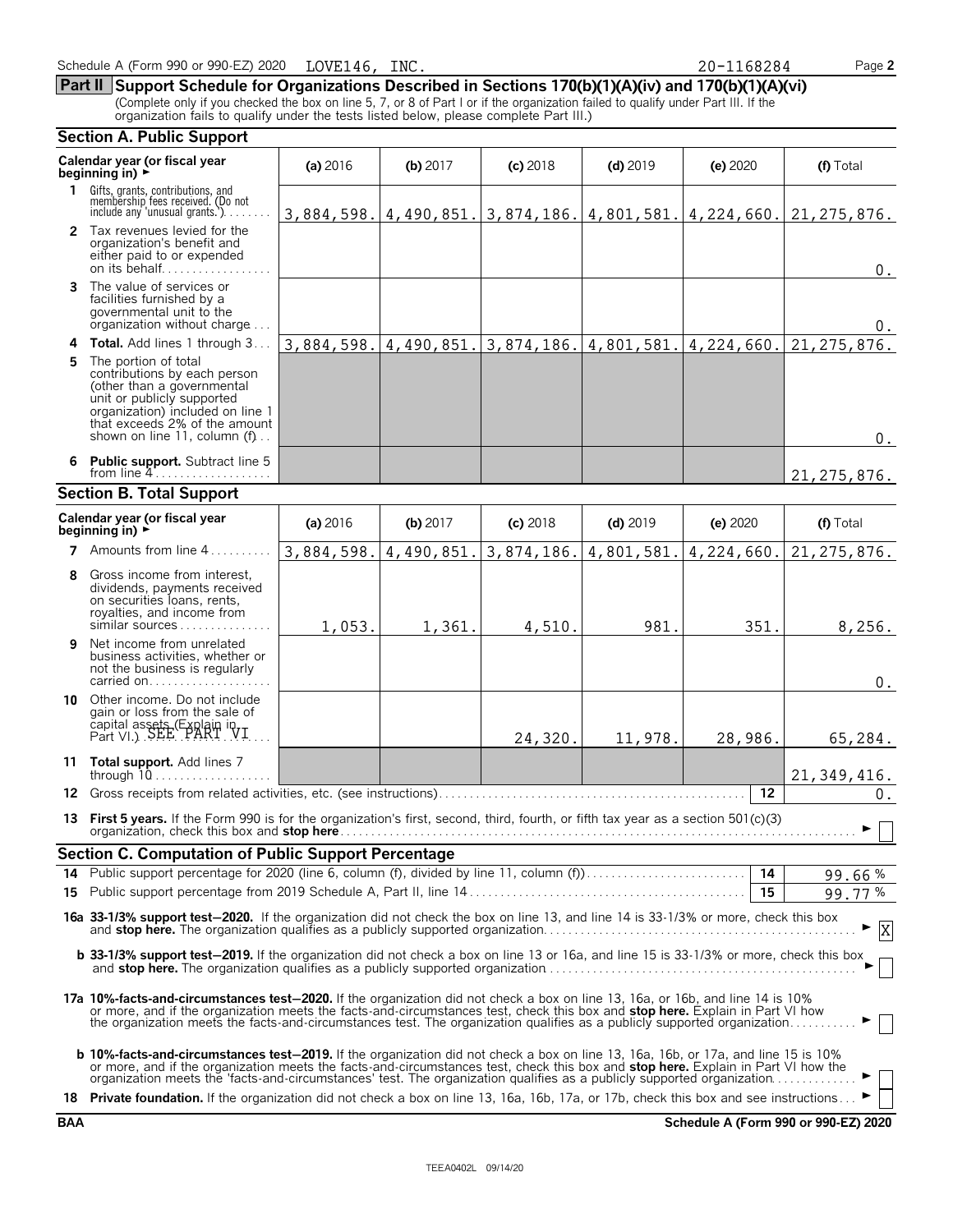|    | organization fails to qualify under the tests listed below, please complete Part III.)                                                                                                                                                                                                                                                                                                                  |            |            |            |                                                     |                 |               |
|----|---------------------------------------------------------------------------------------------------------------------------------------------------------------------------------------------------------------------------------------------------------------------------------------------------------------------------------------------------------------------------------------------------------|------------|------------|------------|-----------------------------------------------------|-----------------|---------------|
|    | <b>Section A. Public Support</b>                                                                                                                                                                                                                                                                                                                                                                        |            |            |            |                                                     |                 |               |
|    | Calendar year (or fiscal year<br>beginning in) $\rightarrow$                                                                                                                                                                                                                                                                                                                                            | (a) 2016   | $(b)$ 2017 | $(c)$ 2018 | $(d)$ 2019                                          | (e) 2020        | (f) Total     |
|    | 1 Gifts, grants, contributions, and<br>membership fees received. (Do not<br>include any 'unusual grants.'). $\ldots$                                                                                                                                                                                                                                                                                    |            |            |            | $3,884,598.$ 4, 490, 851. 3, 874, 186. 4, 801, 581. | 4,224,660.      | 21, 275, 876. |
|    | 2 Tax revenues levied for the<br>organization's benefit and<br>either paid to or expended                                                                                                                                                                                                                                                                                                               |            |            |            |                                                     |                 | $0_{.}$       |
| 3  | The value of services or<br>facilities furnished by a<br>governmental unit to the<br>organization without charge                                                                                                                                                                                                                                                                                        |            |            |            |                                                     |                 | $0$ .         |
| 4  | <b>Total.</b> Add lines 1 through 3                                                                                                                                                                                                                                                                                                                                                                     | 3,884,598. | 4,490,851. | 3,874,186. | 4,801,581.                                          | 4,224,660.      | 21, 275, 876. |
| 5. | The portion of total<br>contributions by each person<br>(other than a governmental<br>unit or publicly supported<br>organization) included on line 1<br>that exceeds 2% of the amount<br>shown on line 11, column $(f)$                                                                                                                                                                                 |            |            |            |                                                     |                 | $0_{.}$       |
| 6  | <b>Public support.</b> Subtract line 5                                                                                                                                                                                                                                                                                                                                                                  |            |            |            |                                                     |                 | 21, 275, 876. |
|    | <b>Section B. Total Support</b>                                                                                                                                                                                                                                                                                                                                                                         |            |            |            |                                                     |                 |               |
|    | Calendar year (or fiscal year<br>beginning in) $\rightarrow$                                                                                                                                                                                                                                                                                                                                            | (a) 2016   | $(b)$ 2017 | $(c)$ 2018 | $(d)$ 2019                                          | (e) 2020        | (f) Total     |
|    | 7 Amounts from line 4.                                                                                                                                                                                                                                                                                                                                                                                  | 3,884,598. | 4,490,851. | 3,874,186. | 4,801,581.                                          | 4,224,660.      | 21, 275, 876. |
| 8  | Gross income from interest,<br>dividends, payments received<br>on securities loans, rents,<br>royalties, and income from<br>similar sources                                                                                                                                                                                                                                                             | 1,053.     | 1,361.     | 4,510.     | 981.                                                | 351.            | 8,256.        |
| 9  | Net income from unrelated<br>business activities, whether or<br>not the business is regularly                                                                                                                                                                                                                                                                                                           |            |            |            |                                                     |                 | $0$ .         |
| 10 | Other income. Do not include<br>gain or loss from the sale of<br>capital assets (Explain in Part VI.)                                                                                                                                                                                                                                                                                                   |            |            | 24,320.    | 11,978.                                             | 28,986.         | 65,284.       |
|    | 11 Total support. Add lines 7<br>through $10$                                                                                                                                                                                                                                                                                                                                                           |            |            |            |                                                     |                 | 21, 349, 416. |
|    | 12 Gross receipts from related activities, etc. (see instructions)                                                                                                                                                                                                                                                                                                                                      |            |            |            |                                                     | 12              | $0$ .         |
|    | 13 First 5 years. If the Form 990 is for the organization's first, second, third, fourth, or fifth tax year as a section 501(c)(3)                                                                                                                                                                                                                                                                      |            |            |            |                                                     |                 |               |
|    | Section C. Computation of Public Support Percentage                                                                                                                                                                                                                                                                                                                                                     |            |            |            |                                                     |                 |               |
|    |                                                                                                                                                                                                                                                                                                                                                                                                         |            |            |            |                                                     | $\overline{14}$ | 99.66%        |
|    |                                                                                                                                                                                                                                                                                                                                                                                                         |            |            |            |                                                     | 15              | 99.77%        |
|    | 16a 33-1/3% support test-2020. If the organization did not check the box on line 13, and line 14 is 33-1/3% or more, check this box                                                                                                                                                                                                                                                                     |            |            |            |                                                     |                 | X             |
|    | b 33-1/3% support test-2019. If the organization did not check a box on line 13 or 16a, and line 15 is 33-1/3% or more, check this box                                                                                                                                                                                                                                                                  |            |            |            |                                                     |                 |               |
|    | 17a 10%-facts-and-circumstances test-2020. If the organization did not check a box on line 13, 16a, or 16b, and line 14 is 10%<br>or more, and if the organization meets the facts-and-circumstances test, check this box and stop here. Explain in Part VI how<br>the organization meets the facts-and-circumstances test. The organization qualifies as a publicly supported organization             |            |            |            |                                                     |                 |               |
|    | <b>b 10%-facts-and-circumstances test-2019.</b> If the organization did not check a box on line 13, 16a, 16b, or 17a, and line 15 is 10%<br>or more, and if the organization meets the facts-and-circumstances test, check this box and stop here. Explain in Part VI how the<br>organization meets the 'facts-and-circumstances' test. The organization qualifies as a publicly supported organization |            |            |            |                                                     |                 |               |
|    | 18 Private foundation. If the organization did not check a box on line 13, 16a, 16b, 17a, or 17b, check this box and see instructions                                                                                                                                                                                                                                                                   |            |            |            |                                                     |                 |               |

#### Schedule A (Form 990 or 990-EZ) 2020 Page **2** LOVE146, INC. 20-1168284

**Part II Support Schedule for Organizations Described in Sections 170(b)(1)(A)(iv) and 170(b)(1)(A)(vi)** (Complete only if you checked the box on line 5, 7, or 8 of Part I or if the organization failed to qualify under Part III. If the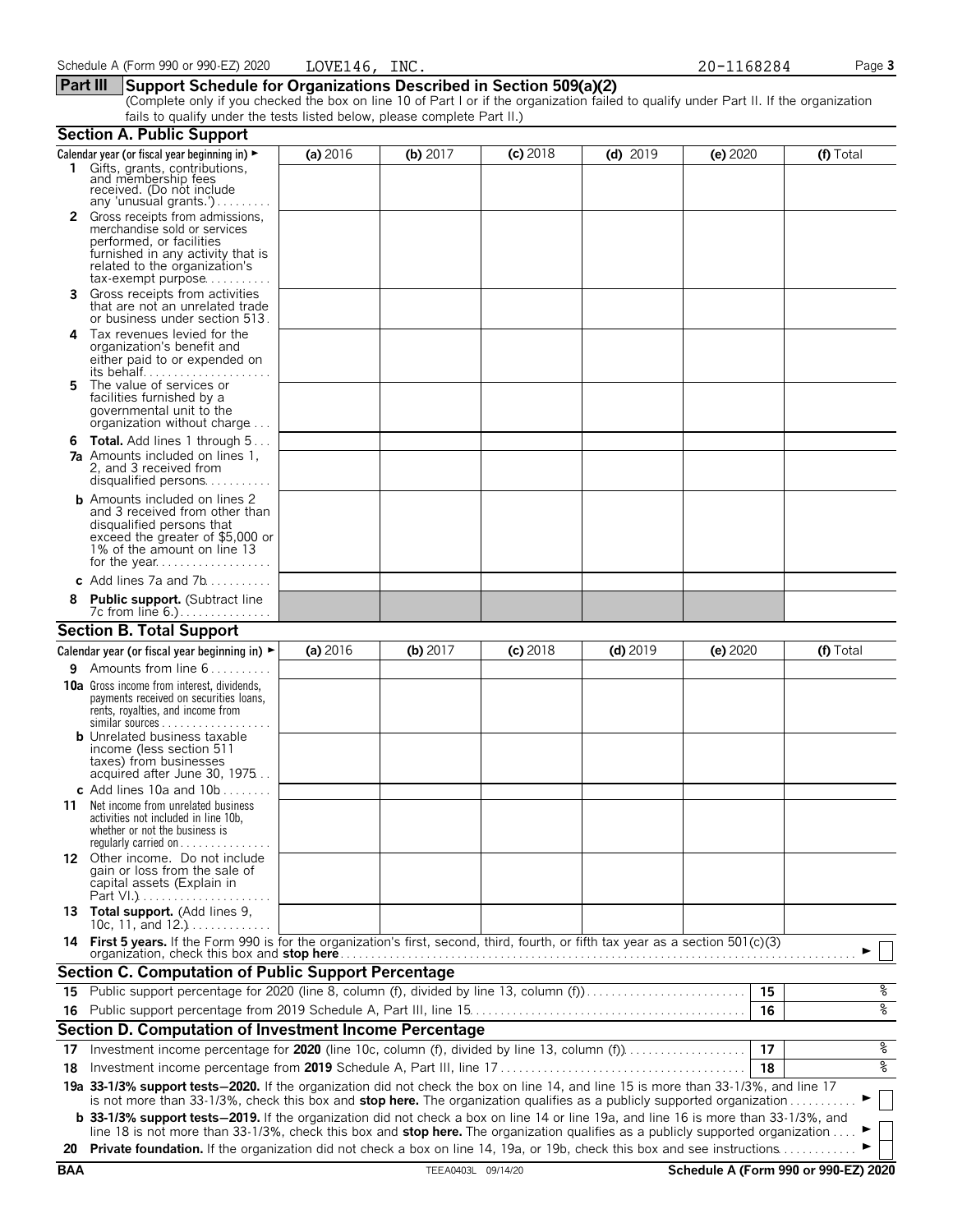#### **Part III Support Schedule for Organizations Described in Section 509(a)(2)**

(Complete only if you checked the box on line 10 of Part I or if the organization failed to qualify under Part II. If the organization fails to qualify under the tests listed below, please complete Part II.)

|            | <b>Section A. Public Support</b>                                                                                                                                                                                                                                              |          |                    |            |            |          |                                      |
|------------|-------------------------------------------------------------------------------------------------------------------------------------------------------------------------------------------------------------------------------------------------------------------------------|----------|--------------------|------------|------------|----------|--------------------------------------|
|            | Calendar year (or fiscal year beginning in) $\blacktriangleright$                                                                                                                                                                                                             | (a) 2016 | (b) $2017$         | $(c)$ 2018 | $(d)$ 2019 | (e) 2020 | (f) Total                            |
|            | 1 Gifts, grants, contributions,<br>and membership fees<br>received. (Do not include<br>any 'unusual grants.')                                                                                                                                                                 |          |                    |            |            |          |                                      |
|            | Gross receipts from admissions,<br>merchandise sold or services<br>performed, or facilities<br>furnished in any activity that is<br>related to the organization's<br>$tax\text{-}exempt$ purpose                                                                              |          |                    |            |            |          |                                      |
| 3.         | Gross receipts from activities<br>that are not an unrelated trade<br>or business under section 513.                                                                                                                                                                           |          |                    |            |            |          |                                      |
| 4          | Tax revenues levied for the<br>organization's benefit and<br>either paid to or expended on<br>its behalf                                                                                                                                                                      |          |                    |            |            |          |                                      |
| 5.         | The value of services or<br>facilities furnished by a<br>governmental unit to the<br>organization without charge                                                                                                                                                              |          |                    |            |            |          |                                      |
|            | <b>6 Total.</b> Add lines 1 through 5<br><b>7a</b> Amounts included on lines 1,<br>2, and 3 received from<br>disqualified persons                                                                                                                                             |          |                    |            |            |          |                                      |
|            | <b>b</b> Amounts included on lines 2<br>and 3 received from other than<br>disqualified persons that<br>exceed the greater of \$5,000 or<br>1% of the amount on line 13                                                                                                        |          |                    |            |            |          |                                      |
|            | c Add lines $7a$ and $7b$                                                                                                                                                                                                                                                     |          |                    |            |            |          |                                      |
|            | <b>Public support.</b> (Subtract line                                                                                                                                                                                                                                         |          |                    |            |            |          |                                      |
|            | <b>Section B. Total Support</b>                                                                                                                                                                                                                                               |          |                    |            |            |          |                                      |
|            | Calendar year (or fiscal year beginning in) $\blacktriangleright$                                                                                                                                                                                                             | (a) 2016 | (b) 2017           | $(c)$ 2018 | $(d)$ 2019 | (e) 2020 | (f) Total                            |
| 9.         | Amounts from line 6                                                                                                                                                                                                                                                           |          |                    |            |            |          |                                      |
|            | <b>10a</b> Gross income from interest, dividends,<br>payments received on securities loans,<br>rents, royalties, and income from<br><b>b</b> Unrelated business taxable                                                                                                       |          |                    |            |            |          |                                      |
|            | income (less section 511<br>taxes) from businesses<br>acquired after June 30, 1975<br>c Add lines 10a and $10b$                                                                                                                                                               |          |                    |            |            |          |                                      |
| 11         | Net income from unrelated business<br>activities not included in line 10b,<br>whether or not the business is<br>regularly carried on $\dots\dots\dots\dots\dots$                                                                                                              |          |                    |            |            |          |                                      |
|            | 12 Other income. Do not include<br>gain or loss from the sale of<br>capital assets (Explain in                                                                                                                                                                                |          |                    |            |            |          |                                      |
|            | 13 Total support. (Add lines 9,<br>10c, 11, and $12.$ )                                                                                                                                                                                                                       |          |                    |            |            |          |                                      |
|            | 14 First 5 years. If the Form 990 is for the organization's first, second, third, fourth, or fifth tax year as a section 501(c)(3)<br>organization, check this box and <b>stop here</b>                                                                                       |          |                    |            |            |          |                                      |
|            | <b>Section C. Computation of Public Support Percentage</b>                                                                                                                                                                                                                    |          |                    |            |            |          |                                      |
|            | 15 Public support percentage for 2020 (line 8, column (f), divided by line 13, column (f)                                                                                                                                                                                     |          |                    |            |            | 15       | နွ                                   |
|            |                                                                                                                                                                                                                                                                               |          |                    |            |            | 16       | နွ                                   |
|            | Section D. Computation of Investment Income Percentage                                                                                                                                                                                                                        |          |                    |            |            |          |                                      |
| 17         | Investment income percentage for 2020 (line 10c, column (f), divided by line 13, column (f)                                                                                                                                                                                   |          |                    |            |            | 17       | နွ                                   |
| 18         |                                                                                                                                                                                                                                                                               |          |                    |            |            | 18       | နွ                                   |
|            | 19a 33-1/3% support tests-2020. If the organization did not check the box on line 14, and line 15 is more than 33-1/3%, and line 17<br>is not more than 33-1/3%, check this box and stop here. The organization qualifies as a publicly supported organization                |          |                    |            |            |          |                                      |
|            | <b>b</b> 33-1/3% support tests-2019. If the organization did not check a box on line 14 or line 19a, and line 16 is more than 33-1/3%, and<br>line 18 is not more than 33-1/3%, check this box and stop here. The organization qualifies as a publicly supported organization |          |                    |            |            |          |                                      |
| 20         | Private foundation. If the organization did not check a box on line 14, 19a, or 19b, check this box and see instructions                                                                                                                                                      |          |                    |            |            |          |                                      |
| <b>BAA</b> |                                                                                                                                                                                                                                                                               |          | TEEA0403L 09/14/20 |            |            |          | Schedule A (Form 990 or 990-EZ) 2020 |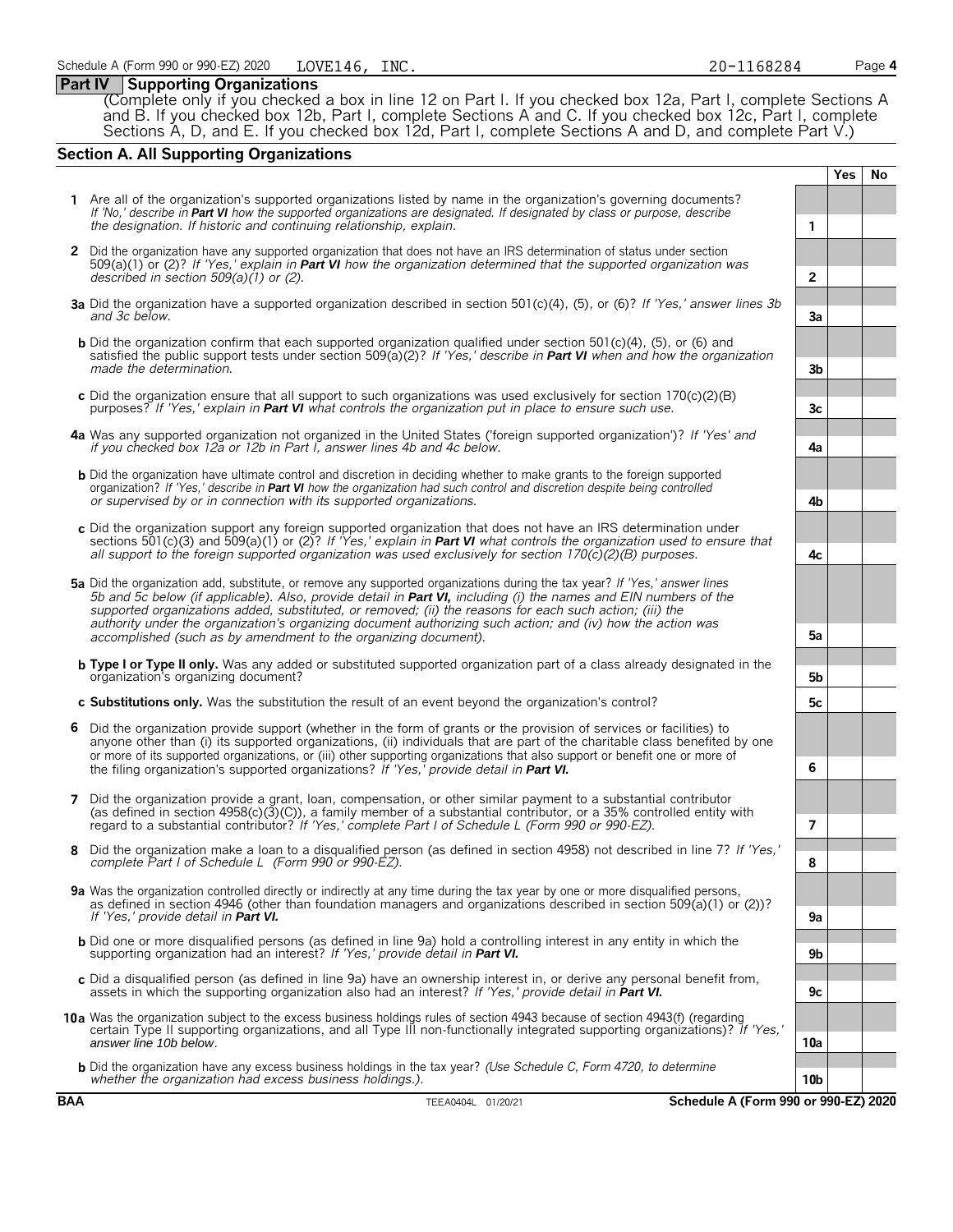#### **Part IV Supporting Organizations**

(Complete only if you checked a box in line 12 on Part I. If you checked box 12a, Part I, complete Sections A and B. If you checked box 12b, Part I, complete Sections A and C. If you checked box 12c, Part I, complete Sections A, D, and E. If you checked box 12d, Part I, complete Sections A and D, and complete Part V.)

### **Section A. All Supporting Organizations**

|   |                                                                                                                                                                                                                                                                                                                                                                                                                                                                                                                                                      |                 | <b>Yes</b> | <b>No</b> |
|---|------------------------------------------------------------------------------------------------------------------------------------------------------------------------------------------------------------------------------------------------------------------------------------------------------------------------------------------------------------------------------------------------------------------------------------------------------------------------------------------------------------------------------------------------------|-----------------|------------|-----------|
|   | 1 Are all of the organization's supported organizations listed by name in the organization's governing documents?<br>If 'No,' describe in Part VI how the supported organizations are designated. If designated by class or purpose, describe<br>the designation. If historic and continuing relationship, explain.                                                                                                                                                                                                                                  | 1               |            |           |
|   | 2 Did the organization have any supported organization that does not have an IRS determination of status under section<br>$509(a)(1)$ or (2)? If 'Yes,' explain in <b>Part VI</b> how the organization determined that the supported organization was<br>described in section $509(a)(1)$ or (2).                                                                                                                                                                                                                                                    | $\overline{2}$  |            |           |
|   | 3a Did the organization have a supported organization described in section 501(c)(4), (5), or (6)? If 'Yes,' answer lines 3b<br>and 3c below.                                                                                                                                                                                                                                                                                                                                                                                                        | 3a              |            |           |
|   | <b>b</b> Did the organization confirm that each supported organization qualified under section 501(c)(4), (5), or (6) and<br>satisfied the public support tests under section 509( $a(2)$ ? If 'Yes,' describe in <b>Part VI</b> when and how the organization<br>made the determination.                                                                                                                                                                                                                                                            | 3 <sub>b</sub>  |            |           |
|   | c Did the organization ensure that all support to such organizations was used exclusively for section $170(c)(2)(B)$<br>purposes? If 'Yes,' explain in <b>Part VI</b> what controls the organization put in place to ensure such use.                                                                                                                                                                                                                                                                                                                | 3c              |            |           |
|   | 4a Was any supported organization not organized in the United States ('foreign supported organization')? If 'Yes' and<br>if you checked box 12a or 12b in Part I, answer lines 4b and 4c below.                                                                                                                                                                                                                                                                                                                                                      | 4a              |            |           |
|   | <b>b</b> Did the organization have ultimate control and discretion in deciding whether to make grants to the foreign supported<br>organization? If 'Yes,' describe in Part VI how the organization had such control and discretion despite being controlled<br>or supervised by or in connection with its supported organizations.                                                                                                                                                                                                                   | 4b              |            |           |
|   | c Did the organization support any foreign supported organization that does not have an IRS determination under<br>sections 501(c)(3) and 509(a)(1) or (2)? If 'Yes,' explain in <b>Part VI</b> what controls the organization used to ensure that<br>all support to the foreign supported organization was used exclusively for section $170(c)(2)(B)$ purposes.                                                                                                                                                                                    | 4c              |            |           |
|   | 5a Did the organization add, substitute, or remove any supported organizations during the tax year? If 'Yes,' answer lines<br>5b and 5c below (if applicable). Also, provide detail in <b>Part VI</b> , including (i) the names and EIN numbers of the<br>supported organizations added, substituted, or removed; (ii) the reasons for each such action; (iii) the<br>authority under the organization's organizing document authorizing such action; and (iv) how the action was<br>accomplished (such as by amendment to the organizing document). | 5a              |            |           |
|   | <b>b</b> Type I or Type II only. Was any added or substituted supported organization part of a class already designated in the<br>organization's organizing document?                                                                                                                                                                                                                                                                                                                                                                                | 5b              |            |           |
|   | c Substitutions only. Was the substitution the result of an event beyond the organization's control?                                                                                                                                                                                                                                                                                                                                                                                                                                                 | 5с              |            |           |
| 6 | Did the organization provide support (whether in the form of grants or the provision of services or facilities) to<br>anyone other than (i) its supported organizations, (ii) individuals that are part of the charitable class benefited by one<br>or more of its supported organizations, or (iii) other supporting organizations that also support or benefit one or more of<br>the filing organization's supported organizations? If 'Yes,' provide detail in Part VI.                                                                           | 6               |            |           |
| 7 | Did the organization provide a grant, loan, compensation, or other similar payment to a substantial contributor<br>(as defined in section $4958(c)(3)(c)$ ), a family member of a substantial contributor, or a 35% controlled entity with<br>regard to a substantial contributor? If 'Yes,' complete Part I of Schedule L (Form 990 or 990-EZ).                                                                                                                                                                                                     | 7               |            |           |
| 8 | Did the organization make a loan to a disqualified person (as defined in section 4958) not described in line 7? If 'Yes,'<br>complete Part I of Schedule L (Form 990 or 990-EZ).                                                                                                                                                                                                                                                                                                                                                                     | 8               |            |           |
|   | 9a Was the organization controlled directly or indirectly at any time during the tax year by one or more disqualified persons,<br>as defined in section 4946 (other than foundation managers and organizations described in section 509(a)(1) or (2))?<br>If 'Yes,' provide detail in <b>Part VI.</b>                                                                                                                                                                                                                                                | 9a              |            |           |
|   | <b>b</b> Did one or more disqualified persons (as defined in line 9a) hold a controlling interest in any entity in which the<br>supporting organization had an interest? If 'Yes,' provide detail in Part VI.                                                                                                                                                                                                                                                                                                                                        | 9b              |            |           |
|   | c Did a disqualified person (as defined in line 9a) have an ownership interest in, or derive any personal benefit from,<br>assets in which the supporting organization also had an interest? If 'Yes,' provide detail in <b>Part VI.</b>                                                                                                                                                                                                                                                                                                             | 9c              |            |           |
|   | 10a Was the organization subject to the excess business holdings rules of section 4943 because of section 4943(f) (regarding<br>certain Type II supporting organizations, and all Type III non-functionally integrated supporting organizations)? If 'Yes,'<br>answer line 10b below.                                                                                                                                                                                                                                                                | 10a             |            |           |
|   | <b>b</b> Did the organization have any excess business holdings in the tax year? (Use Schedule C, Form 4720, to determine<br>whether the organization had excess business holdings.).                                                                                                                                                                                                                                                                                                                                                                | 10 <sub>b</sub> |            |           |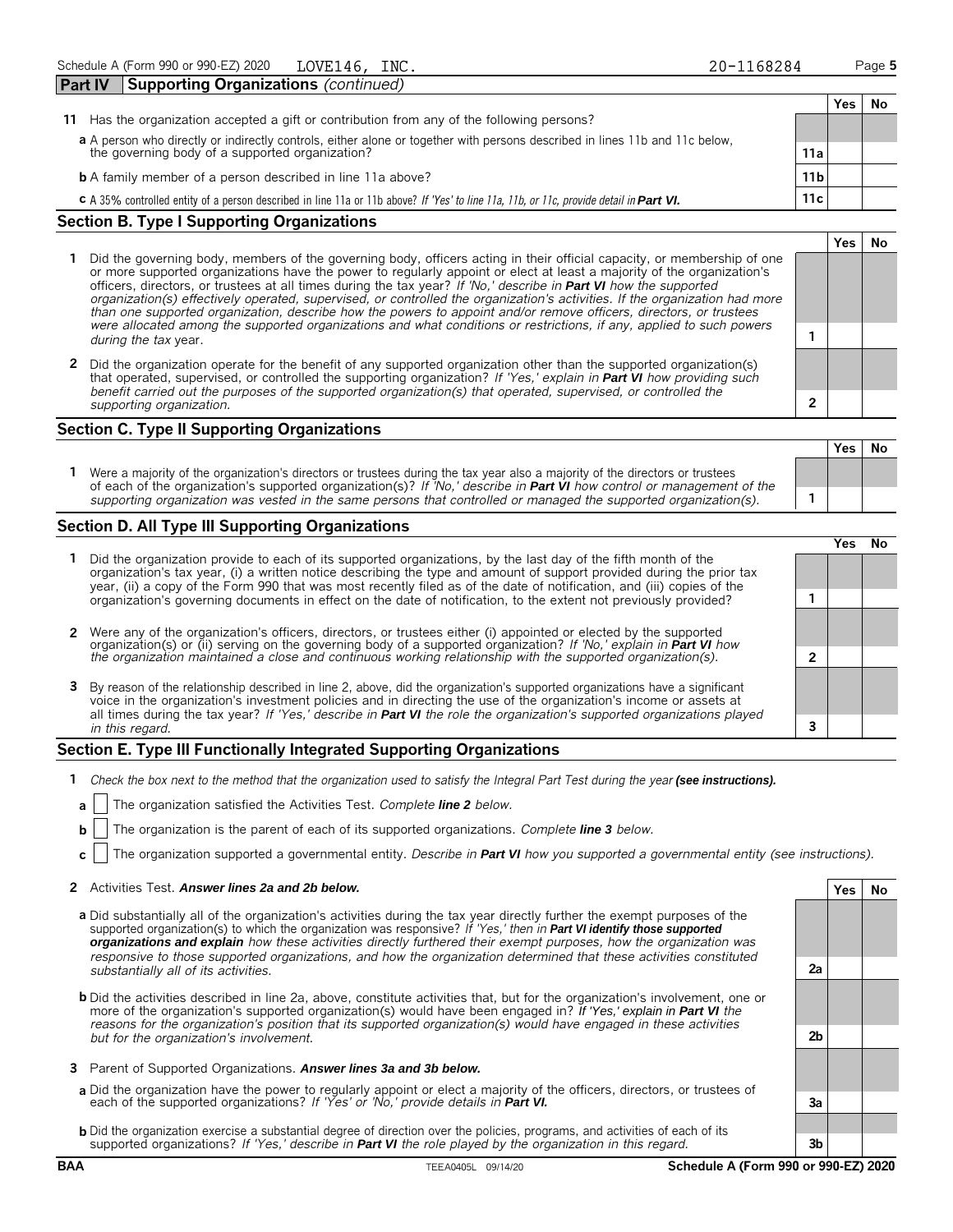|                                                                                                                                         |                 | Yes. | No |  |  |  |
|-----------------------------------------------------------------------------------------------------------------------------------------|-----------------|------|----|--|--|--|
| Has the organization accepted a gift or contribution from any of the following persons?<br>11                                           |                 |      |    |  |  |  |
| a A person who directly or indirectly controls, either alone or together with persons described in lines 11b and 11c below,             |                 |      |    |  |  |  |
| the governing body of a supported organization?                                                                                         | 11a             |      |    |  |  |  |
| <b>b</b> A family member of a person described in line 11a above?                                                                       | 11 <sub>b</sub> |      |    |  |  |  |
| C A 35% controlled entity of a person described in line 11a or 11b above? If 'Yes' to line 11a, 11b, or 11c, provide detail in Part VI. | 11c             |      |    |  |  |  |
| <b>Section B. Type I Supporting Organizations</b>                                                                                       |                 |      |    |  |  |  |

#### **1** Did the governing body, members of the governing body, officers acting in their official capacity, or membership of one or more supported organizations have the power to regularly appoint or elect at least a majority of the organization's officers, directors, or trustees at all times during the tax year? *If 'No,' describe in Part VI how the supported organization(s) effectively operated, supervised, or controlled the organization's activities. If the organization had more than one supported organization, describe how the powers to appoint and/or remove officers, directors, or trustees were allocated among the supported organizations and what conditions or restrictions, if any, applied to such powers*

**2** Did the organization operate for the benefit of any supported organization other than the supported organization(s) that operated, supervised, or controlled the supporting organization? *If 'Yes,' explain in Part VI how providing such benefit carried out the purposes of the supported organization(s) that operated, supervised, or controlled the supporting organization.* **2**

**1** *during the tax* year.

### **Section C. Type II Supporting Organizations**

**Yes No 1** Were a majority of the organization's directors or trustees during the tax year also a majority of the directors or trustees of each of the organization's supported organization(s)? *If 'No,' describe in Part VI how control or management of the supporting organization was vested in the same persons that controlled or managed the supported organization(s).* **1**

#### **Section D. All Type III Supporting Organizations**

|                                                                                                                                                                                                                                                                                                                                                                                       | res |  |
|---------------------------------------------------------------------------------------------------------------------------------------------------------------------------------------------------------------------------------------------------------------------------------------------------------------------------------------------------------------------------------------|-----|--|
| 1 Did the organization provide to each of its supported organizations, by the last day of the fifth month of the<br>organization's tax year, (i) a written notice describing the type and amount of support provided during the prior tax<br>year, (ii) a copy of the Form 990 that was most recently filed as of the date of notification, and (iii) copies of the                   |     |  |
| organization's governing documents in effect on the date of notification, to the extent not previously provided?                                                                                                                                                                                                                                                                      |     |  |
| 2 Were any of the organization's officers, directors, or trustees either (i) appointed or elected by the supported                                                                                                                                                                                                                                                                    |     |  |
| organization(s) or (ii) serving on the governing body of a supported organization? If No, explain in <b>Part VI</b> how<br>the organization maintained a close and continuous working relationship with the supported organization(s).                                                                                                                                                |     |  |
| 3 By reason of the relationship described in line 2, above, did the organization's supported organizations have a significant<br>voice in the organization's investment policies and in directing the use of the organization's income or assets at<br>all times during the tax year? If 'Yes,' describe in <b>Part VI</b> the role the organization's supported organizations played |     |  |
| in this regard.                                                                                                                                                                                                                                                                                                                                                                       |     |  |

#### **Section E. Type III Functionally Integrated Supporting Organizations**

- **1** *Check the box next to the method that the organization used to satisfy the Integral Part Test during the year (see instructions).*
- **a** The organization satisfied the Activities Test. *Complete line 2 below.*
- **b** The organization is the parent of each of its supported organizations. *Complete line 3 below.*
- **c** The organization supported a governmental entity. *Describe in Part VI how you supported a governmental entity (see instructions).*

#### **2** Activities Test. *Answer lines 2a and 2b below.* **Yes No**

- **a** Did substantially all of the organization's activities during the tax year directly further the exempt purposes of the supported organization(s) to which the organization was responsive? *If 'Yes,' then in Part VI identify those supported organizations and explain how these activities directly furthered their exempt purposes, how the organization was responsive to those supported organizations, and how the organization determined that these activities constituted substantially all of its activities.* **2a**
- **b** Did the activities described in line 2a, above, constitute activities that, but for the organization's involvement, one or more of the organization's supported organization(s) would have been engaged in? *If 'Yes,' explain in Part VI the reasons for the organization's position that its supported organization(s) would have engaged in these activities but for the organization's involvement.* **2b**
- **3** Parent of Supported Organizations. *Answer lines 3a and 3b below.*
- **a** Did the organization have the power to regularly appoint or elect a majority of the officers, directors, or trustees of each of the supported organizations? *If 'Yes' or 'No,' provide details in Part VI.* **3a**
- **b** Did the organization exercise a substantial degree of direction over the policies, programs, and activities of each of its supported organizations? *If 'Yes,' describe in Part VI the role played by the organization in this regard.* **3b**

LOVE146, INC. 20-1168284

**Yes No**

|   | Yes | <b>No</b> |
|---|-----|-----------|
|   |     |           |
|   |     |           |
| 1 |     |           |
|   |     |           |
|   | Yes | <b>No</b> |
|   |     |           |
|   |     |           |

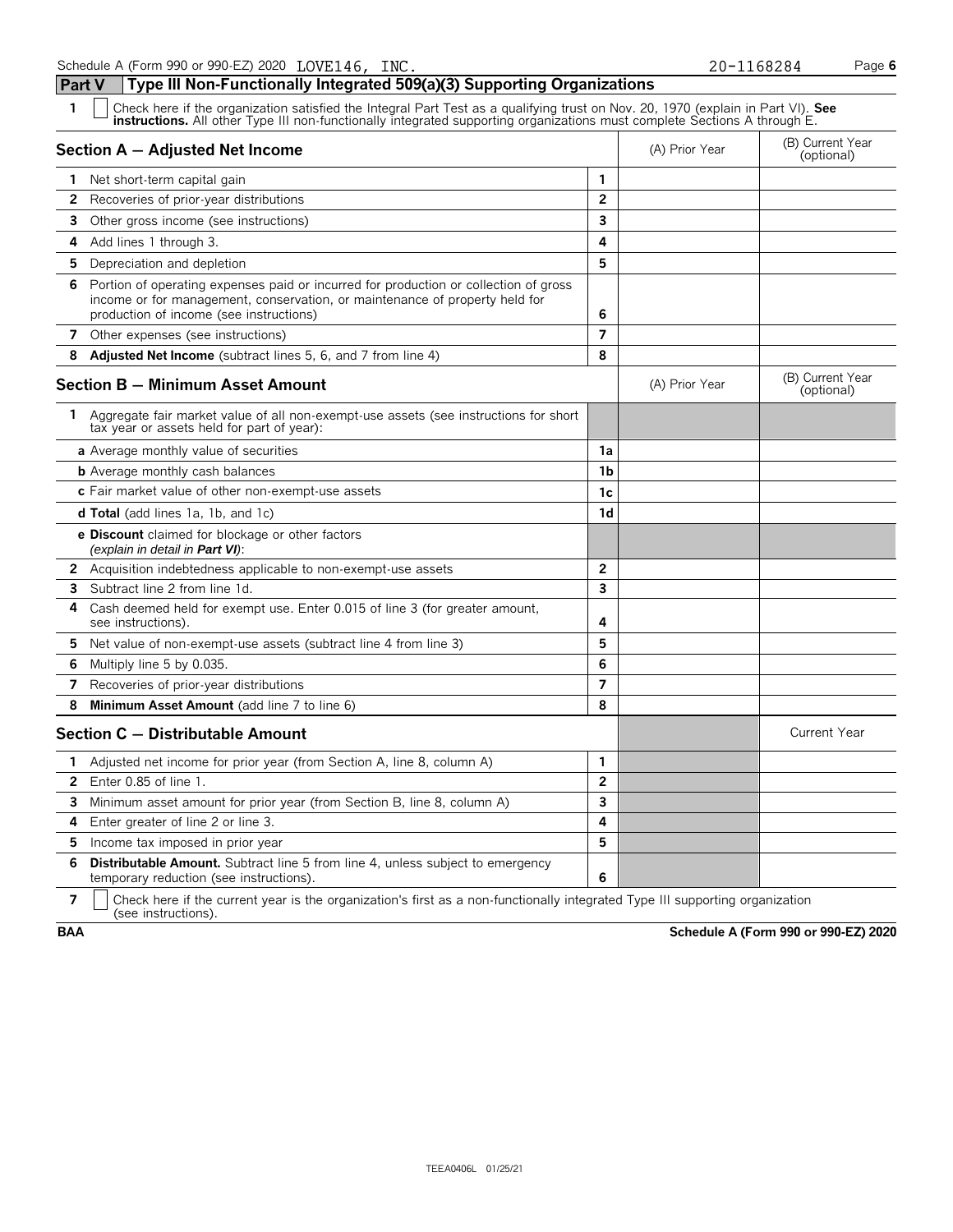**Part V Type III Non-Functionally Integrated 509(a)(3) Supporting Organizations**

| $\mathbf{1}$ | Check here if the organization satisfied the Integral Part Test as a qualifying trust on Nov. 20, 1970 (explain in Part VI). See<br><b>instructions.</b> All other Type III non-functionally integrated supporting organizations must complete Sections A through E. |                |                |                                |
|--------------|----------------------------------------------------------------------------------------------------------------------------------------------------------------------------------------------------------------------------------------------------------------------|----------------|----------------|--------------------------------|
|              | Section A - Adjusted Net Income                                                                                                                                                                                                                                      |                | (A) Prior Year | (B) Current Year<br>(optional) |
| 1            | Net short-term capital gain                                                                                                                                                                                                                                          | 1              |                |                                |
| 2            | Recoveries of prior-year distributions                                                                                                                                                                                                                               | $\overline{2}$ |                |                                |
| 3            | Other gross income (see instructions)                                                                                                                                                                                                                                | 3              |                |                                |
| 4            | Add lines 1 through 3.                                                                                                                                                                                                                                               | 4              |                |                                |
| 5.           | Depreciation and depletion                                                                                                                                                                                                                                           | 5              |                |                                |
| 6.           | Portion of operating expenses paid or incurred for production or collection of gross<br>income or for management, conservation, or maintenance of property held for<br>production of income (see instructions)                                                       | 6              |                |                                |
| 7            | Other expenses (see instructions)                                                                                                                                                                                                                                    | 7              |                |                                |
| 8            | <b>Adjusted Net Income</b> (subtract lines 5, 6, and 7 from line 4)                                                                                                                                                                                                  | 8              |                |                                |
|              | Section B - Minimum Asset Amount                                                                                                                                                                                                                                     |                | (A) Prior Year | (B) Current Year<br>(optional) |
|              | 1 Aggregate fair market value of all non-exempt-use assets (see instructions for short<br>tax year or assets held for part of year):                                                                                                                                 |                |                |                                |
|              | <b>a</b> Average monthly value of securities                                                                                                                                                                                                                         | 1a             |                |                                |
|              | <b>b</b> Average monthly cash balances                                                                                                                                                                                                                               | 1 <sub>b</sub> |                |                                |
|              | c Fair market value of other non-exempt-use assets                                                                                                                                                                                                                   | 1c             |                |                                |
|              | <b>d Total</b> (add lines 1a, 1b, and 1c)                                                                                                                                                                                                                            | 1d             |                |                                |
|              | e Discount claimed for blockage or other factors<br>(explain in detail in <b>Part VI</b> ):                                                                                                                                                                          |                |                |                                |
|              | <b>2</b> Acquisition indebtedness applicable to non-exempt-use assets                                                                                                                                                                                                | $\overline{2}$ |                |                                |
| 3            | Subtract line 2 from line 1d.                                                                                                                                                                                                                                        | 3              |                |                                |
| 4            | Cash deemed held for exempt use. Enter 0.015 of line 3 (for greater amount,<br>see instructions).                                                                                                                                                                    | 4              |                |                                |
|              | 5 Net value of non-exempt-use assets (subtract line 4 from line 3)                                                                                                                                                                                                   | 5              |                |                                |
| 6.           | Multiply line 5 by 0.035.                                                                                                                                                                                                                                            | 6              |                |                                |
| 7            | Recoveries of prior-year distributions                                                                                                                                                                                                                               | $\overline{7}$ |                |                                |
| 8            | Minimum Asset Amount (add line 7 to line 6)                                                                                                                                                                                                                          | 8              |                |                                |
|              | Section C - Distributable Amount                                                                                                                                                                                                                                     |                |                | <b>Current Year</b>            |
| 1.           | Adjusted net income for prior year (from Section A, line 8, column A)                                                                                                                                                                                                | 1              |                |                                |
| 2            | Enter $0.85$ of line $1.$                                                                                                                                                                                                                                            | $\overline{2}$ |                |                                |
| 3            | Minimum asset amount for prior year (from Section B, line 8, column A)                                                                                                                                                                                               | $\overline{3}$ |                |                                |
| 4            | Enter greater of line 2 or line 3.                                                                                                                                                                                                                                   | 4              |                |                                |
| 5.           | Income tax imposed in prior year                                                                                                                                                                                                                                     | 5              |                |                                |
| 6            | <b>Distributable Amount.</b> Subtract line 5 from line 4, unless subject to emergency<br>temporary reduction (see instructions).                                                                                                                                     | 6              |                |                                |

**7**  $\mid$  Check here if the current year is the organization's first as a non-functionally integrated Type III supporting organization (see instructions).

**BAA Schedule A (Form 990 or 990-EZ) 2020**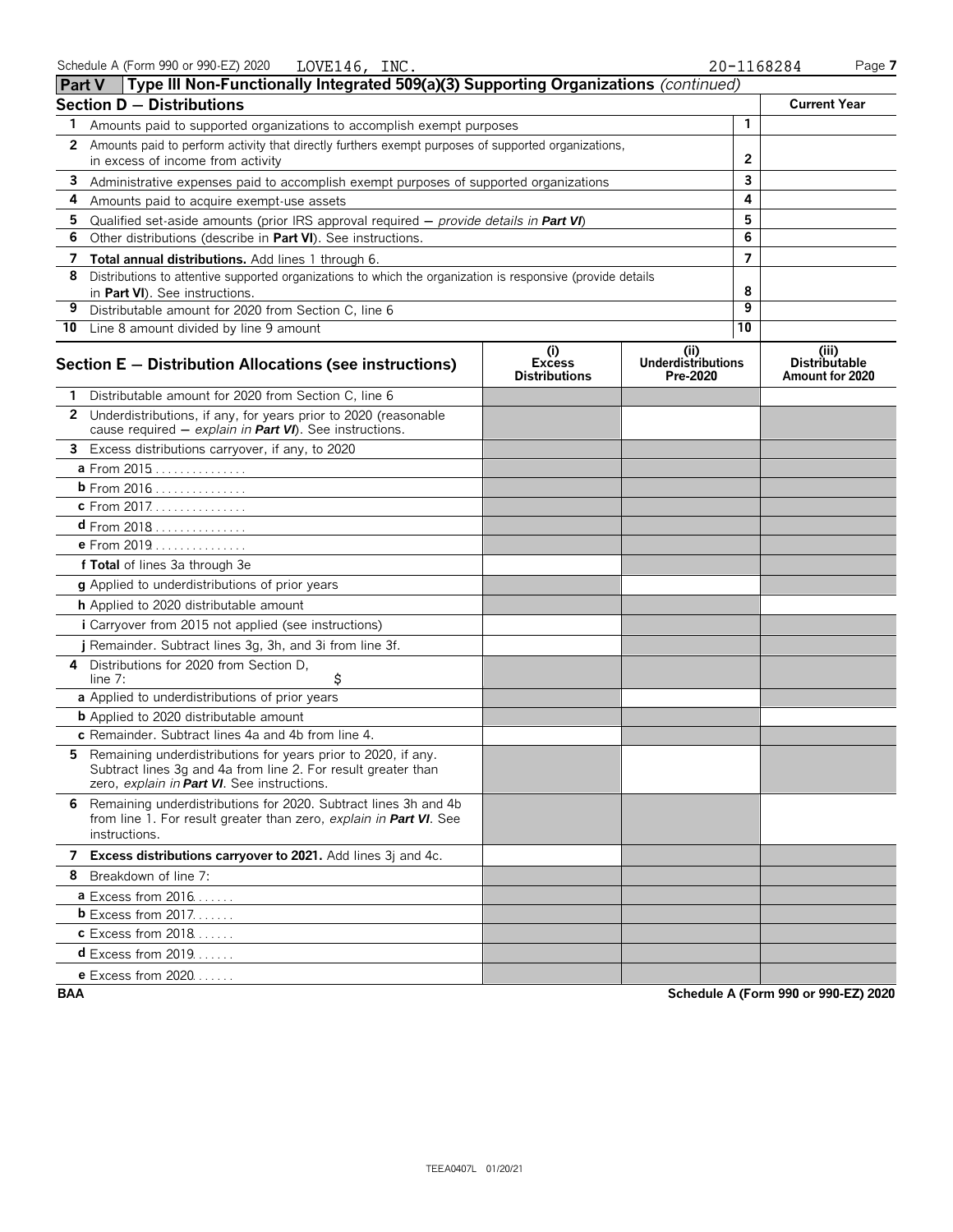|              | <b>Part V</b> Type III Non-Functionally Integrated 509(a)(3) Supporting Organizations (continued)                                                                               |                                              |                                               |              |                                                  |
|--------------|---------------------------------------------------------------------------------------------------------------------------------------------------------------------------------|----------------------------------------------|-----------------------------------------------|--------------|--------------------------------------------------|
|              | <b>Section D - Distributions</b>                                                                                                                                                |                                              |                                               |              | <b>Current Year</b>                              |
| 1            | Amounts paid to supported organizations to accomplish exempt purposes                                                                                                           |                                              |                                               | $\mathbf{1}$ |                                                  |
| $\mathbf{2}$ | Amounts paid to perform activity that directly furthers exempt purposes of supported organizations,                                                                             |                                              |                                               |              |                                                  |
|              | in excess of income from activity                                                                                                                                               |                                              |                                               | 2            |                                                  |
| 3            | Administrative expenses paid to accomplish exempt purposes of supported organizations                                                                                           |                                              |                                               | 3<br>4       |                                                  |
| 4            | Amounts paid to acquire exempt-use assets                                                                                                                                       |                                              |                                               | 5            |                                                  |
| 5<br>6       | Qualified set-aside amounts (prior IRS approval required $-$ provide details in <b>Part VI</b> )<br>Other distributions (describe in Part VI). See instructions.                |                                              |                                               | 6            |                                                  |
| 7            | Total annual distributions. Add lines 1 through 6.                                                                                                                              |                                              |                                               | 7            |                                                  |
| 8            | Distributions to attentive supported organizations to which the organization is responsive (provide details                                                                     |                                              |                                               |              |                                                  |
|              | in Part VI). See instructions.                                                                                                                                                  |                                              |                                               | 8            |                                                  |
| 9            | Distributable amount for 2020 from Section C, line 6                                                                                                                            |                                              |                                               | 9            |                                                  |
|              | 10 Line 8 amount divided by line 9 amount                                                                                                                                       |                                              |                                               | 10           |                                                  |
|              | Section E - Distribution Allocations (see instructions)                                                                                                                         | (i)<br><b>Excess</b><br><b>Distributions</b> | (ii)<br><b>Underdistributions</b><br>Pre-2020 |              | (iii)<br><b>Distributable</b><br>Amount for 2020 |
|              | 1 Distributable amount for 2020 from Section C, line 6                                                                                                                          |                                              |                                               |              |                                                  |
|              | 2 Underdistributions, if any, for years prior to 2020 (reasonable<br>cause required - explain in Part VI). See instructions.                                                    |                                              |                                               |              |                                                  |
|              | 3 Excess distributions carryover, if any, to 2020                                                                                                                               |                                              |                                               |              |                                                  |
|              | a From 2015                                                                                                                                                                     |                                              |                                               |              |                                                  |
|              | b From 2016                                                                                                                                                                     |                                              |                                               |              |                                                  |
|              | c From 2017.                                                                                                                                                                    |                                              |                                               |              |                                                  |
|              | <b>d</b> From 2018                                                                                                                                                              |                                              |                                               |              |                                                  |
|              | e From 2019                                                                                                                                                                     |                                              |                                               |              |                                                  |
|              | f Total of lines 3a through 3e                                                                                                                                                  |                                              |                                               |              |                                                  |
|              | g Applied to underdistributions of prior years                                                                                                                                  |                                              |                                               |              |                                                  |
|              | h Applied to 2020 distributable amount                                                                                                                                          |                                              |                                               |              |                                                  |
|              | <i>i</i> Carryover from 2015 not applied (see instructions)                                                                                                                     |                                              |                                               |              |                                                  |
|              | j Remainder. Subtract lines 3g, 3h, and 3i from line 3f.                                                                                                                        |                                              |                                               |              |                                                  |
|              | 4 Distributions for 2020 from Section D,<br>\$<br>line $7:$                                                                                                                     |                                              |                                               |              |                                                  |
|              | a Applied to underdistributions of prior years                                                                                                                                  |                                              |                                               |              |                                                  |
|              | <b>b</b> Applied to 2020 distributable amount                                                                                                                                   |                                              |                                               |              |                                                  |
|              | c Remainder. Subtract lines 4a and 4b from line 4.                                                                                                                              |                                              |                                               |              |                                                  |
|              | 5 Remaining underdistributions for years prior to 2020, if any.<br>Subtract lines 3g and 4a from line 2. For result greater than<br>zero, explain in Part VI. See instructions. |                                              |                                               |              |                                                  |
|              | 6 Remaining underdistributions for 2020. Subtract lines 3h and 4b<br>from line 1. For result greater than zero, explain in Part VI. See<br>instructions.                        |                                              |                                               |              |                                                  |
|              | 7 Excess distributions carryover to 2021. Add lines 3j and 4c.                                                                                                                  |                                              |                                               |              |                                                  |
|              | 8 Breakdown of line 7:                                                                                                                                                          |                                              |                                               |              |                                                  |
|              | <b>a</b> Excess from $2016$                                                                                                                                                     |                                              |                                               |              |                                                  |
|              | <b>b</b> Excess from $2017$                                                                                                                                                     |                                              |                                               |              |                                                  |
|              | <b>c</b> Excess from 2018                                                                                                                                                       |                                              |                                               |              |                                                  |
|              | <b>d</b> Excess from 2019                                                                                                                                                       |                                              |                                               |              |                                                  |
|              | <b>e</b> Excess from 2020                                                                                                                                                       |                                              |                                               |              |                                                  |

**BAA Schedule A (Form 990 or 990-EZ) 2020**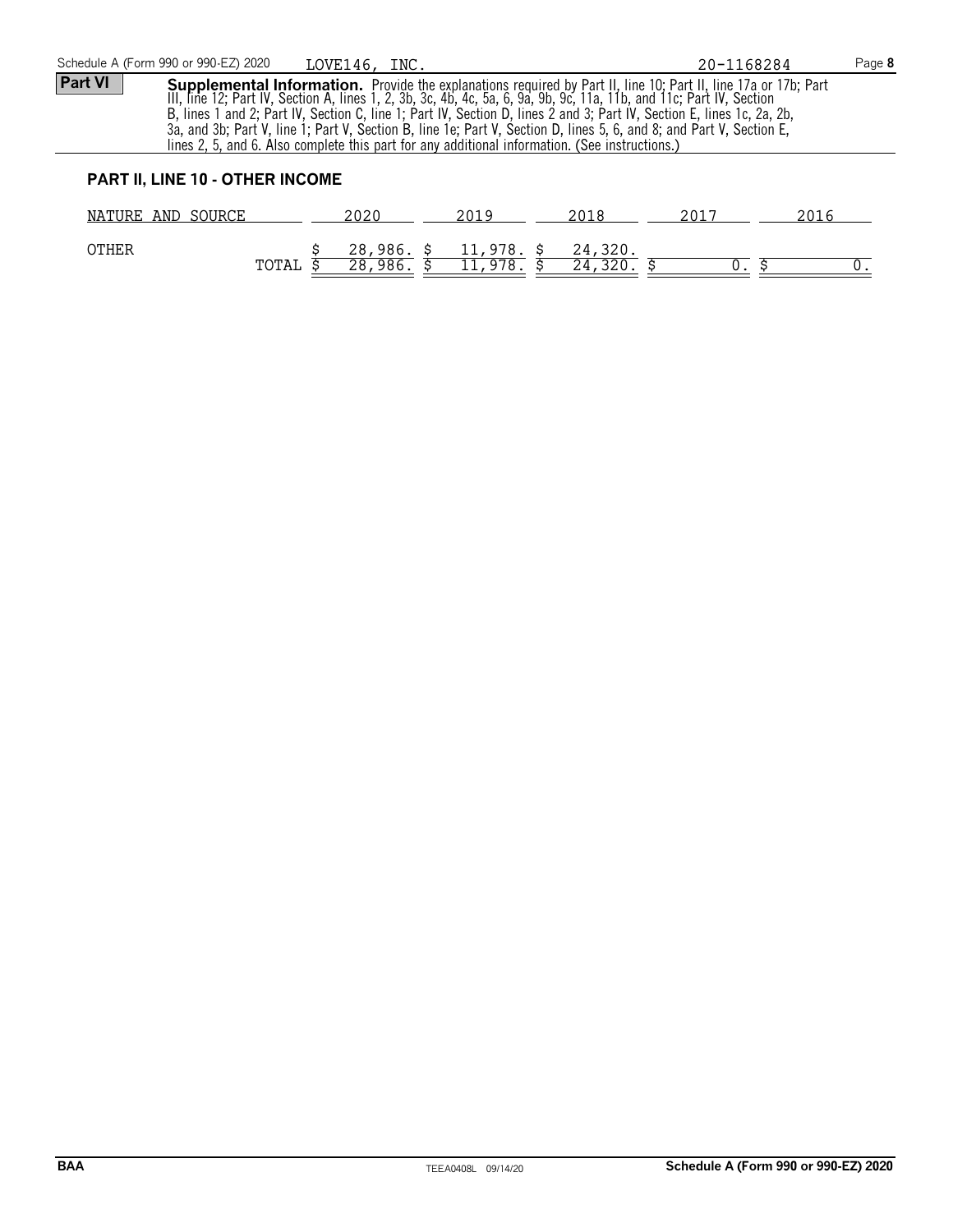OTHER  $\frac{$28,986}{5,28,986}$ ,  $\frac{$11,978}{5,21,978}$ ,  $\frac{$24,320}{5,24,320}$ .

 $\frac{24}{320}$ .  $\frac{24}{9}$   $\frac{24}{9}$ .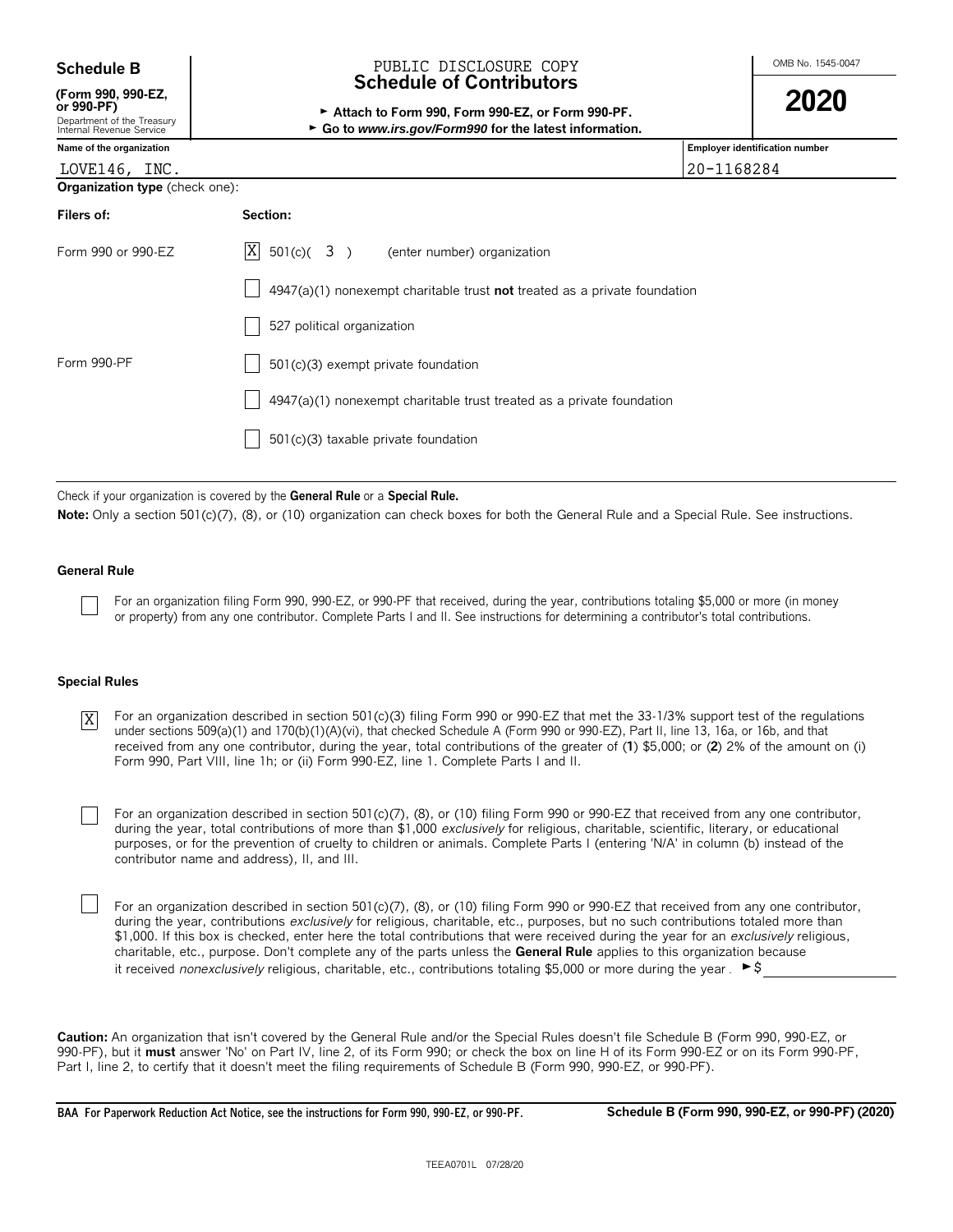| <b>Schedule B</b> |  |  |  |  |
|-------------------|--|--|--|--|
|-------------------|--|--|--|--|

**(Form 990, 990-EZ,**

| OF $550 - FF$              |  |
|----------------------------|--|
| Department of the Treasury |  |

| nternal Revenue Service |  |
|-------------------------|--|
|                         |  |
|                         |  |

# OMB No. 1545-0047 **Schedule B** PUBLIC DISCLOSURE COPY **Schedule of Contributors**

| (Form 990, 990-EZ,                                     |                                                                        | 2020 |
|--------------------------------------------------------|------------------------------------------------------------------------|------|
| or 990-PF)                                             | Attach to Form 990. Form 990-EZ, or Form 990-PF.                       |      |
| Department of the Treasury<br>Internal Revenue Service | $\triangleright$ Go to www.irs.gov/Form990 for the latest information. |      |

| Name of the organization              |                                                                             | <b>Employer identification number</b> |
|---------------------------------------|-----------------------------------------------------------------------------|---------------------------------------|
| LOVE146, INC.                         |                                                                             | 20-1168284                            |
| <b>Organization type</b> (check one): |                                                                             |                                       |
| Filers of:                            | Section:                                                                    |                                       |
| Form 990 or 990-EZ                    | $ X $ 501(c)( 3) (enter number) organization                                |                                       |
|                                       | $4947(a)(1)$ nonexempt charitable trust not treated as a private foundation |                                       |
|                                       | 527 political organization                                                  |                                       |
| Form 990-PF                           | 501(c)(3) exempt private foundation                                         |                                       |
|                                       | 4947(a)(1) nonexempt charitable trust treated as a private foundation       |                                       |
|                                       | 501(c)(3) taxable private foundation                                        |                                       |

Check if your organization is covered by the **General Rule** or a **Special Rule.**

Note: Only a section 501(c)(7), (8), or (10) organization can check boxes for both the General Rule and a Special Rule. See instructions.

#### **General Rule**

For an organization filing Form 990, 990-EZ, or 990-PF that received, during the year, contributions totaling \$5,000 or more (in money or property) from any one contributor. Complete Parts I and II. See instructions for determining a contributor's total contributions.

#### **Special Rules**

For an organization described in section 501(c)(3) filing Form 990 or 990-EZ that met the 33-1/3% support test of the regulations under sections 509(a)(1) and 170(b)(1)(A)(vi), that checked Schedule A (Form 990 or 990-EZ), Part II, line 13, 16a, or 16b, and that received from any one contributor, during the year, total contributions of the greater of (**1**) \$5,000; or (**2**) 2% of the amount on (i) Form 990, Part VIII, line 1h; or (ii) Form 990-EZ, line 1. Complete Parts I and II. X

For an organization described in section 501(c)(7), (8), or (10) filing Form 990 or 990-EZ that received from any one contributor, during the year, total contributions of more than \$1,000 *exclusively* for religious, charitable, scientific, literary, or educational purposes, or for the prevention of cruelty to children or animals. Complete Parts I (entering 'N/A' in column (b) instead of the contributor name and address), II, and III.

For an organization described in section 501(c)(7), (8), or (10) filing Form 990 or 990-EZ that received from any one contributor, during the year, contributions *exclusively* for religious, charitable, etc., purposes, but no such contributions totaled more than \$1,000. If this box is checked, enter here the total contributions that were received during the year for an *exclusively* religious, charitable, etc., purpose. Don't complete any of the parts unless the **General Rule** applies to this organization because it received *nonexclusively* religious, charitable, etc., contributions totaling \$5,000 or more during the year . ► \$

**Caution:** An organization that isn't covered by the General Rule and/or the Special Rules doesn't file Schedule B (Form 990, 990-EZ, or 990-PF), but it **must** answer 'No' on Part IV, line 2, of its Form 990; or check the box on line H of its Form 990-EZ or on its Form 990-PF, Part I, line 2, to certify that it doesn't meet the filing requirements of Schedule B (Form 990, 990-EZ, or 990-PF).

**BAA For Paperwork Reduction Act Notice, see the instructions for Form 990, 990-EZ, or 990-PF. Schedule B (Form 990, 990-EZ, or 990-PF) (2020)**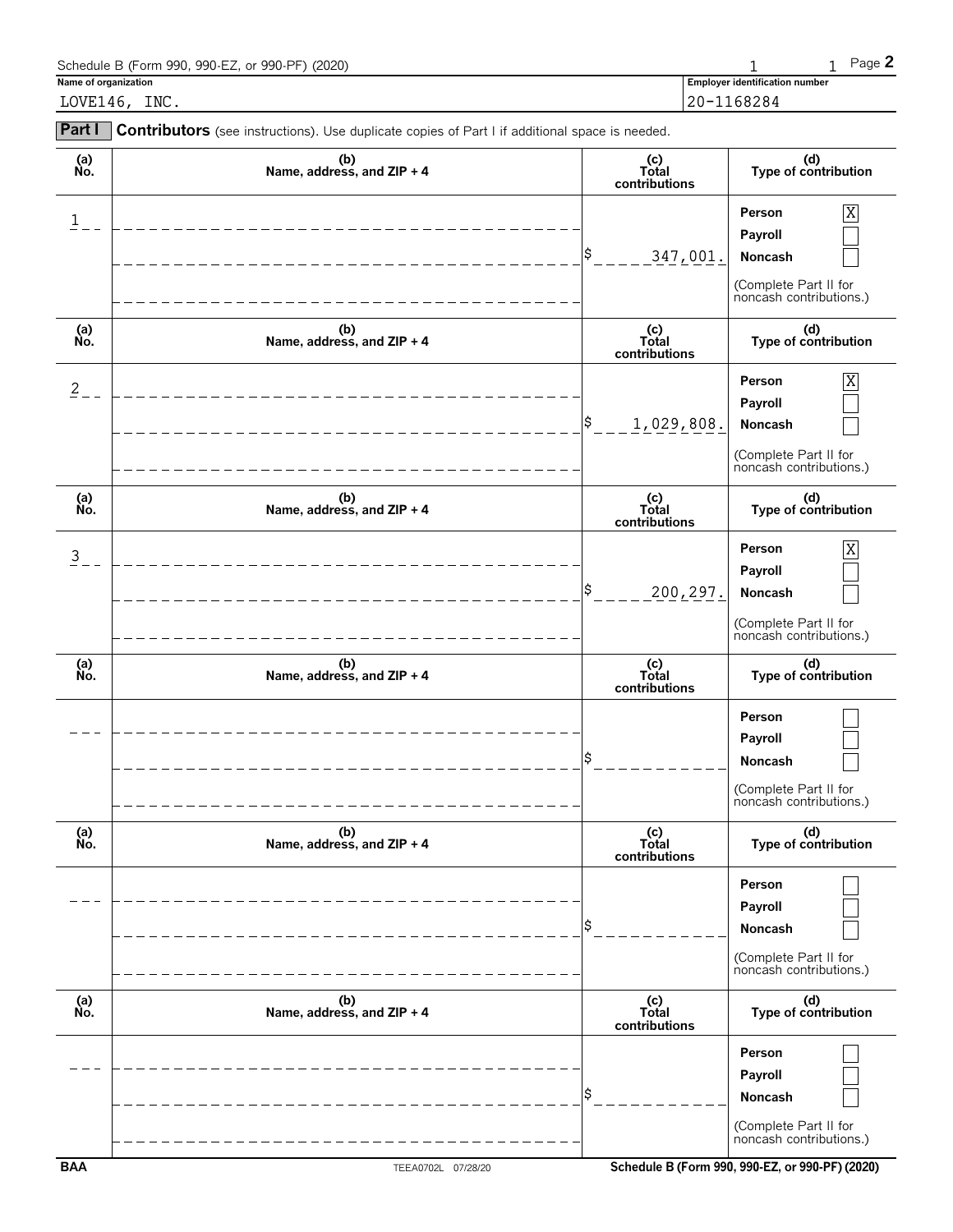| Schedule B (Form 990, 990-EZ, or 990-PF) (2020) |                                       | $P$ aqe $\blacktriangle$ |
|-------------------------------------------------|---------------------------------------|--------------------------|
| Name of organization                            | <b>Employer identification number</b> |                          |
| INC.<br>LOVE146.                                | 20-1168284                            |                          |

| Part I         | Contributors (see instructions). Use duplicate copies of Part I if additional space is needed. |                               |                                                                                                    |
|----------------|------------------------------------------------------------------------------------------------|-------------------------------|----------------------------------------------------------------------------------------------------|
| (a)<br>No.     | (b)<br>Name, address, and ZIP + 4                                                              | (c)<br>Total<br>contributions | (d)<br>Type of contribution                                                                        |
| Ŧ              |                                                                                                | \$<br>347,001.                | $\overline{X}$<br>Person<br>Payroll<br>Noncash<br>(Complete Part II for<br>noncash contributions.) |
| (a)<br>No.     | (b)<br>Name, address, and ZIP + 4                                                              | (c)<br>Total<br>contributions | (d)<br>Type of contribution                                                                        |
| $\overline{2}$ |                                                                                                | \$<br>1,029,808.              | Person<br>$\mathbf X$<br>Payroll<br>Noncash<br>(Complete Part II for<br>noncash contributions.)    |
| (a)<br>Ńo.     | (b)<br>Name, address, and ZIP + 4                                                              | (c)<br>Total<br>contributions | (d)<br>Type of contribution                                                                        |
| $\overline{3}$ |                                                                                                | 200,297.                      | X<br>Person<br>Payroll<br>Noncash<br>(Complete Part II for<br>noncash contributions.)              |
| (a)<br>No.     | (b)<br>Name, address, and ZIP + 4                                                              | (c)<br>Total<br>contributions | (d)<br>Type of contribution                                                                        |
|                |                                                                                                | Ŝ                             | Person<br>Payroll<br>Noncash<br>(Complete Part II for<br>noncash contributions.)                   |
| (a)<br>Ňó.     | (b)<br>Name, address, and ZIP + 4                                                              | (c)<br>Total<br>contributions | (d)<br>Type of contribution                                                                        |
|                |                                                                                                | \$                            | Person<br>Payroll<br>Noncash<br>(Complete Part II for<br>noncash contributions.)                   |
| (a)<br>No.     | (b)<br>Name, address, and ZIP + 4                                                              | (c)<br>Total<br>contributions | (d)<br>Type of contribution                                                                        |

\$ **Noncash**

**Person Payroll**

(Complete Part II for noncash contributions.)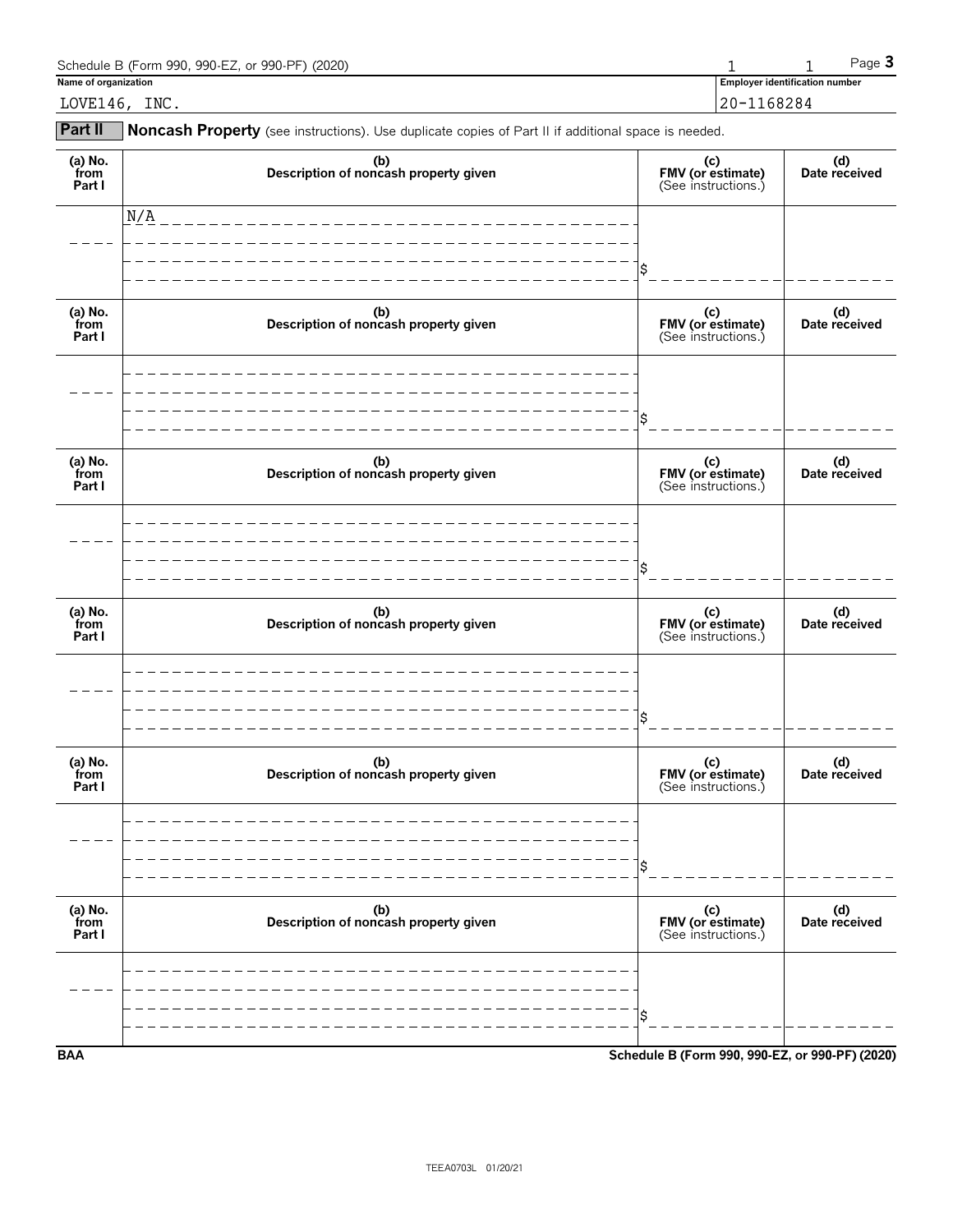| Schedule B (Form 990, 990-EZ, or 990-PF) (2020) |            |                                       | $P$ aqe $\bullet$ |
|-------------------------------------------------|------------|---------------------------------------|-------------------|
| Name of organization                            |            | <b>Employer identification number</b> |                   |
| INC.<br>LOVE146,                                | 20-1168284 |                                       |                   |

**Part II** Noncash Property (see instructions). Use duplicate copies of Part II if additional space is needed.

| (a) No.<br>from<br>Part I | (b)<br>Description of noncash property given | (c)<br>FMV (or estimate)<br>(See instructions.) | (d)<br>Date received |
|---------------------------|----------------------------------------------|-------------------------------------------------|----------------------|
|                           | N/A                                          |                                                 |                      |
|                           |                                              | \$                                              |                      |
| (a) No.<br>from<br>Part I | (b)<br>Description of noncash property given | (c)<br>FMV (or estimate)<br>(See instructions.) | (d)<br>Date received |
|                           |                                              |                                                 |                      |
|                           |                                              | \$                                              |                      |
| (a) No.<br>from<br>Part I | (b)<br>Description of noncash property given | (c)<br>FMV (or estimate)<br>(See instructions.) | (d)<br>Date received |
|                           |                                              |                                                 |                      |
|                           |                                              | \$                                              |                      |
| (a) No.<br>from<br>Part I | (b)<br>Description of noncash property given | (c)<br>FMV (or estimate)<br>(See instructions.) | (d)<br>Date received |
|                           |                                              |                                                 |                      |
|                           |                                              | \$                                              |                      |
| (a) $No.$ from<br>Part I  | (b)<br>Description of noncash property given | (c)<br>FMV (or estimate)<br>(See instructions.) | (d)<br>Date received |
|                           |                                              |                                                 |                      |
|                           |                                              | \$                                              |                      |
| (a) No.<br>from<br>Part I | (b)<br>Description of noncash property given | (c)<br>FMV (or estimate)<br>(See instructions.) | (d)<br>Date received |
|                           |                                              |                                                 |                      |
|                           |                                              | \$                                              |                      |
| <b>BAA</b>                |                                              | Schedule B (Form 990, 990-EZ, or 990-PF) (2020) |                      |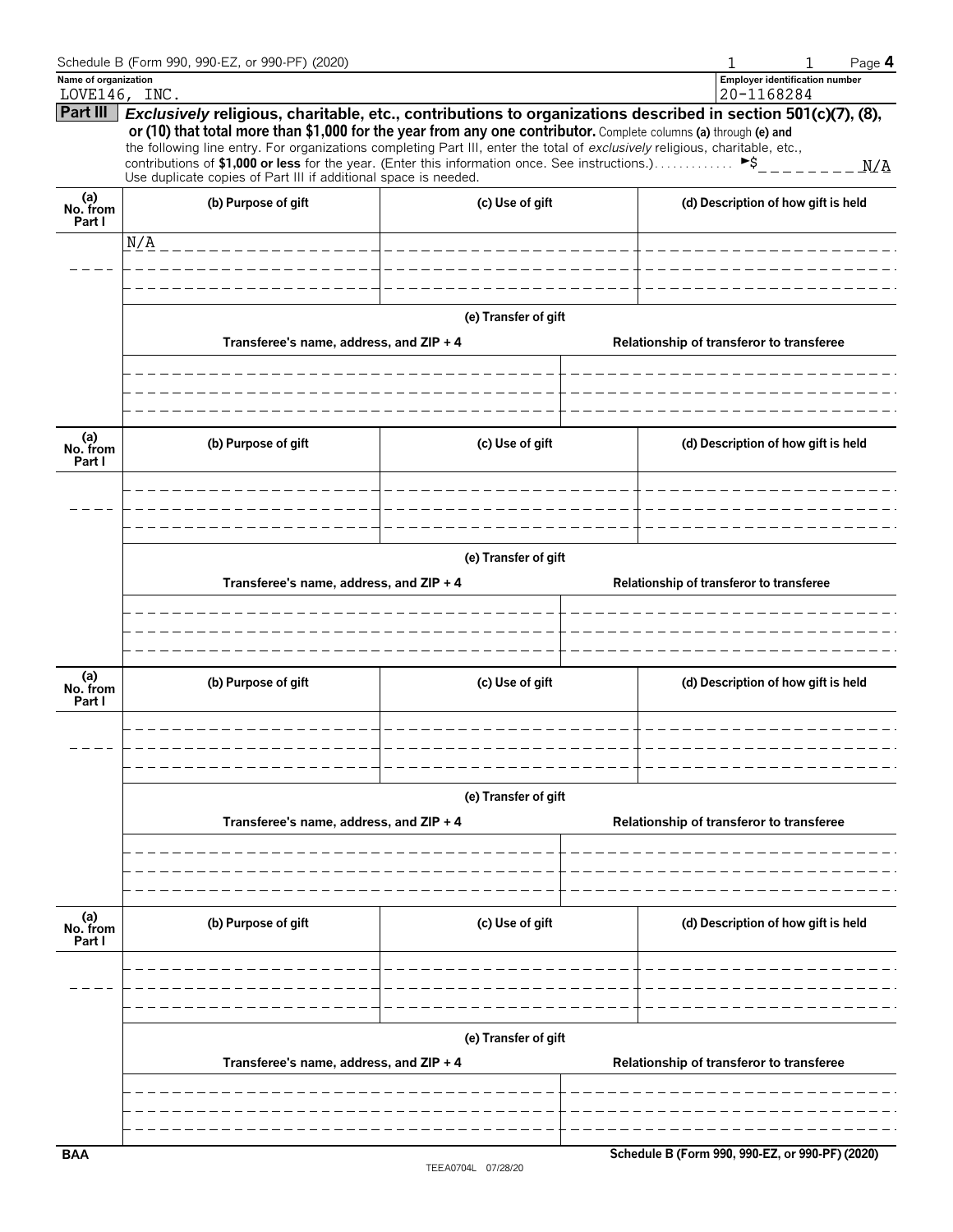| Name of organization<br>20-1168284<br>LOVE146, INC.<br>Exclusively religious, charitable, etc., contributions to organizations described in section 501(c)(7), (8),<br>or (10) that total more than \$1,000 for the year from any one contributor. Complete columns (a) through (e) and<br>the following line entry. For organizations completing Part III, enter the total of exclusively religious, charitable, etc.,<br>N/A<br>Use duplicate copies of Part III if additional space is needed.<br>(a)<br>No. from<br>(b) Purpose of gift<br>(c) Use of gift<br>(d) Description of how gift is held<br>Part I<br>N/A<br>(e) Transfer of gift<br>Transferee's name, address, and ZIP + 4<br>Relationship of transferor to transferee<br>(a)<br>No. from<br>(b) Purpose of gift<br>(c) Use of gift<br>(d) Description of how gift is held<br>Part I<br>$- - - - - 1$<br>(e) Transfer of gift<br>Transferee's name, address, and ZIP + 4<br>Relationship of transferor to transferee<br>(a)<br>No. from<br>(b) Purpose of gift<br>(d) Description of how gift is held<br>(c) Use of gift<br>Part I<br>(e) Transfer of gift<br>Transferee's name, address, and ZIP + 4<br>Relationship of transferor to transferee<br>(a)<br>No. from<br>Part I<br>(b) Purpose of gift<br>(c) Use of gift<br>(d) Description of how gift is held<br>(e) Transfer of gift<br>Transferee's name, address, and ZIP + 4<br>Relationship of transferor to transferee<br>Schedule B (Form 990, 990-EZ, or 990-PF) (2020)<br><b>BAA</b> |          | Schedule B (Form 990, 990-EZ, or 990-PF) (2020) |  | Page 4<br>1                           |  |  |  |  |  |  |
|----------------------------------------------------------------------------------------------------------------------------------------------------------------------------------------------------------------------------------------------------------------------------------------------------------------------------------------------------------------------------------------------------------------------------------------------------------------------------------------------------------------------------------------------------------------------------------------------------------------------------------------------------------------------------------------------------------------------------------------------------------------------------------------------------------------------------------------------------------------------------------------------------------------------------------------------------------------------------------------------------------------------------------------------------------------------------------------------------------------------------------------------------------------------------------------------------------------------------------------------------------------------------------------------------------------------------------------------------------------------------------------------------------------------------------------------------------------------------------------------------------------|----------|-------------------------------------------------|--|---------------------------------------|--|--|--|--|--|--|
|                                                                                                                                                                                                                                                                                                                                                                                                                                                                                                                                                                                                                                                                                                                                                                                                                                                                                                                                                                                                                                                                                                                                                                                                                                                                                                                                                                                                                                                                                                                |          |                                                 |  | <b>Employer identification number</b> |  |  |  |  |  |  |
|                                                                                                                                                                                                                                                                                                                                                                                                                                                                                                                                                                                                                                                                                                                                                                                                                                                                                                                                                                                                                                                                                                                                                                                                                                                                                                                                                                                                                                                                                                                | Part III |                                                 |  |                                       |  |  |  |  |  |  |
|                                                                                                                                                                                                                                                                                                                                                                                                                                                                                                                                                                                                                                                                                                                                                                                                                                                                                                                                                                                                                                                                                                                                                                                                                                                                                                                                                                                                                                                                                                                |          |                                                 |  |                                       |  |  |  |  |  |  |
|                                                                                                                                                                                                                                                                                                                                                                                                                                                                                                                                                                                                                                                                                                                                                                                                                                                                                                                                                                                                                                                                                                                                                                                                                                                                                                                                                                                                                                                                                                                |          |                                                 |  |                                       |  |  |  |  |  |  |
|                                                                                                                                                                                                                                                                                                                                                                                                                                                                                                                                                                                                                                                                                                                                                                                                                                                                                                                                                                                                                                                                                                                                                                                                                                                                                                                                                                                                                                                                                                                |          |                                                 |  |                                       |  |  |  |  |  |  |
|                                                                                                                                                                                                                                                                                                                                                                                                                                                                                                                                                                                                                                                                                                                                                                                                                                                                                                                                                                                                                                                                                                                                                                                                                                                                                                                                                                                                                                                                                                                |          |                                                 |  |                                       |  |  |  |  |  |  |
|                                                                                                                                                                                                                                                                                                                                                                                                                                                                                                                                                                                                                                                                                                                                                                                                                                                                                                                                                                                                                                                                                                                                                                                                                                                                                                                                                                                                                                                                                                                |          |                                                 |  |                                       |  |  |  |  |  |  |
|                                                                                                                                                                                                                                                                                                                                                                                                                                                                                                                                                                                                                                                                                                                                                                                                                                                                                                                                                                                                                                                                                                                                                                                                                                                                                                                                                                                                                                                                                                                |          |                                                 |  |                                       |  |  |  |  |  |  |
|                                                                                                                                                                                                                                                                                                                                                                                                                                                                                                                                                                                                                                                                                                                                                                                                                                                                                                                                                                                                                                                                                                                                                                                                                                                                                                                                                                                                                                                                                                                |          |                                                 |  |                                       |  |  |  |  |  |  |
|                                                                                                                                                                                                                                                                                                                                                                                                                                                                                                                                                                                                                                                                                                                                                                                                                                                                                                                                                                                                                                                                                                                                                                                                                                                                                                                                                                                                                                                                                                                |          |                                                 |  |                                       |  |  |  |  |  |  |
|                                                                                                                                                                                                                                                                                                                                                                                                                                                                                                                                                                                                                                                                                                                                                                                                                                                                                                                                                                                                                                                                                                                                                                                                                                                                                                                                                                                                                                                                                                                |          |                                                 |  |                                       |  |  |  |  |  |  |
|                                                                                                                                                                                                                                                                                                                                                                                                                                                                                                                                                                                                                                                                                                                                                                                                                                                                                                                                                                                                                                                                                                                                                                                                                                                                                                                                                                                                                                                                                                                |          |                                                 |  |                                       |  |  |  |  |  |  |
|                                                                                                                                                                                                                                                                                                                                                                                                                                                                                                                                                                                                                                                                                                                                                                                                                                                                                                                                                                                                                                                                                                                                                                                                                                                                                                                                                                                                                                                                                                                |          |                                                 |  |                                       |  |  |  |  |  |  |
|                                                                                                                                                                                                                                                                                                                                                                                                                                                                                                                                                                                                                                                                                                                                                                                                                                                                                                                                                                                                                                                                                                                                                                                                                                                                                                                                                                                                                                                                                                                |          |                                                 |  |                                       |  |  |  |  |  |  |
|                                                                                                                                                                                                                                                                                                                                                                                                                                                                                                                                                                                                                                                                                                                                                                                                                                                                                                                                                                                                                                                                                                                                                                                                                                                                                                                                                                                                                                                                                                                |          |                                                 |  |                                       |  |  |  |  |  |  |
|                                                                                                                                                                                                                                                                                                                                                                                                                                                                                                                                                                                                                                                                                                                                                                                                                                                                                                                                                                                                                                                                                                                                                                                                                                                                                                                                                                                                                                                                                                                |          |                                                 |  |                                       |  |  |  |  |  |  |
|                                                                                                                                                                                                                                                                                                                                                                                                                                                                                                                                                                                                                                                                                                                                                                                                                                                                                                                                                                                                                                                                                                                                                                                                                                                                                                                                                                                                                                                                                                                |          |                                                 |  |                                       |  |  |  |  |  |  |
|                                                                                                                                                                                                                                                                                                                                                                                                                                                                                                                                                                                                                                                                                                                                                                                                                                                                                                                                                                                                                                                                                                                                                                                                                                                                                                                                                                                                                                                                                                                |          |                                                 |  |                                       |  |  |  |  |  |  |
|                                                                                                                                                                                                                                                                                                                                                                                                                                                                                                                                                                                                                                                                                                                                                                                                                                                                                                                                                                                                                                                                                                                                                                                                                                                                                                                                                                                                                                                                                                                |          |                                                 |  |                                       |  |  |  |  |  |  |
|                                                                                                                                                                                                                                                                                                                                                                                                                                                                                                                                                                                                                                                                                                                                                                                                                                                                                                                                                                                                                                                                                                                                                                                                                                                                                                                                                                                                                                                                                                                |          |                                                 |  |                                       |  |  |  |  |  |  |
|                                                                                                                                                                                                                                                                                                                                                                                                                                                                                                                                                                                                                                                                                                                                                                                                                                                                                                                                                                                                                                                                                                                                                                                                                                                                                                                                                                                                                                                                                                                |          |                                                 |  |                                       |  |  |  |  |  |  |
|                                                                                                                                                                                                                                                                                                                                                                                                                                                                                                                                                                                                                                                                                                                                                                                                                                                                                                                                                                                                                                                                                                                                                                                                                                                                                                                                                                                                                                                                                                                |          |                                                 |  |                                       |  |  |  |  |  |  |
|                                                                                                                                                                                                                                                                                                                                                                                                                                                                                                                                                                                                                                                                                                                                                                                                                                                                                                                                                                                                                                                                                                                                                                                                                                                                                                                                                                                                                                                                                                                |          |                                                 |  |                                       |  |  |  |  |  |  |
|                                                                                                                                                                                                                                                                                                                                                                                                                                                                                                                                                                                                                                                                                                                                                                                                                                                                                                                                                                                                                                                                                                                                                                                                                                                                                                                                                                                                                                                                                                                |          |                                                 |  |                                       |  |  |  |  |  |  |
|                                                                                                                                                                                                                                                                                                                                                                                                                                                                                                                                                                                                                                                                                                                                                                                                                                                                                                                                                                                                                                                                                                                                                                                                                                                                                                                                                                                                                                                                                                                |          |                                                 |  |                                       |  |  |  |  |  |  |
|                                                                                                                                                                                                                                                                                                                                                                                                                                                                                                                                                                                                                                                                                                                                                                                                                                                                                                                                                                                                                                                                                                                                                                                                                                                                                                                                                                                                                                                                                                                |          |                                                 |  |                                       |  |  |  |  |  |  |
|                                                                                                                                                                                                                                                                                                                                                                                                                                                                                                                                                                                                                                                                                                                                                                                                                                                                                                                                                                                                                                                                                                                                                                                                                                                                                                                                                                                                                                                                                                                |          |                                                 |  |                                       |  |  |  |  |  |  |
|                                                                                                                                                                                                                                                                                                                                                                                                                                                                                                                                                                                                                                                                                                                                                                                                                                                                                                                                                                                                                                                                                                                                                                                                                                                                                                                                                                                                                                                                                                                |          |                                                 |  |                                       |  |  |  |  |  |  |
|                                                                                                                                                                                                                                                                                                                                                                                                                                                                                                                                                                                                                                                                                                                                                                                                                                                                                                                                                                                                                                                                                                                                                                                                                                                                                                                                                                                                                                                                                                                |          |                                                 |  |                                       |  |  |  |  |  |  |
|                                                                                                                                                                                                                                                                                                                                                                                                                                                                                                                                                                                                                                                                                                                                                                                                                                                                                                                                                                                                                                                                                                                                                                                                                                                                                                                                                                                                                                                                                                                |          |                                                 |  |                                       |  |  |  |  |  |  |
|                                                                                                                                                                                                                                                                                                                                                                                                                                                                                                                                                                                                                                                                                                                                                                                                                                                                                                                                                                                                                                                                                                                                                                                                                                                                                                                                                                                                                                                                                                                |          |                                                 |  |                                       |  |  |  |  |  |  |
|                                                                                                                                                                                                                                                                                                                                                                                                                                                                                                                                                                                                                                                                                                                                                                                                                                                                                                                                                                                                                                                                                                                                                                                                                                                                                                                                                                                                                                                                                                                |          |                                                 |  |                                       |  |  |  |  |  |  |
|                                                                                                                                                                                                                                                                                                                                                                                                                                                                                                                                                                                                                                                                                                                                                                                                                                                                                                                                                                                                                                                                                                                                                                                                                                                                                                                                                                                                                                                                                                                |          |                                                 |  |                                       |  |  |  |  |  |  |
|                                                                                                                                                                                                                                                                                                                                                                                                                                                                                                                                                                                                                                                                                                                                                                                                                                                                                                                                                                                                                                                                                                                                                                                                                                                                                                                                                                                                                                                                                                                |          |                                                 |  |                                       |  |  |  |  |  |  |
|                                                                                                                                                                                                                                                                                                                                                                                                                                                                                                                                                                                                                                                                                                                                                                                                                                                                                                                                                                                                                                                                                                                                                                                                                                                                                                                                                                                                                                                                                                                |          |                                                 |  |                                       |  |  |  |  |  |  |
|                                                                                                                                                                                                                                                                                                                                                                                                                                                                                                                                                                                                                                                                                                                                                                                                                                                                                                                                                                                                                                                                                                                                                                                                                                                                                                                                                                                                                                                                                                                |          |                                                 |  |                                       |  |  |  |  |  |  |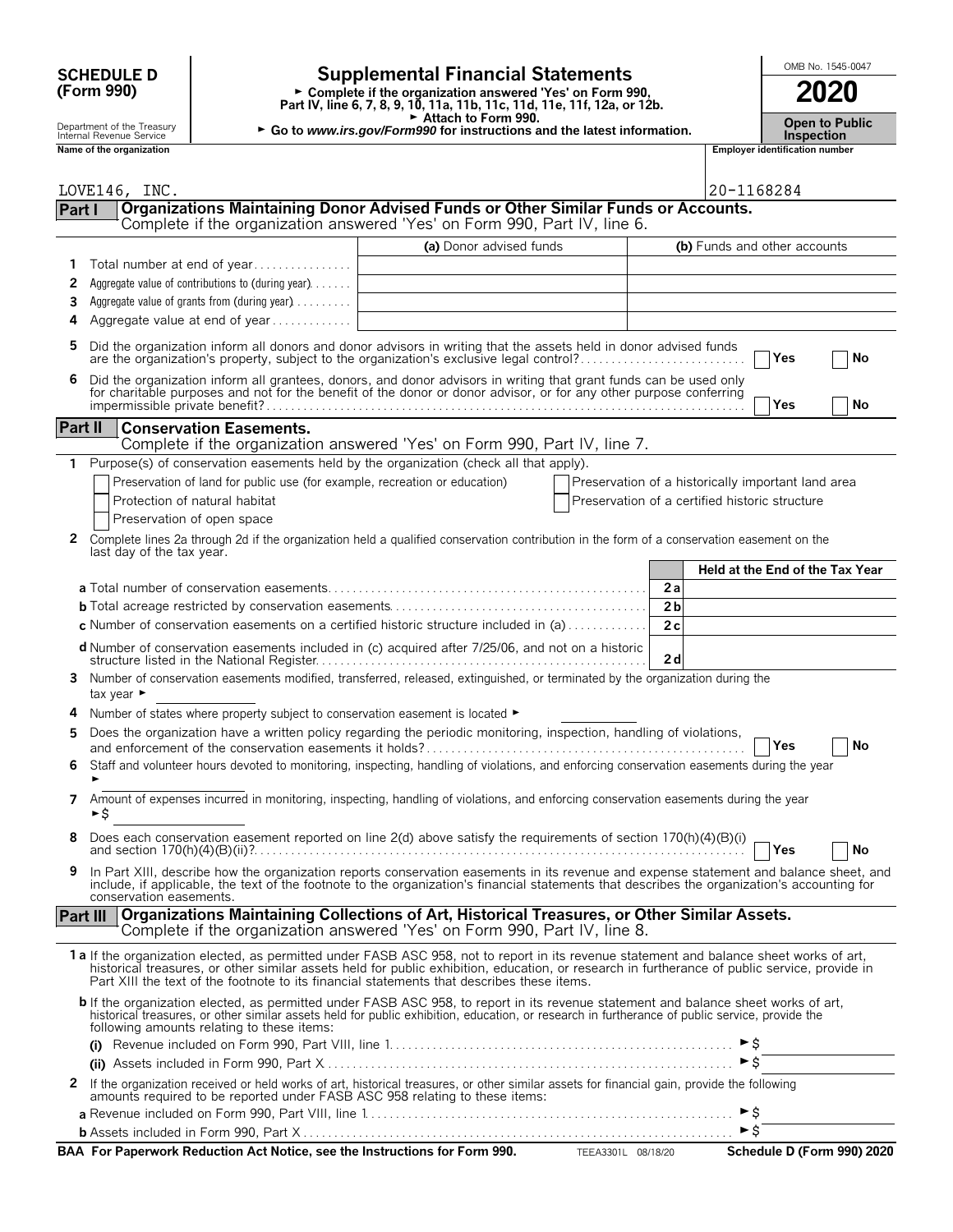# **(Form 990)**

# **SCHEDULE D Supplemental Financial Statements Fig. 1545-0047**

**Part IV, line 6, 7, 8, 9, 10, 11a, 11b, 11c, 11d, 11e, 11f, 12a, or 12b.**<br>
Part IV, line 6, 7, 8, 9, 10, 11a, 11b, 11c, 11d, 11e, 11f, 12a, or 12b.

Department of the Treasury **Open to Public**<br>Internal Revenue Service **Inspection**<br>Inspection **National Contract of the Treasury included to Form 990.**<br>
In Revenue Service **Contract of the organization**<br> **Name of the organization number**<br> **Name of the organization number**<br>
in Employer identification number

| Internal Revenue Service |  |
|--------------------------|--|
| Name of the organization |  |

|                | LOVE146, INC.                                                                                                                                                                                                                                                                                                                                                                          | 20-1168284                                         |
|----------------|----------------------------------------------------------------------------------------------------------------------------------------------------------------------------------------------------------------------------------------------------------------------------------------------------------------------------------------------------------------------------------------|----------------------------------------------------|
| Part I         | Organizations Maintaining Donor Advised Funds or Other Similar Funds or Accounts.                                                                                                                                                                                                                                                                                                      |                                                    |
|                | Complete if the organization answered 'Yes' on Form 990, Part IV, line 6.                                                                                                                                                                                                                                                                                                              |                                                    |
|                | (a) Donor advised funds                                                                                                                                                                                                                                                                                                                                                                | (b) Funds and other accounts                       |
| 1              | Total number at end of year                                                                                                                                                                                                                                                                                                                                                            |                                                    |
| 2              | Aggregate value of contributions to (during year)                                                                                                                                                                                                                                                                                                                                      |                                                    |
| 3              | Aggregate value of grants from (during year)                                                                                                                                                                                                                                                                                                                                           |                                                    |
| 4              | Aggregate value at end of year                                                                                                                                                                                                                                                                                                                                                         |                                                    |
| 5              | Did the organization inform all donors and donor advisors in writing that the assets held in donor advised funds<br>are the organization's property, subject to the organization's exclusive legal control?                                                                                                                                                                            | ∣Yes<br>No                                         |
| 6              | Did the organization inform all grantees, donors, and donor advisors in writing that grant funds can be used only for charitable purposes and not for the benefit of the donor or donor advisor, or for any other purpose conf                                                                                                                                                         | Yes<br>No                                          |
| <b>Part II</b> | <b>Conservation Easements.</b>                                                                                                                                                                                                                                                                                                                                                         |                                                    |
|                | Complete if the organization answered 'Yes' on Form 990, Part IV, line 7.                                                                                                                                                                                                                                                                                                              |                                                    |
| 1              | Purpose(s) of conservation easements held by the organization (check all that apply).                                                                                                                                                                                                                                                                                                  |                                                    |
|                | Preservation of land for public use (for example, recreation or education)                                                                                                                                                                                                                                                                                                             | Preservation of a historically important land area |
|                | Protection of natural habitat                                                                                                                                                                                                                                                                                                                                                          | Preservation of a certified historic structure     |
|                | Preservation of open space                                                                                                                                                                                                                                                                                                                                                             |                                                    |
| 2              | Complete lines 2a through 2d if the organization held a qualified conservation contribution in the form of a conservation easement on the<br>last day of the tax year.                                                                                                                                                                                                                 |                                                    |
|                |                                                                                                                                                                                                                                                                                                                                                                                        | Held at the End of the Tax Year                    |
|                |                                                                                                                                                                                                                                                                                                                                                                                        | 2a                                                 |
|                |                                                                                                                                                                                                                                                                                                                                                                                        | 2 <sub>b</sub>                                     |
|                | <b>c</b> Number of conservation easements on a certified historic structure included in (a)                                                                                                                                                                                                                                                                                            | 2c                                                 |
|                | d Number of conservation easements included in (c) acquired after 7/25/06, and not on a historic                                                                                                                                                                                                                                                                                       | 2d                                                 |
| 3              | Number of conservation easements modified, transferred, released, extinguished, or terminated by the organization during the<br>tax year $\blacktriangleright$                                                                                                                                                                                                                         |                                                    |
|                | Number of states where property subject to conservation easement is located ►                                                                                                                                                                                                                                                                                                          |                                                    |
| 5              | Does the organization have a written policy regarding the periodic monitoring, inspection, handling of violations,                                                                                                                                                                                                                                                                     | Yes<br>No                                          |
| 6              | Staff and volunteer hours devoted to monitoring, inspecting, handling of violations, and enforcing conservation easements during the year                                                                                                                                                                                                                                              |                                                    |
| 7              | Amount of expenses incurred in monitoring, inspecting, handling of violations, and enforcing conservation easements during the year<br>►Ŝ                                                                                                                                                                                                                                              |                                                    |
|                | Does each conservation easement reported on line 2(d) above satisfy the requirements of section 170(h)(4)(B)(i)                                                                                                                                                                                                                                                                        | Yes<br>No                                          |
|                | In Part XIII, describe how the organization reports conservation easements in its revenue and expense statement and balance sheet, and<br>include, if applicable, the text of the footnote to the organization's financial statements that describes the organization's accounting for<br>conservation easements.                                                                      |                                                    |
|                | Part III   Organizations Maintaining Collections of Art, Historical Treasures, or Other Similar Assets.<br>Complete if the organization answered 'Yes' on Form 990, Part IV, line 8.                                                                                                                                                                                                   |                                                    |
|                | 1a If the organization elected, as permitted under FASB ASC 958, not to report in its revenue statement and balance sheet works of art,<br>historical treasures, or other similar assets held for public exhibition, education, or research in furtherance of public service, provide in<br>Part XIII the text of the footnote to its financial statements that describes these items. |                                                    |
|                | b If the organization elected, as permitted under FASB ASC 958, to report in its revenue statement and balance sheet works of art,<br>historical treasures, or other similar assets held for public exhibition, education, or research in furtherance of public service, provide the<br>following amounts relating to these items:                                                     |                                                    |
|                |                                                                                                                                                                                                                                                                                                                                                                                        |                                                    |
|                |                                                                                                                                                                                                                                                                                                                                                                                        | $\triangleright$ \$                                |
| $\mathbf{z}$   | If the organization received or held works of art, historical treasures, or other similar assets for financial gain, provide the following<br>amounts required to be reported under FASB ASC 958 relating to these items:                                                                                                                                                              |                                                    |
|                |                                                                                                                                                                                                                                                                                                                                                                                        | $\blacktriangleright$ \$                           |
|                |                                                                                                                                                                                                                                                                                                                                                                                        | $\triangleright$ \$                                |
|                | BAA For Paperwork Reduction Act Notice, see the Instructions for Form 990. TEEA3301L 08/18/20                                                                                                                                                                                                                                                                                          | Schedule D (Form 990) 2020                         |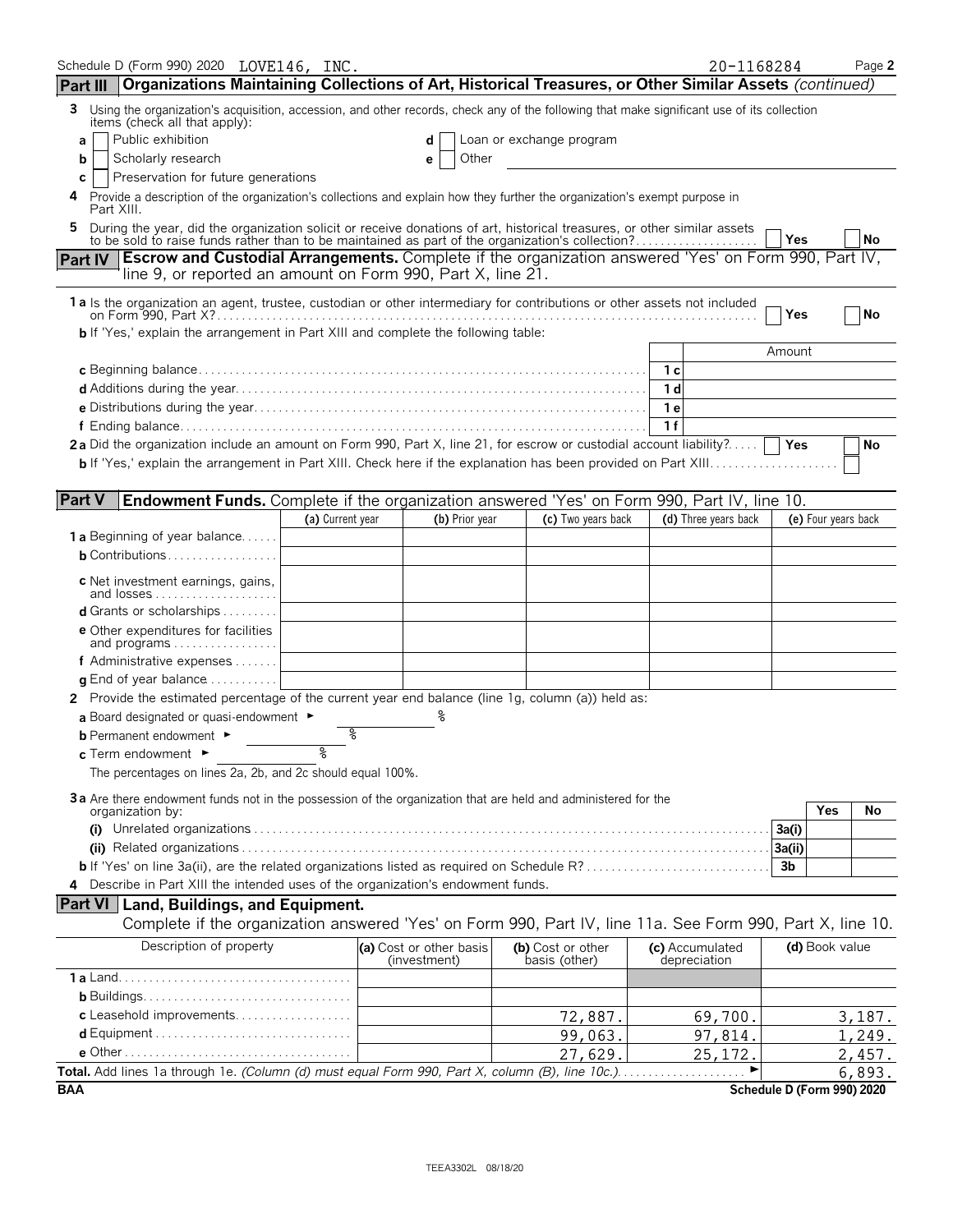| Organizations Maintaining Collections of Art, Historical Treasures, or Other Similar Assets (continued)<br>Using the organization's acquisition, accession, and other records, check any of the following that make significant use of its collection<br>3.<br>items (check all that apply):<br>Public exhibition<br>Loan or exchange program<br>d<br>a<br>Scholarly research<br>Other<br>b<br>е<br>Preservation for future generations<br>c<br>4 Provide a description of the organization's collections and explain how they further the organization's exempt purpose in<br>Part XIII.<br>During the year, did the organization solicit or receive donations of art, historical treasures, or other similar assets<br>5<br>to be sold to raise funds rather than to be maintained as part of the organization's collection?<br>Yes<br>No<br>Part IV   Escrow and Custodial Arrangements. Complete if the organization answered 'Yes' on Form 990, Part IV,<br>line 9, or reported an amount on Form 990, Part X, line 21.<br>1 a Is the organization an agent, trustee, custodian or other intermediary for contributions or other assets not included<br>No<br>Yes<br><b>b</b> If 'Yes,' explain the arrangement in Part XIII and complete the following table:<br>Amount<br>-1 с<br>1 d<br>1e<br>1f<br>2a Did the organization include an amount on Form 990, Part X, line 21, for escrow or custodial account liability?<br>Yes<br>No<br><b>Part V</b><br><b>Endowment Funds.</b> Complete if the organization answered 'Yes' on Form 990, Part IV, line 10.<br>(a) Current year<br>(b) Prior year<br>(c) Two years back<br>(d) Three years back<br>(e) Four years back<br><b>1 a</b> Beginning of year balance<br><b>b</b> Contributions<br><b>c</b> Net investment earnings, gains,<br>and losses<br><b>d</b> Grants or scholarships $\ldots$<br><b>e</b> Other expenditures for facilities<br>and programs<br>f Administrative expenses $\ldots$<br><b>g</b> End of year balance $\ldots \ldots \ldots$<br>2 Provide the estimated percentage of the current year end balance (line 1g, column (a)) held as:<br>%<br>a Board designated or quasi-endowment $\blacktriangleright$<br>g<br><b>b</b> Permanent endowment ►<br><b>c</b> Term endowment $\blacktriangleright$<br>The percentages on lines 2a, 2b, and 2c should equal 100%.<br>3a Are there endowment funds not in the possession of the organization that are held and administered for the<br>Yes<br>No<br>organization by:<br>(i)<br>3a(i)<br>3a(ii)<br>3 <sub>b</sub><br>Describe in Part XIII the intended uses of the organization's endowment funds.<br>Part VI   Land, Buildings, and Equipment.<br>Complete if the organization answered 'Yes' on Form 990, Part IV, line 11a. See Form 990, Part X, line 10.<br>Description of property<br>(d) Book value<br>(a) Cost or other basis<br>(b) Cost or other<br>(c) Accumulated<br>depreciation<br>(investment)<br>basis (other)<br>c Leasehold improvements<br>72,887.<br>69,700.<br>3,187.<br>99,063.<br>97,814.<br>1,249.<br>27,629.<br>25,172.<br>2,457.<br>Total. Add lines 1a through 1e. (Column (d) must equal Form 990, Part X, column (B), line 10c.).<br>▶<br>6,893.<br>.<br>Schedule D (Form 990) 2020 | Schedule D (Form 990) 2020 LOVE146, INC.<br>Part III |  |  | 20-1168284 | Page 2 |
|-----------------------------------------------------------------------------------------------------------------------------------------------------------------------------------------------------------------------------------------------------------------------------------------------------------------------------------------------------------------------------------------------------------------------------------------------------------------------------------------------------------------------------------------------------------------------------------------------------------------------------------------------------------------------------------------------------------------------------------------------------------------------------------------------------------------------------------------------------------------------------------------------------------------------------------------------------------------------------------------------------------------------------------------------------------------------------------------------------------------------------------------------------------------------------------------------------------------------------------------------------------------------------------------------------------------------------------------------------------------------------------------------------------------------------------------------------------------------------------------------------------------------------------------------------------------------------------------------------------------------------------------------------------------------------------------------------------------------------------------------------------------------------------------------------------------------------------------------------------------------------------------------------------------------------------------------------------------------------------------------------------------------------------------------------------------------------------------------------------------------------------------------------------------------------------------------------------------------------------------------------------------------------------------------------------------------------------------------------------------------------------------------------------------------------------------------------------------------------------------------------------------------------------------------------------------------------------------------------------------------------------------------------------------------------------------------------------------------------------------------------------------------------------------------------------------------------------------------------------------------------------------------------------------------------------------------------------------------------------------------------------------------------------------------------------------------------------------------------------------------------------------------------------------------------------------------------------------------------------------------|------------------------------------------------------|--|--|------------|--------|
|                                                                                                                                                                                                                                                                                                                                                                                                                                                                                                                                                                                                                                                                                                                                                                                                                                                                                                                                                                                                                                                                                                                                                                                                                                                                                                                                                                                                                                                                                                                                                                                                                                                                                                                                                                                                                                                                                                                                                                                                                                                                                                                                                                                                                                                                                                                                                                                                                                                                                                                                                                                                                                                                                                                                                                                                                                                                                                                                                                                                                                                                                                                                                                                                                                               |                                                      |  |  |            |        |
|                                                                                                                                                                                                                                                                                                                                                                                                                                                                                                                                                                                                                                                                                                                                                                                                                                                                                                                                                                                                                                                                                                                                                                                                                                                                                                                                                                                                                                                                                                                                                                                                                                                                                                                                                                                                                                                                                                                                                                                                                                                                                                                                                                                                                                                                                                                                                                                                                                                                                                                                                                                                                                                                                                                                                                                                                                                                                                                                                                                                                                                                                                                                                                                                                                               |                                                      |  |  |            |        |
|                                                                                                                                                                                                                                                                                                                                                                                                                                                                                                                                                                                                                                                                                                                                                                                                                                                                                                                                                                                                                                                                                                                                                                                                                                                                                                                                                                                                                                                                                                                                                                                                                                                                                                                                                                                                                                                                                                                                                                                                                                                                                                                                                                                                                                                                                                                                                                                                                                                                                                                                                                                                                                                                                                                                                                                                                                                                                                                                                                                                                                                                                                                                                                                                                                               |                                                      |  |  |            |        |
|                                                                                                                                                                                                                                                                                                                                                                                                                                                                                                                                                                                                                                                                                                                                                                                                                                                                                                                                                                                                                                                                                                                                                                                                                                                                                                                                                                                                                                                                                                                                                                                                                                                                                                                                                                                                                                                                                                                                                                                                                                                                                                                                                                                                                                                                                                                                                                                                                                                                                                                                                                                                                                                                                                                                                                                                                                                                                                                                                                                                                                                                                                                                                                                                                                               |                                                      |  |  |            |        |
|                                                                                                                                                                                                                                                                                                                                                                                                                                                                                                                                                                                                                                                                                                                                                                                                                                                                                                                                                                                                                                                                                                                                                                                                                                                                                                                                                                                                                                                                                                                                                                                                                                                                                                                                                                                                                                                                                                                                                                                                                                                                                                                                                                                                                                                                                                                                                                                                                                                                                                                                                                                                                                                                                                                                                                                                                                                                                                                                                                                                                                                                                                                                                                                                                                               |                                                      |  |  |            |        |
|                                                                                                                                                                                                                                                                                                                                                                                                                                                                                                                                                                                                                                                                                                                                                                                                                                                                                                                                                                                                                                                                                                                                                                                                                                                                                                                                                                                                                                                                                                                                                                                                                                                                                                                                                                                                                                                                                                                                                                                                                                                                                                                                                                                                                                                                                                                                                                                                                                                                                                                                                                                                                                                                                                                                                                                                                                                                                                                                                                                                                                                                                                                                                                                                                                               |                                                      |  |  |            |        |
|                                                                                                                                                                                                                                                                                                                                                                                                                                                                                                                                                                                                                                                                                                                                                                                                                                                                                                                                                                                                                                                                                                                                                                                                                                                                                                                                                                                                                                                                                                                                                                                                                                                                                                                                                                                                                                                                                                                                                                                                                                                                                                                                                                                                                                                                                                                                                                                                                                                                                                                                                                                                                                                                                                                                                                                                                                                                                                                                                                                                                                                                                                                                                                                                                                               |                                                      |  |  |            |        |
|                                                                                                                                                                                                                                                                                                                                                                                                                                                                                                                                                                                                                                                                                                                                                                                                                                                                                                                                                                                                                                                                                                                                                                                                                                                                                                                                                                                                                                                                                                                                                                                                                                                                                                                                                                                                                                                                                                                                                                                                                                                                                                                                                                                                                                                                                                                                                                                                                                                                                                                                                                                                                                                                                                                                                                                                                                                                                                                                                                                                                                                                                                                                                                                                                                               |                                                      |  |  |            |        |
|                                                                                                                                                                                                                                                                                                                                                                                                                                                                                                                                                                                                                                                                                                                                                                                                                                                                                                                                                                                                                                                                                                                                                                                                                                                                                                                                                                                                                                                                                                                                                                                                                                                                                                                                                                                                                                                                                                                                                                                                                                                                                                                                                                                                                                                                                                                                                                                                                                                                                                                                                                                                                                                                                                                                                                                                                                                                                                                                                                                                                                                                                                                                                                                                                                               |                                                      |  |  |            |        |
|                                                                                                                                                                                                                                                                                                                                                                                                                                                                                                                                                                                                                                                                                                                                                                                                                                                                                                                                                                                                                                                                                                                                                                                                                                                                                                                                                                                                                                                                                                                                                                                                                                                                                                                                                                                                                                                                                                                                                                                                                                                                                                                                                                                                                                                                                                                                                                                                                                                                                                                                                                                                                                                                                                                                                                                                                                                                                                                                                                                                                                                                                                                                                                                                                                               |                                                      |  |  |            |        |
|                                                                                                                                                                                                                                                                                                                                                                                                                                                                                                                                                                                                                                                                                                                                                                                                                                                                                                                                                                                                                                                                                                                                                                                                                                                                                                                                                                                                                                                                                                                                                                                                                                                                                                                                                                                                                                                                                                                                                                                                                                                                                                                                                                                                                                                                                                                                                                                                                                                                                                                                                                                                                                                                                                                                                                                                                                                                                                                                                                                                                                                                                                                                                                                                                                               |                                                      |  |  |            |        |
|                                                                                                                                                                                                                                                                                                                                                                                                                                                                                                                                                                                                                                                                                                                                                                                                                                                                                                                                                                                                                                                                                                                                                                                                                                                                                                                                                                                                                                                                                                                                                                                                                                                                                                                                                                                                                                                                                                                                                                                                                                                                                                                                                                                                                                                                                                                                                                                                                                                                                                                                                                                                                                                                                                                                                                                                                                                                                                                                                                                                                                                                                                                                                                                                                                               |                                                      |  |  |            |        |
|                                                                                                                                                                                                                                                                                                                                                                                                                                                                                                                                                                                                                                                                                                                                                                                                                                                                                                                                                                                                                                                                                                                                                                                                                                                                                                                                                                                                                                                                                                                                                                                                                                                                                                                                                                                                                                                                                                                                                                                                                                                                                                                                                                                                                                                                                                                                                                                                                                                                                                                                                                                                                                                                                                                                                                                                                                                                                                                                                                                                                                                                                                                                                                                                                                               |                                                      |  |  |            |        |
|                                                                                                                                                                                                                                                                                                                                                                                                                                                                                                                                                                                                                                                                                                                                                                                                                                                                                                                                                                                                                                                                                                                                                                                                                                                                                                                                                                                                                                                                                                                                                                                                                                                                                                                                                                                                                                                                                                                                                                                                                                                                                                                                                                                                                                                                                                                                                                                                                                                                                                                                                                                                                                                                                                                                                                                                                                                                                                                                                                                                                                                                                                                                                                                                                                               |                                                      |  |  |            |        |
|                                                                                                                                                                                                                                                                                                                                                                                                                                                                                                                                                                                                                                                                                                                                                                                                                                                                                                                                                                                                                                                                                                                                                                                                                                                                                                                                                                                                                                                                                                                                                                                                                                                                                                                                                                                                                                                                                                                                                                                                                                                                                                                                                                                                                                                                                                                                                                                                                                                                                                                                                                                                                                                                                                                                                                                                                                                                                                                                                                                                                                                                                                                                                                                                                                               |                                                      |  |  |            |        |
|                                                                                                                                                                                                                                                                                                                                                                                                                                                                                                                                                                                                                                                                                                                                                                                                                                                                                                                                                                                                                                                                                                                                                                                                                                                                                                                                                                                                                                                                                                                                                                                                                                                                                                                                                                                                                                                                                                                                                                                                                                                                                                                                                                                                                                                                                                                                                                                                                                                                                                                                                                                                                                                                                                                                                                                                                                                                                                                                                                                                                                                                                                                                                                                                                                               |                                                      |  |  |            |        |
|                                                                                                                                                                                                                                                                                                                                                                                                                                                                                                                                                                                                                                                                                                                                                                                                                                                                                                                                                                                                                                                                                                                                                                                                                                                                                                                                                                                                                                                                                                                                                                                                                                                                                                                                                                                                                                                                                                                                                                                                                                                                                                                                                                                                                                                                                                                                                                                                                                                                                                                                                                                                                                                                                                                                                                                                                                                                                                                                                                                                                                                                                                                                                                                                                                               |                                                      |  |  |            |        |
|                                                                                                                                                                                                                                                                                                                                                                                                                                                                                                                                                                                                                                                                                                                                                                                                                                                                                                                                                                                                                                                                                                                                                                                                                                                                                                                                                                                                                                                                                                                                                                                                                                                                                                                                                                                                                                                                                                                                                                                                                                                                                                                                                                                                                                                                                                                                                                                                                                                                                                                                                                                                                                                                                                                                                                                                                                                                                                                                                                                                                                                                                                                                                                                                                                               |                                                      |  |  |            |        |
|                                                                                                                                                                                                                                                                                                                                                                                                                                                                                                                                                                                                                                                                                                                                                                                                                                                                                                                                                                                                                                                                                                                                                                                                                                                                                                                                                                                                                                                                                                                                                                                                                                                                                                                                                                                                                                                                                                                                                                                                                                                                                                                                                                                                                                                                                                                                                                                                                                                                                                                                                                                                                                                                                                                                                                                                                                                                                                                                                                                                                                                                                                                                                                                                                                               |                                                      |  |  |            |        |
|                                                                                                                                                                                                                                                                                                                                                                                                                                                                                                                                                                                                                                                                                                                                                                                                                                                                                                                                                                                                                                                                                                                                                                                                                                                                                                                                                                                                                                                                                                                                                                                                                                                                                                                                                                                                                                                                                                                                                                                                                                                                                                                                                                                                                                                                                                                                                                                                                                                                                                                                                                                                                                                                                                                                                                                                                                                                                                                                                                                                                                                                                                                                                                                                                                               |                                                      |  |  |            |        |
|                                                                                                                                                                                                                                                                                                                                                                                                                                                                                                                                                                                                                                                                                                                                                                                                                                                                                                                                                                                                                                                                                                                                                                                                                                                                                                                                                                                                                                                                                                                                                                                                                                                                                                                                                                                                                                                                                                                                                                                                                                                                                                                                                                                                                                                                                                                                                                                                                                                                                                                                                                                                                                                                                                                                                                                                                                                                                                                                                                                                                                                                                                                                                                                                                                               |                                                      |  |  |            |        |
|                                                                                                                                                                                                                                                                                                                                                                                                                                                                                                                                                                                                                                                                                                                                                                                                                                                                                                                                                                                                                                                                                                                                                                                                                                                                                                                                                                                                                                                                                                                                                                                                                                                                                                                                                                                                                                                                                                                                                                                                                                                                                                                                                                                                                                                                                                                                                                                                                                                                                                                                                                                                                                                                                                                                                                                                                                                                                                                                                                                                                                                                                                                                                                                                                                               |                                                      |  |  |            |        |
|                                                                                                                                                                                                                                                                                                                                                                                                                                                                                                                                                                                                                                                                                                                                                                                                                                                                                                                                                                                                                                                                                                                                                                                                                                                                                                                                                                                                                                                                                                                                                                                                                                                                                                                                                                                                                                                                                                                                                                                                                                                                                                                                                                                                                                                                                                                                                                                                                                                                                                                                                                                                                                                                                                                                                                                                                                                                                                                                                                                                                                                                                                                                                                                                                                               |                                                      |  |  |            |        |
|                                                                                                                                                                                                                                                                                                                                                                                                                                                                                                                                                                                                                                                                                                                                                                                                                                                                                                                                                                                                                                                                                                                                                                                                                                                                                                                                                                                                                                                                                                                                                                                                                                                                                                                                                                                                                                                                                                                                                                                                                                                                                                                                                                                                                                                                                                                                                                                                                                                                                                                                                                                                                                                                                                                                                                                                                                                                                                                                                                                                                                                                                                                                                                                                                                               |                                                      |  |  |            |        |
|                                                                                                                                                                                                                                                                                                                                                                                                                                                                                                                                                                                                                                                                                                                                                                                                                                                                                                                                                                                                                                                                                                                                                                                                                                                                                                                                                                                                                                                                                                                                                                                                                                                                                                                                                                                                                                                                                                                                                                                                                                                                                                                                                                                                                                                                                                                                                                                                                                                                                                                                                                                                                                                                                                                                                                                                                                                                                                                                                                                                                                                                                                                                                                                                                                               |                                                      |  |  |            |        |
|                                                                                                                                                                                                                                                                                                                                                                                                                                                                                                                                                                                                                                                                                                                                                                                                                                                                                                                                                                                                                                                                                                                                                                                                                                                                                                                                                                                                                                                                                                                                                                                                                                                                                                                                                                                                                                                                                                                                                                                                                                                                                                                                                                                                                                                                                                                                                                                                                                                                                                                                                                                                                                                                                                                                                                                                                                                                                                                                                                                                                                                                                                                                                                                                                                               |                                                      |  |  |            |        |
|                                                                                                                                                                                                                                                                                                                                                                                                                                                                                                                                                                                                                                                                                                                                                                                                                                                                                                                                                                                                                                                                                                                                                                                                                                                                                                                                                                                                                                                                                                                                                                                                                                                                                                                                                                                                                                                                                                                                                                                                                                                                                                                                                                                                                                                                                                                                                                                                                                                                                                                                                                                                                                                                                                                                                                                                                                                                                                                                                                                                                                                                                                                                                                                                                                               |                                                      |  |  |            |        |
|                                                                                                                                                                                                                                                                                                                                                                                                                                                                                                                                                                                                                                                                                                                                                                                                                                                                                                                                                                                                                                                                                                                                                                                                                                                                                                                                                                                                                                                                                                                                                                                                                                                                                                                                                                                                                                                                                                                                                                                                                                                                                                                                                                                                                                                                                                                                                                                                                                                                                                                                                                                                                                                                                                                                                                                                                                                                                                                                                                                                                                                                                                                                                                                                                                               |                                                      |  |  |            |        |
|                                                                                                                                                                                                                                                                                                                                                                                                                                                                                                                                                                                                                                                                                                                                                                                                                                                                                                                                                                                                                                                                                                                                                                                                                                                                                                                                                                                                                                                                                                                                                                                                                                                                                                                                                                                                                                                                                                                                                                                                                                                                                                                                                                                                                                                                                                                                                                                                                                                                                                                                                                                                                                                                                                                                                                                                                                                                                                                                                                                                                                                                                                                                                                                                                                               |                                                      |  |  |            |        |
|                                                                                                                                                                                                                                                                                                                                                                                                                                                                                                                                                                                                                                                                                                                                                                                                                                                                                                                                                                                                                                                                                                                                                                                                                                                                                                                                                                                                                                                                                                                                                                                                                                                                                                                                                                                                                                                                                                                                                                                                                                                                                                                                                                                                                                                                                                                                                                                                                                                                                                                                                                                                                                                                                                                                                                                                                                                                                                                                                                                                                                                                                                                                                                                                                                               |                                                      |  |  |            |        |
|                                                                                                                                                                                                                                                                                                                                                                                                                                                                                                                                                                                                                                                                                                                                                                                                                                                                                                                                                                                                                                                                                                                                                                                                                                                                                                                                                                                                                                                                                                                                                                                                                                                                                                                                                                                                                                                                                                                                                                                                                                                                                                                                                                                                                                                                                                                                                                                                                                                                                                                                                                                                                                                                                                                                                                                                                                                                                                                                                                                                                                                                                                                                                                                                                                               |                                                      |  |  |            |        |
|                                                                                                                                                                                                                                                                                                                                                                                                                                                                                                                                                                                                                                                                                                                                                                                                                                                                                                                                                                                                                                                                                                                                                                                                                                                                                                                                                                                                                                                                                                                                                                                                                                                                                                                                                                                                                                                                                                                                                                                                                                                                                                                                                                                                                                                                                                                                                                                                                                                                                                                                                                                                                                                                                                                                                                                                                                                                                                                                                                                                                                                                                                                                                                                                                                               |                                                      |  |  |            |        |
|                                                                                                                                                                                                                                                                                                                                                                                                                                                                                                                                                                                                                                                                                                                                                                                                                                                                                                                                                                                                                                                                                                                                                                                                                                                                                                                                                                                                                                                                                                                                                                                                                                                                                                                                                                                                                                                                                                                                                                                                                                                                                                                                                                                                                                                                                                                                                                                                                                                                                                                                                                                                                                                                                                                                                                                                                                                                                                                                                                                                                                                                                                                                                                                                                                               |                                                      |  |  |            |        |
|                                                                                                                                                                                                                                                                                                                                                                                                                                                                                                                                                                                                                                                                                                                                                                                                                                                                                                                                                                                                                                                                                                                                                                                                                                                                                                                                                                                                                                                                                                                                                                                                                                                                                                                                                                                                                                                                                                                                                                                                                                                                                                                                                                                                                                                                                                                                                                                                                                                                                                                                                                                                                                                                                                                                                                                                                                                                                                                                                                                                                                                                                                                                                                                                                                               |                                                      |  |  |            |        |
|                                                                                                                                                                                                                                                                                                                                                                                                                                                                                                                                                                                                                                                                                                                                                                                                                                                                                                                                                                                                                                                                                                                                                                                                                                                                                                                                                                                                                                                                                                                                                                                                                                                                                                                                                                                                                                                                                                                                                                                                                                                                                                                                                                                                                                                                                                                                                                                                                                                                                                                                                                                                                                                                                                                                                                                                                                                                                                                                                                                                                                                                                                                                                                                                                                               |                                                      |  |  |            |        |
|                                                                                                                                                                                                                                                                                                                                                                                                                                                                                                                                                                                                                                                                                                                                                                                                                                                                                                                                                                                                                                                                                                                                                                                                                                                                                                                                                                                                                                                                                                                                                                                                                                                                                                                                                                                                                                                                                                                                                                                                                                                                                                                                                                                                                                                                                                                                                                                                                                                                                                                                                                                                                                                                                                                                                                                                                                                                                                                                                                                                                                                                                                                                                                                                                                               |                                                      |  |  |            |        |
|                                                                                                                                                                                                                                                                                                                                                                                                                                                                                                                                                                                                                                                                                                                                                                                                                                                                                                                                                                                                                                                                                                                                                                                                                                                                                                                                                                                                                                                                                                                                                                                                                                                                                                                                                                                                                                                                                                                                                                                                                                                                                                                                                                                                                                                                                                                                                                                                                                                                                                                                                                                                                                                                                                                                                                                                                                                                                                                                                                                                                                                                                                                                                                                                                                               |                                                      |  |  |            |        |
|                                                                                                                                                                                                                                                                                                                                                                                                                                                                                                                                                                                                                                                                                                                                                                                                                                                                                                                                                                                                                                                                                                                                                                                                                                                                                                                                                                                                                                                                                                                                                                                                                                                                                                                                                                                                                                                                                                                                                                                                                                                                                                                                                                                                                                                                                                                                                                                                                                                                                                                                                                                                                                                                                                                                                                                                                                                                                                                                                                                                                                                                                                                                                                                                                                               |                                                      |  |  |            |        |
|                                                                                                                                                                                                                                                                                                                                                                                                                                                                                                                                                                                                                                                                                                                                                                                                                                                                                                                                                                                                                                                                                                                                                                                                                                                                                                                                                                                                                                                                                                                                                                                                                                                                                                                                                                                                                                                                                                                                                                                                                                                                                                                                                                                                                                                                                                                                                                                                                                                                                                                                                                                                                                                                                                                                                                                                                                                                                                                                                                                                                                                                                                                                                                                                                                               |                                                      |  |  |            |        |
|                                                                                                                                                                                                                                                                                                                                                                                                                                                                                                                                                                                                                                                                                                                                                                                                                                                                                                                                                                                                                                                                                                                                                                                                                                                                                                                                                                                                                                                                                                                                                                                                                                                                                                                                                                                                                                                                                                                                                                                                                                                                                                                                                                                                                                                                                                                                                                                                                                                                                                                                                                                                                                                                                                                                                                                                                                                                                                                                                                                                                                                                                                                                                                                                                                               |                                                      |  |  |            |        |
|                                                                                                                                                                                                                                                                                                                                                                                                                                                                                                                                                                                                                                                                                                                                                                                                                                                                                                                                                                                                                                                                                                                                                                                                                                                                                                                                                                                                                                                                                                                                                                                                                                                                                                                                                                                                                                                                                                                                                                                                                                                                                                                                                                                                                                                                                                                                                                                                                                                                                                                                                                                                                                                                                                                                                                                                                                                                                                                                                                                                                                                                                                                                                                                                                                               |                                                      |  |  |            |        |
|                                                                                                                                                                                                                                                                                                                                                                                                                                                                                                                                                                                                                                                                                                                                                                                                                                                                                                                                                                                                                                                                                                                                                                                                                                                                                                                                                                                                                                                                                                                                                                                                                                                                                                                                                                                                                                                                                                                                                                                                                                                                                                                                                                                                                                                                                                                                                                                                                                                                                                                                                                                                                                                                                                                                                                                                                                                                                                                                                                                                                                                                                                                                                                                                                                               |                                                      |  |  |            |        |
|                                                                                                                                                                                                                                                                                                                                                                                                                                                                                                                                                                                                                                                                                                                                                                                                                                                                                                                                                                                                                                                                                                                                                                                                                                                                                                                                                                                                                                                                                                                                                                                                                                                                                                                                                                                                                                                                                                                                                                                                                                                                                                                                                                                                                                                                                                                                                                                                                                                                                                                                                                                                                                                                                                                                                                                                                                                                                                                                                                                                                                                                                                                                                                                                                                               |                                                      |  |  |            |        |
|                                                                                                                                                                                                                                                                                                                                                                                                                                                                                                                                                                                                                                                                                                                                                                                                                                                                                                                                                                                                                                                                                                                                                                                                                                                                                                                                                                                                                                                                                                                                                                                                                                                                                                                                                                                                                                                                                                                                                                                                                                                                                                                                                                                                                                                                                                                                                                                                                                                                                                                                                                                                                                                                                                                                                                                                                                                                                                                                                                                                                                                                                                                                                                                                                                               |                                                      |  |  |            |        |
|                                                                                                                                                                                                                                                                                                                                                                                                                                                                                                                                                                                                                                                                                                                                                                                                                                                                                                                                                                                                                                                                                                                                                                                                                                                                                                                                                                                                                                                                                                                                                                                                                                                                                                                                                                                                                                                                                                                                                                                                                                                                                                                                                                                                                                                                                                                                                                                                                                                                                                                                                                                                                                                                                                                                                                                                                                                                                                                                                                                                                                                                                                                                                                                                                                               |                                                      |  |  |            |        |
|                                                                                                                                                                                                                                                                                                                                                                                                                                                                                                                                                                                                                                                                                                                                                                                                                                                                                                                                                                                                                                                                                                                                                                                                                                                                                                                                                                                                                                                                                                                                                                                                                                                                                                                                                                                                                                                                                                                                                                                                                                                                                                                                                                                                                                                                                                                                                                                                                                                                                                                                                                                                                                                                                                                                                                                                                                                                                                                                                                                                                                                                                                                                                                                                                                               | <b>BAA</b>                                           |  |  |            |        |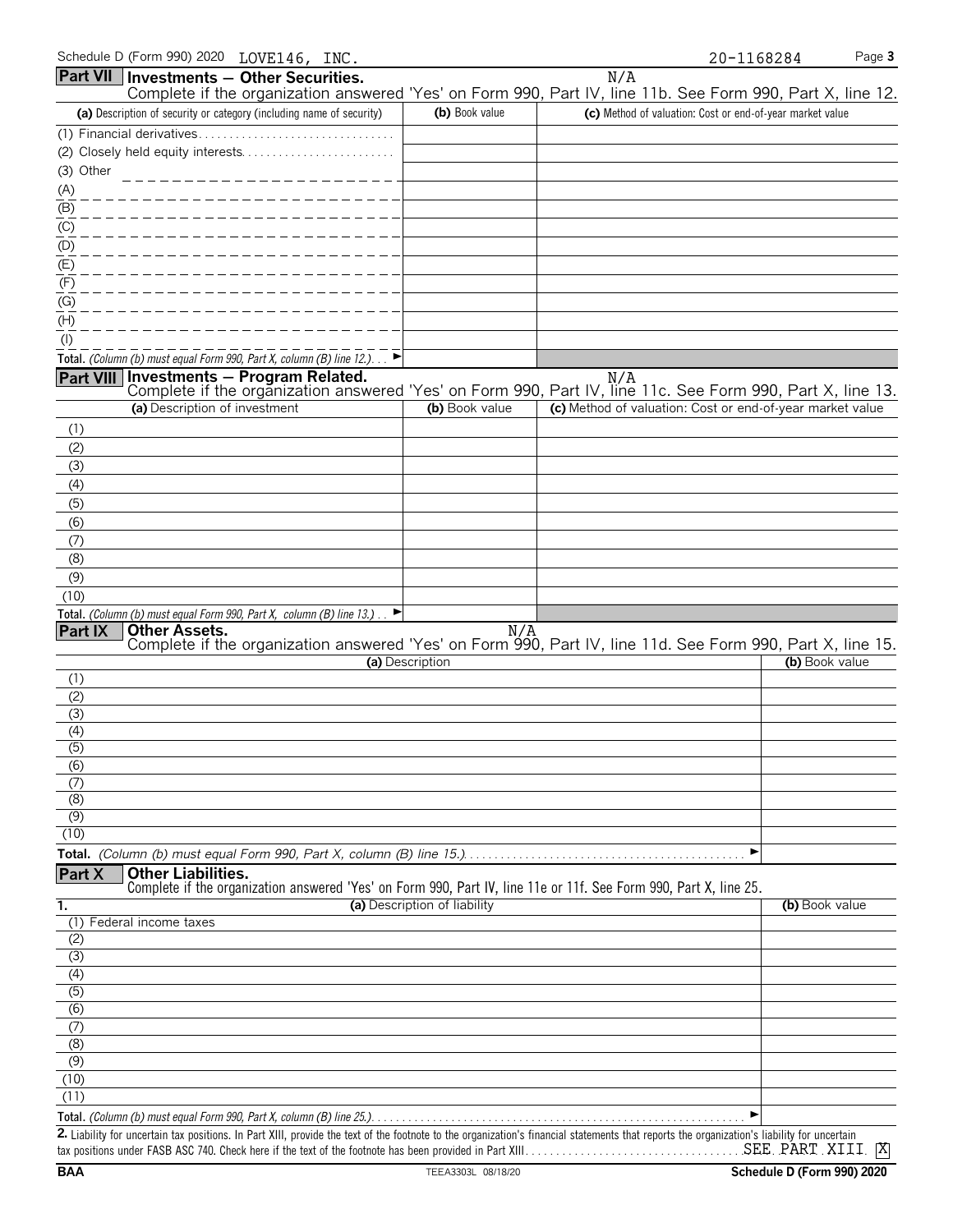| (a) Description of security or category (including name of security)                                                 | (b) Book value               | (c) Method of valuation: Cost or end-of-year market value |                   |
|----------------------------------------------------------------------------------------------------------------------|------------------------------|-----------------------------------------------------------|-------------------|
|                                                                                                                      |                              |                                                           |                   |
| (2) Closely held equity interests                                                                                    |                              |                                                           |                   |
| (3) Other                                                                                                            |                              |                                                           |                   |
| (A)                                                                                                                  |                              |                                                           |                   |
| (B)                                                                                                                  |                              |                                                           |                   |
| (C)                                                                                                                  |                              |                                                           |                   |
| (D)                                                                                                                  |                              |                                                           |                   |
| (E)                                                                                                                  |                              |                                                           |                   |
| (F)                                                                                                                  |                              |                                                           |                   |
| (G)                                                                                                                  |                              |                                                           |                   |
| (H)                                                                                                                  |                              |                                                           |                   |
| $($ l $)$                                                                                                            |                              |                                                           |                   |
| Total. (Column (b) must equal Form 990, Part X, column (B) line $12$ .)                                              |                              |                                                           |                   |
| Part VIII Investments - Program Related.                                                                             |                              | N/A                                                       |                   |
| Complete if the organization answered 'Yes' on Form 990, Part IV, line 11c. See Form 990, Part X, line 13.           |                              |                                                           |                   |
| (a) Description of investment                                                                                        | (b) Book value               | (c) Method of valuation: Cost or end-of-year market value |                   |
| (1)                                                                                                                  |                              |                                                           |                   |
| (2)                                                                                                                  |                              |                                                           |                   |
| (3)                                                                                                                  |                              |                                                           |                   |
| (4)                                                                                                                  |                              |                                                           |                   |
| (5)                                                                                                                  |                              |                                                           |                   |
| (6)                                                                                                                  |                              |                                                           |                   |
| (7)                                                                                                                  |                              |                                                           |                   |
| (8)                                                                                                                  |                              |                                                           |                   |
| (9)                                                                                                                  |                              |                                                           |                   |
| (10)                                                                                                                 |                              |                                                           |                   |
| Total. (Column (b) must equal Form 990, Part X, column (B) line 13.) $\Box$                                          |                              |                                                           |                   |
| Other Assets.<br><b>Part IX</b>                                                                                      | N/A                          |                                                           |                   |
| Complete if the organization answered 'Yes' on Form 990, Part IV, line 11d. See Form 990, Part X, line 15.           | (a) Description              |                                                           | (b) Book value    |
| (1)                                                                                                                  |                              |                                                           |                   |
| (2)                                                                                                                  |                              |                                                           |                   |
| (3)                                                                                                                  |                              |                                                           |                   |
| (4)                                                                                                                  |                              |                                                           |                   |
| $\overline{(5)}$                                                                                                     |                              |                                                           |                   |
| (6)                                                                                                                  |                              |                                                           |                   |
| (7)                                                                                                                  |                              |                                                           |                   |
| $\overline{(8)}$                                                                                                     |                              |                                                           |                   |
| $\overline{(\overline{9})}$                                                                                          |                              |                                                           |                   |
| (10)                                                                                                                 |                              |                                                           |                   |
|                                                                                                                      |                              | ▶                                                         |                   |
| <b>Other Liabilities.</b><br>Part X                                                                                  |                              |                                                           |                   |
| Complete if the organization answered 'Yes' on Form 990, Part IV, line 11e or 11f. See Form 990, Part X, line 25.    |                              |                                                           |                   |
| 1.<br>(1) Federal income taxes                                                                                       | (a) Description of liability |                                                           | (b) Book value    |
| (2)                                                                                                                  |                              |                                                           |                   |
| (3)                                                                                                                  |                              |                                                           |                   |
| (4)                                                                                                                  |                              |                                                           |                   |
| $\overline{(5)}$                                                                                                     |                              |                                                           |                   |
| $\overline{(6)}$                                                                                                     |                              |                                                           |                   |
| (7)                                                                                                                  |                              |                                                           |                   |
| (8)                                                                                                                  |                              |                                                           |                   |
| (9)                                                                                                                  |                              |                                                           |                   |
| (10)                                                                                                                 |                              |                                                           |                   |
| (11)                                                                                                                 |                              |                                                           |                   |
|                                                                                                                      |                              | ▶                                                         |                   |
| poetain toy positions. In Dert VIII, provide the toy of the fectuate to the examination's financial etatements their |                              |                                                           | بمكبية انطمئا مام |

Schedule D (Form 990) 2020 LOVE146, INC. 20-1168284 Page 3

Complete if the organization answered 'Yes' on Form 990, Part IV, line 11b. See Form 990, Part X, line 12.

N/A

**Part VII** Investments - Other Securities.

**2.** Liability for uncertain tax positions. In Part XIII, provide the text of the footnote to the organization's financial statements that reports the organization's liability for uncertain tax positions under FASB ASC 740. Check here if the text of the footnote has been provided in Part XIII. . . . . . . . . . . . . . . . . . . . . . . . . . . . . . . . . . . . . . . . . . . . . . . . . . . . . . . . SEE PART XIII X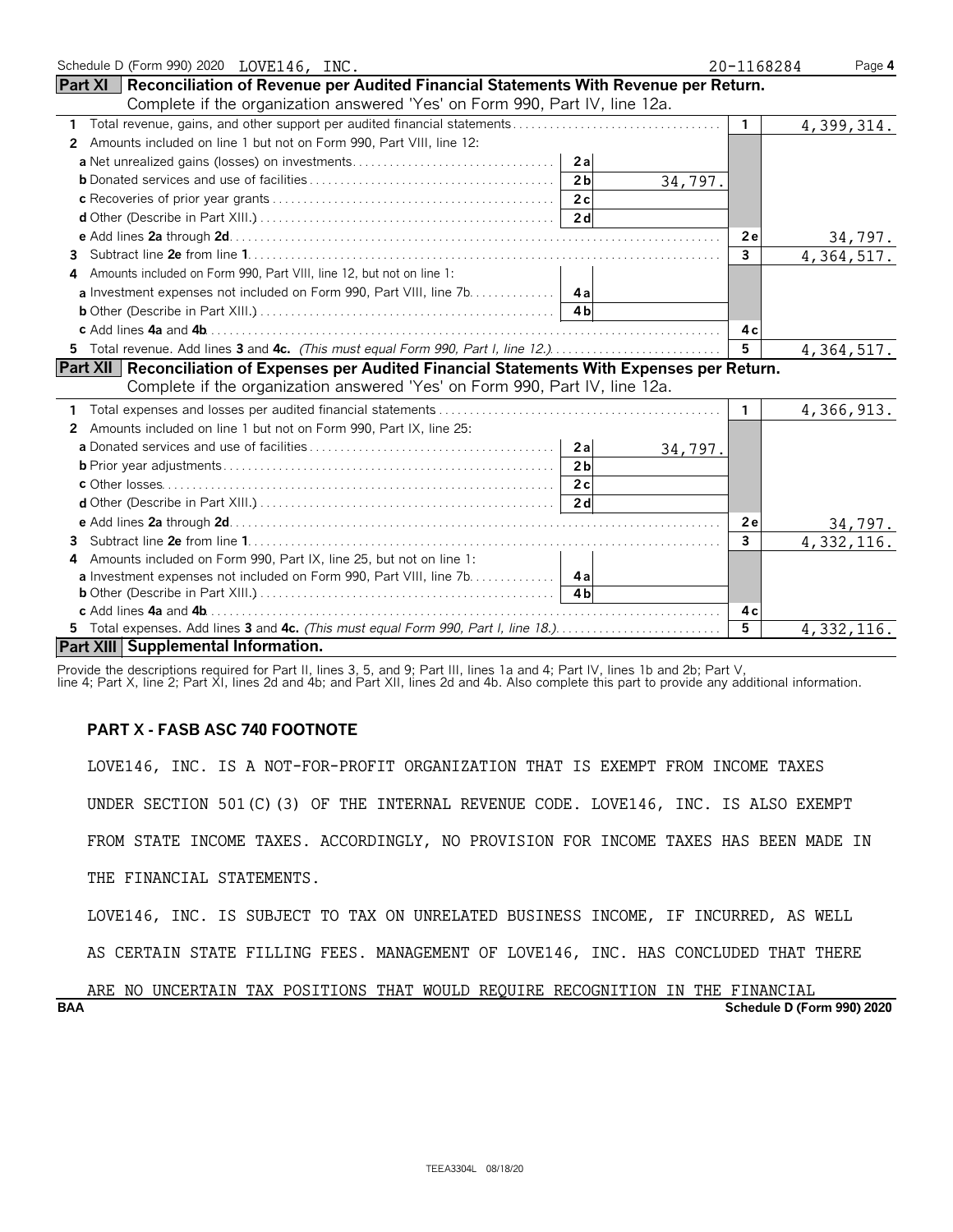| Schedule D (Form 990) 2020 LOVE146, INC.                                                         | 20-1168284   | Page 4                     |
|--------------------------------------------------------------------------------------------------|--------------|----------------------------|
| Part XI   Reconciliation of Revenue per Audited Financial Statements With Revenue per Return.    |              |                            |
| Complete if the organization answered 'Yes' on Form 990, Part IV, line 12a.                      |              |                            |
| 1                                                                                                | $\mathbf{1}$ | 4,399,314.                 |
| Amounts included on line 1 but not on Form 990, Part VIII, line 12:<br>2                         |              |                            |
| 2a                                                                                               |              |                            |
| 2 <sub>b</sub><br>34,797.                                                                        |              |                            |
|                                                                                                  |              |                            |
|                                                                                                  |              |                            |
|                                                                                                  | 2e           |                            |
| 3.                                                                                               | $\mathbf{3}$ | $\frac{34,797}{4,364,517}$ |
| 4 Amounts included on Form 990, Part VIII, line 12, but not on line 1:                           |              |                            |
| a Investment expenses not included on Form 990, Part VIII, line 7b. 4a                           |              |                            |
| 4 <sub>h</sub>                                                                                   |              |                            |
|                                                                                                  | 4 c          |                            |
| 5 Total revenue. Add lines 3 and 4c. (This must equal Form 990, Part I, line 12.)                | 5            | 4, 364, 517.               |
| Part XII   Reconciliation of Expenses per Audited Financial Statements With Expenses per Return. |              |                            |
| Complete if the organization answered 'Yes' on Form 990, Part IV, line 12a.                      |              |                            |
|                                                                                                  | $\mathbf{1}$ | 4,366,913.                 |
| 2 Amounts included on line 1 but not on Form 990, Part IX, line 25:                              |              |                            |
| 2a<br>34,797.                                                                                    |              |                            |
| 2 <sub>b</sub>                                                                                   |              |                            |
|                                                                                                  |              |                            |
|                                                                                                  |              |                            |
|                                                                                                  | 2e           | <u>34,797.</u>             |
| 3.                                                                                               | 3            | 4,332,116.                 |
| Amounts included on Form 990, Part IX, line 25, but not on line 1:<br>4                          |              |                            |
| a Investment expenses not included on Form 990, Part VIII, line 7b. 4a                           |              |                            |
| 4 <sub>h</sub>                                                                                   |              |                            |
|                                                                                                  | 4 c          |                            |
| 5 Total expenses. Add lines 3 and 4c. (This must equal Form 990, Part I, line 18.)               | 5            | 4,332,116.                 |
| Part XIII Supplemental Information.                                                              |              |                            |

Provide the descriptions required for Part II, lines 3, 5, and 9; Part III, lines 1a and 4; Part IV, lines 1b and 2b; Part V,

line 4; Part X, line 2; Part XI, lines 2d and 4b; and Part XII, lines 2d and 4b. Also complete this part to provide any additional information.

# **PART X - FASB ASC 740 FOOTNOTE**

LOVE146, INC. IS A NOT-FOR-PROFIT ORGANIZATION THAT IS EXEMPT FROM INCOME TAXES

UNDER SECTION 501(C)(3) OF THE INTERNAL REVENUE CODE. LOVE146, INC. IS ALSO EXEMPT

FROM STATE INCOME TAXES. ACCORDINGLY, NO PROVISION FOR INCOME TAXES HAS BEEN MADE IN

THE FINANCIAL STATEMENTS.

LOVE146, INC. IS SUBJECT TO TAX ON UNRELATED BUSINESS INCOME, IF INCURRED, AS WELL

AS CERTAIN STATE FILLING FEES. MANAGEMENT OF LOVE146, INC. HAS CONCLUDED THAT THERE

**BAA Schedule D (Form 990) 2020** ARE NO UNCERTAIN TAX POSITIONS THAT WOULD REQUIRE RECOGNITION IN THE FINANCIAL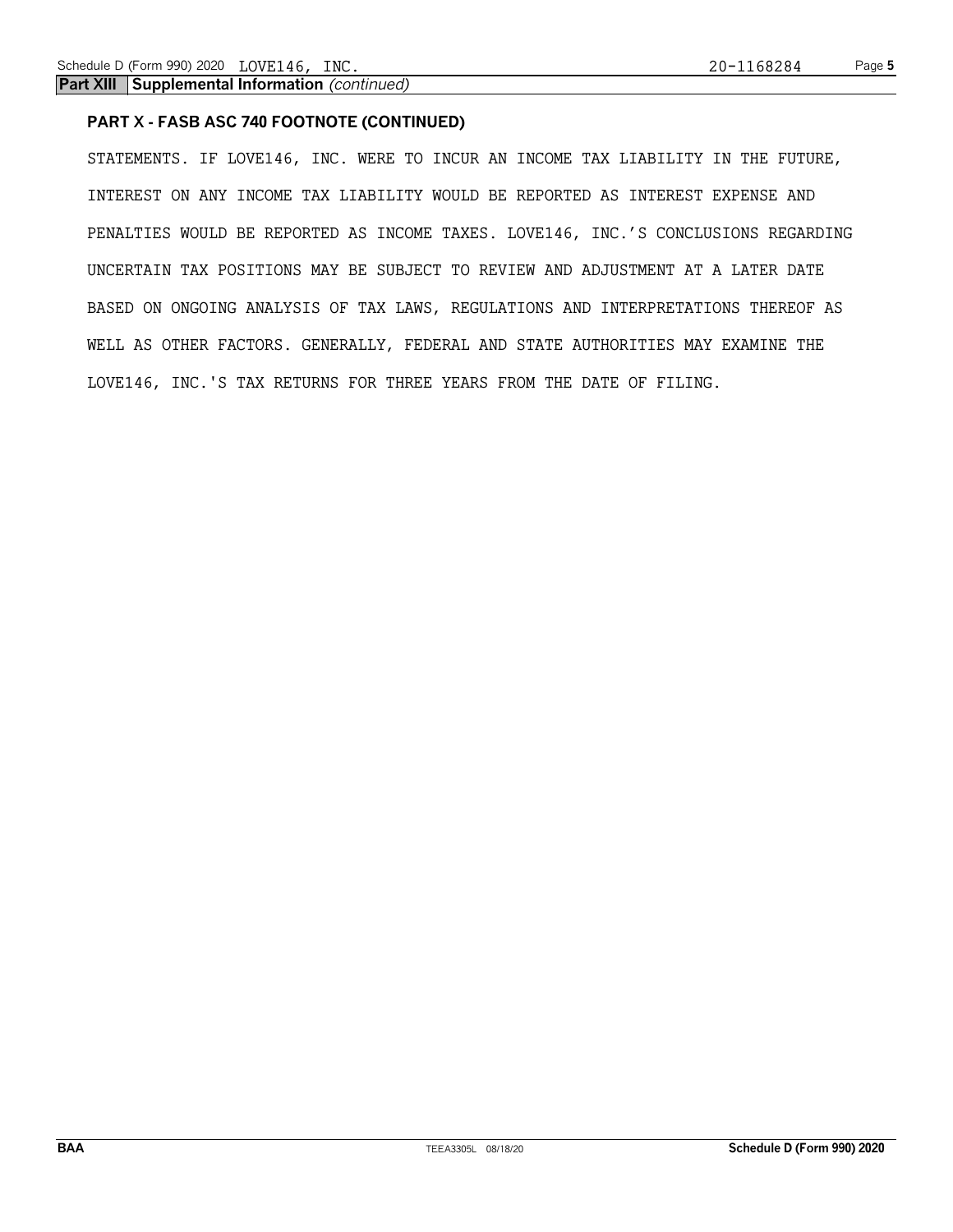**Part XIII Supplemental Information** *(continued)*

# **PART X - FASB ASC 740 FOOTNOTE (CONTINUED)**

STATEMENTS. IF LOVE146, INC. WERE TO INCUR AN INCOME TAX LIABILITY IN THE FUTURE, INTEREST ON ANY INCOME TAX LIABILITY WOULD BE REPORTED AS INTEREST EXPENSE AND PENALTIES WOULD BE REPORTED AS INCOME TAXES. LOVE146, INC.'S CONCLUSIONS REGARDING UNCERTAIN TAX POSITIONS MAY BE SUBJECT TO REVIEW AND ADJUSTMENT AT A LATER DATE BASED ON ONGOING ANALYSIS OF TAX LAWS, REGULATIONS AND INTERPRETATIONS THEREOF AS WELL AS OTHER FACTORS. GENERALLY, FEDERAL AND STATE AUTHORITIES MAY EXAMINE THE LOVE146, INC.'S TAX RETURNS FOR THREE YEARS FROM THE DATE OF FILING.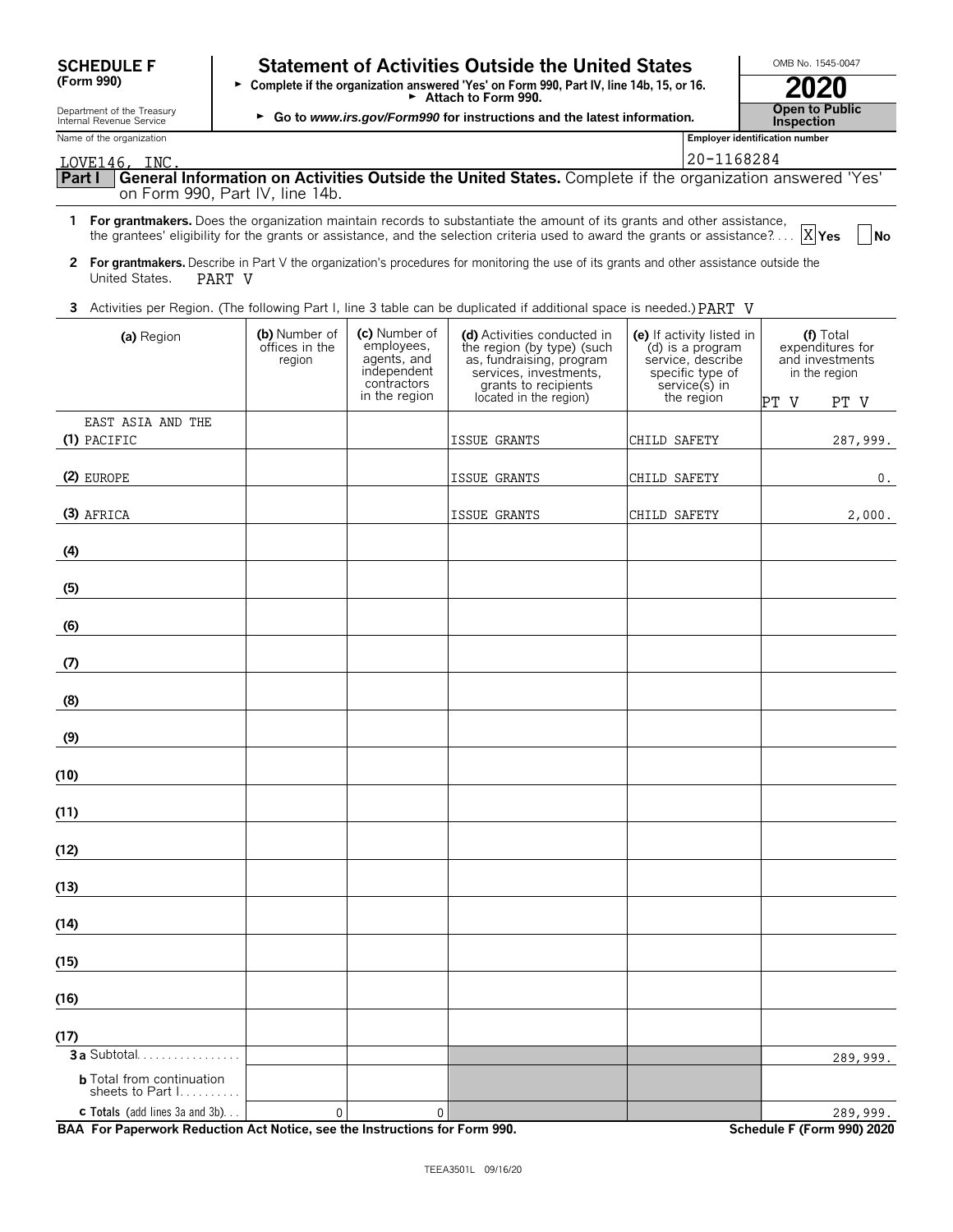| <b>SCHEDULE F</b> |  |
|-------------------|--|
| (Form 990)        |  |

# **Statement of Activities Outside the United States Letter MB No. 1545-0047**

| <u>JUILLULLI</u><br>(Form 990)                         | <u>URULIIU ULAUUTUUS UULSIUU UIU UIIILUU ULULUS</u><br>Complete if the organization answered 'Yes' on Form 990, Part IV, line 14b, 15, or 16.<br>$\blacktriangleright$ Attach to Form 990. | 2020                                       |
|--------------------------------------------------------|--------------------------------------------------------------------------------------------------------------------------------------------------------------------------------------------|--------------------------------------------|
| Department of the Treasury<br>Internal Revenue Service | ► Go to www.irs.gov/Form990 for instructions and the latest information.                                                                                                                   | <b>Open to Public</b><br><b>Inspection</b> |
| Name of the organization                               |                                                                                                                                                                                            | Emplover identification number             |

| LOVE146. | INC. |
|----------|------|
|          |      |

| LOVE146, INC.                                                                                                   | 20-1168284 |  |
|-----------------------------------------------------------------------------------------------------------------|------------|--|
| Part I General Information on Activities Outside the United States. Complete if the organization answered 'Yes' |            |  |
| on Form 990, Part IV, line 14b.                                                                                 |            |  |

- **1 For grantmakers.** Does the organization maintain records to substantiate the amount of its grants and other assistance, the grantees' eligibility for the grants or assistance, and the selection criteria used to award the grants or assistance?... |X|Yes | |No X<sub>Yes</sub>
- **2 For grantmakers.** Describe in Part V the organization's procedures for monitoring the use of its grants and other assistance outside the United States. PART V
- **3** Activities per Region. (The following Part I, line 3 table can be duplicated if additional space is needed.) PART V

| (a) Region                                            | (b) Number of<br>offices in the<br>region | (c) Number of<br>employees,<br>agents, and<br>independent<br>contractors<br>in the region | (d) Activities conducted in<br>the region (by type) (such<br>as, fundraising, program<br>services, investments,<br>grants to recipients<br>located in the region) | (e) If activity listed in<br>(d) is a program<br>service, describe<br>specific type of<br>service(s) in<br>the region | (f) Total<br>expenditures for<br>and investments<br>in the region |
|-------------------------------------------------------|-------------------------------------------|-------------------------------------------------------------------------------------------|-------------------------------------------------------------------------------------------------------------------------------------------------------------------|-----------------------------------------------------------------------------------------------------------------------|-------------------------------------------------------------------|
| EAST ASIA AND THE                                     |                                           |                                                                                           |                                                                                                                                                                   |                                                                                                                       | PT V<br>PT V                                                      |
| (1) PACIFIC                                           |                                           |                                                                                           | ISSUE GRANTS                                                                                                                                                      | CHILD SAFETY                                                                                                          | 287,999.                                                          |
| (2) EUROPE                                            |                                           |                                                                                           | ISSUE GRANTS                                                                                                                                                      | CHILD SAFETY                                                                                                          | 0.                                                                |
| (3) AFRICA                                            |                                           |                                                                                           | ISSUE GRANTS                                                                                                                                                      | CHILD SAFETY                                                                                                          | 2,000.                                                            |
| (4)                                                   |                                           |                                                                                           |                                                                                                                                                                   |                                                                                                                       |                                                                   |
| (5)                                                   |                                           |                                                                                           |                                                                                                                                                                   |                                                                                                                       |                                                                   |
| (6)                                                   |                                           |                                                                                           |                                                                                                                                                                   |                                                                                                                       |                                                                   |
| (7)                                                   |                                           |                                                                                           |                                                                                                                                                                   |                                                                                                                       |                                                                   |
| (8)                                                   |                                           |                                                                                           |                                                                                                                                                                   |                                                                                                                       |                                                                   |
| (9)                                                   |                                           |                                                                                           |                                                                                                                                                                   |                                                                                                                       |                                                                   |
| (10)                                                  |                                           |                                                                                           |                                                                                                                                                                   |                                                                                                                       |                                                                   |
| (11)                                                  |                                           |                                                                                           |                                                                                                                                                                   |                                                                                                                       |                                                                   |
| (12)                                                  |                                           |                                                                                           |                                                                                                                                                                   |                                                                                                                       |                                                                   |
| (13)                                                  |                                           |                                                                                           |                                                                                                                                                                   |                                                                                                                       |                                                                   |
| (14)                                                  |                                           |                                                                                           |                                                                                                                                                                   |                                                                                                                       |                                                                   |
| (15)                                                  |                                           |                                                                                           |                                                                                                                                                                   |                                                                                                                       |                                                                   |
| (16)                                                  |                                           |                                                                                           |                                                                                                                                                                   |                                                                                                                       |                                                                   |
| (17)                                                  |                                           |                                                                                           |                                                                                                                                                                   |                                                                                                                       |                                                                   |
| 3a Subtotal                                           |                                           |                                                                                           |                                                                                                                                                                   |                                                                                                                       | 289,999.                                                          |
| <b>b</b> Total from continuation<br>sheets to Part 1. |                                           |                                                                                           |                                                                                                                                                                   |                                                                                                                       |                                                                   |
| <b>c</b> Totals (add lines 3a and 3b)                 | $\mathbf{0}$                              | $\mathbf 0$                                                                               |                                                                                                                                                                   |                                                                                                                       | 289,999.                                                          |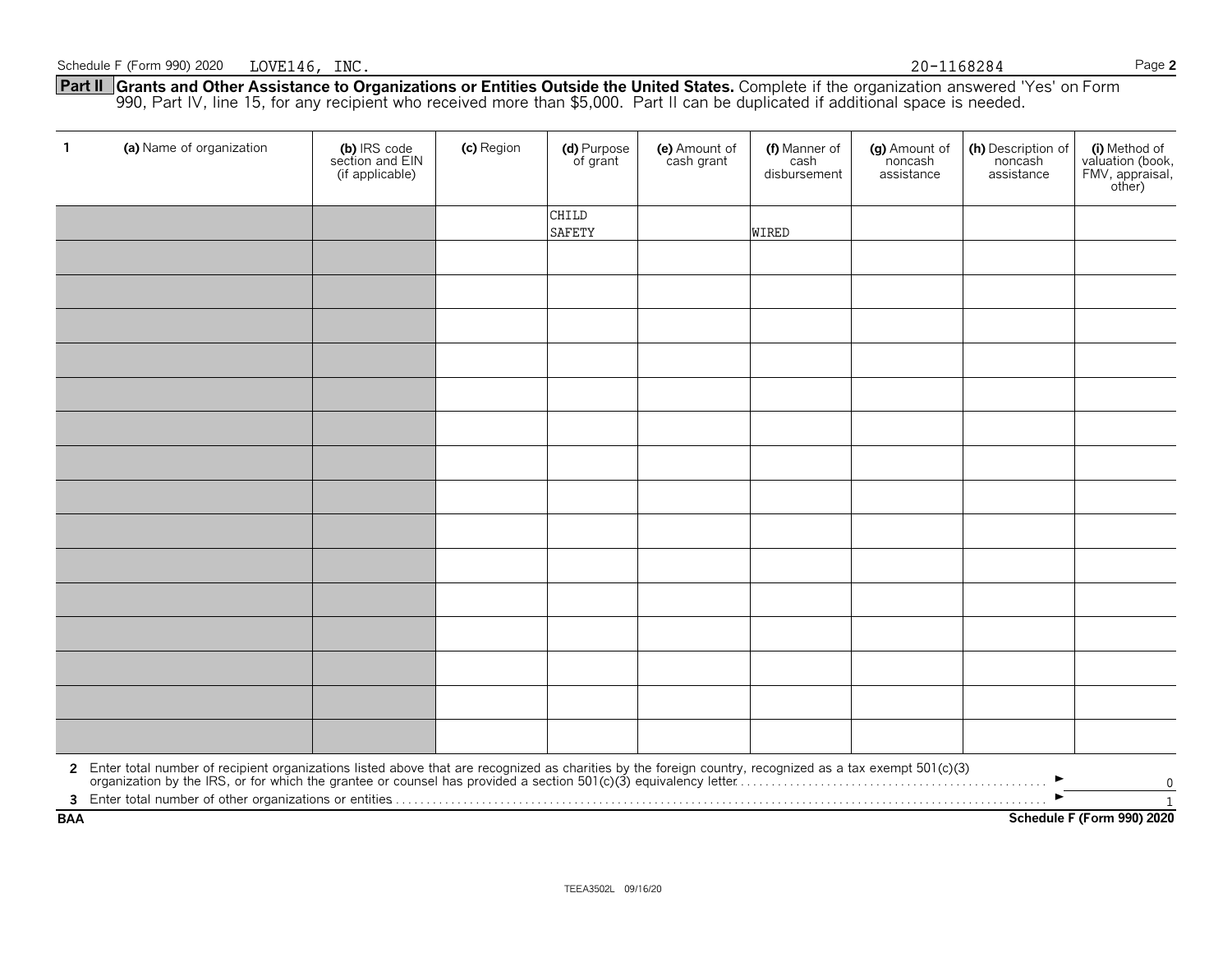**Part II Grants and Other Assistance to Organizations or Entities Outside the United States.** Complete if the organization answered 'Yes' on Form 990, Part IV, line 15, for any recipient who received more than \$5,000. Part II can be duplicated if additional space is needed.

| $\mathbf{1}$ | (a) Name of organization                                                                                                                                                                                                       | (b) IRS code<br>section and EIN<br>(if applicable) | (c) Region | (d) Purpose<br>of grant | (e) Amount of<br>cash grant | (f) Manner of<br>cash<br>disbursement | (g) Amount of<br>noncash<br>assistance | (h) Description of<br>noncash<br>assistance | (i) Method of<br>valuation (book,<br>FMV, appraisal,<br>other) |
|--------------|--------------------------------------------------------------------------------------------------------------------------------------------------------------------------------------------------------------------------------|----------------------------------------------------|------------|-------------------------|-----------------------------|---------------------------------------|----------------------------------------|---------------------------------------------|----------------------------------------------------------------|
|              |                                                                                                                                                                                                                                |                                                    |            | CHILD<br><b>SAFETY</b>  |                             | <b>WIRED</b>                          |                                        |                                             |                                                                |
|              |                                                                                                                                                                                                                                |                                                    |            |                         |                             |                                       |                                        |                                             |                                                                |
|              |                                                                                                                                                                                                                                |                                                    |            |                         |                             |                                       |                                        |                                             |                                                                |
|              |                                                                                                                                                                                                                                |                                                    |            |                         |                             |                                       |                                        |                                             |                                                                |
|              |                                                                                                                                                                                                                                |                                                    |            |                         |                             |                                       |                                        |                                             |                                                                |
|              |                                                                                                                                                                                                                                |                                                    |            |                         |                             |                                       |                                        |                                             |                                                                |
|              |                                                                                                                                                                                                                                |                                                    |            |                         |                             |                                       |                                        |                                             |                                                                |
|              |                                                                                                                                                                                                                                |                                                    |            |                         |                             |                                       |                                        |                                             |                                                                |
|              |                                                                                                                                                                                                                                |                                                    |            |                         |                             |                                       |                                        |                                             |                                                                |
|              |                                                                                                                                                                                                                                |                                                    |            |                         |                             |                                       |                                        |                                             |                                                                |
|              |                                                                                                                                                                                                                                |                                                    |            |                         |                             |                                       |                                        |                                             |                                                                |
|              |                                                                                                                                                                                                                                |                                                    |            |                         |                             |                                       |                                        |                                             |                                                                |
|              |                                                                                                                                                                                                                                |                                                    |            |                         |                             |                                       |                                        |                                             |                                                                |
|              |                                                                                                                                                                                                                                |                                                    |            |                         |                             |                                       |                                        |                                             |                                                                |
|              |                                                                                                                                                                                                                                |                                                    |            |                         |                             |                                       |                                        |                                             |                                                                |
|              |                                                                                                                                                                                                                                |                                                    |            |                         |                             |                                       |                                        |                                             |                                                                |
|              | 2 Enter total number of recipient organizations listed above that are recognized as charities by the foreign country, recognized as a tax exempt 501(c)(3) organization by the IRS, or for which the grantee or counsel has pr |                                                    |            |                         |                             |                                       |                                        |                                             | 0                                                              |
| <b>BAA</b>   |                                                                                                                                                                                                                                |                                                    |            |                         |                             |                                       |                                        |                                             | $\mathbf{1}$<br>Schedule F (Form 990) 2020                     |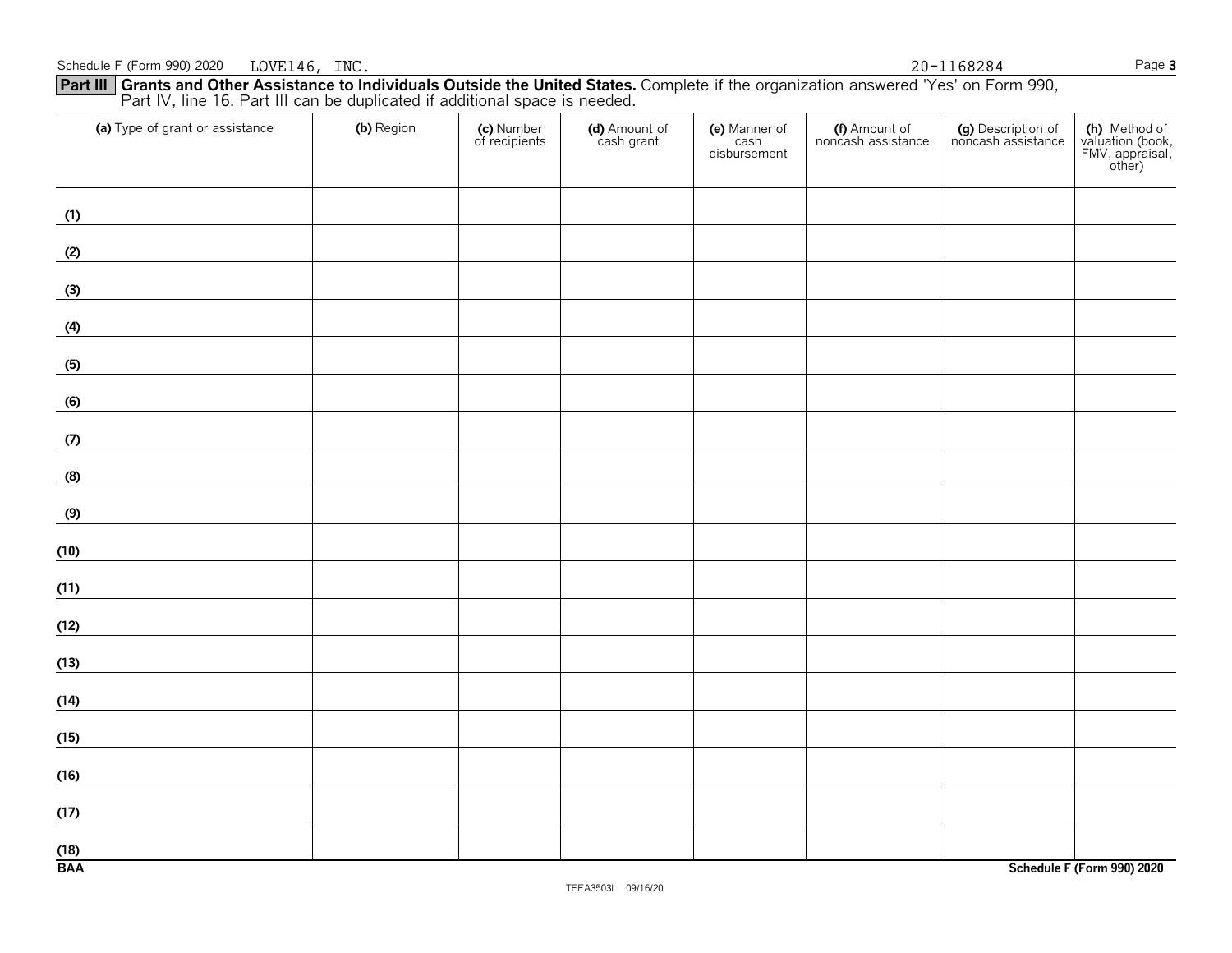#### **Part III Grants and Other Assistance to Individuals Outside the United States.** Complete if the organization answered 'Yes' on Form 990, Part IV, line 16. Part III can be duplicated if additional space is needed.

| (a) Type of grant or assistance | (b) Region | (c) Number<br>of recipients | (d) Amount of<br>cash grant | (e) Manner of<br>cash<br>disbursement | (f) Amount of<br>noncash assistance | (g) Description of<br>noncash assistance | (h) Method of<br>valuation (book,<br>FMV, appraisal,<br>other) |
|---------------------------------|------------|-----------------------------|-----------------------------|---------------------------------------|-------------------------------------|------------------------------------------|----------------------------------------------------------------|
| (1)                             |            |                             |                             |                                       |                                     |                                          |                                                                |
| (2)                             |            |                             |                             |                                       |                                     |                                          |                                                                |
| (3)                             |            |                             |                             |                                       |                                     |                                          |                                                                |
| (4)                             |            |                             |                             |                                       |                                     |                                          |                                                                |
| (5)                             |            |                             |                             |                                       |                                     |                                          |                                                                |
| (6)                             |            |                             |                             |                                       |                                     |                                          |                                                                |
| (7)                             |            |                             |                             |                                       |                                     |                                          |                                                                |
| (8)                             |            |                             |                             |                                       |                                     |                                          |                                                                |
| (9)                             |            |                             |                             |                                       |                                     |                                          |                                                                |
| (10)                            |            |                             |                             |                                       |                                     |                                          |                                                                |
| (11)                            |            |                             |                             |                                       |                                     |                                          |                                                                |
| (12)                            |            |                             |                             |                                       |                                     |                                          |                                                                |
| (13)                            |            |                             |                             |                                       |                                     |                                          |                                                                |
| (14)                            |            |                             |                             |                                       |                                     |                                          |                                                                |
| (15)                            |            |                             |                             |                                       |                                     |                                          |                                                                |
| (16)                            |            |                             |                             |                                       |                                     |                                          |                                                                |
| (17)                            |            |                             |                             |                                       |                                     |                                          |                                                                |
| (18)<br><b>BAA</b>              |            |                             |                             |                                       |                                     |                                          | Schedule F (Form 990) 2020                                     |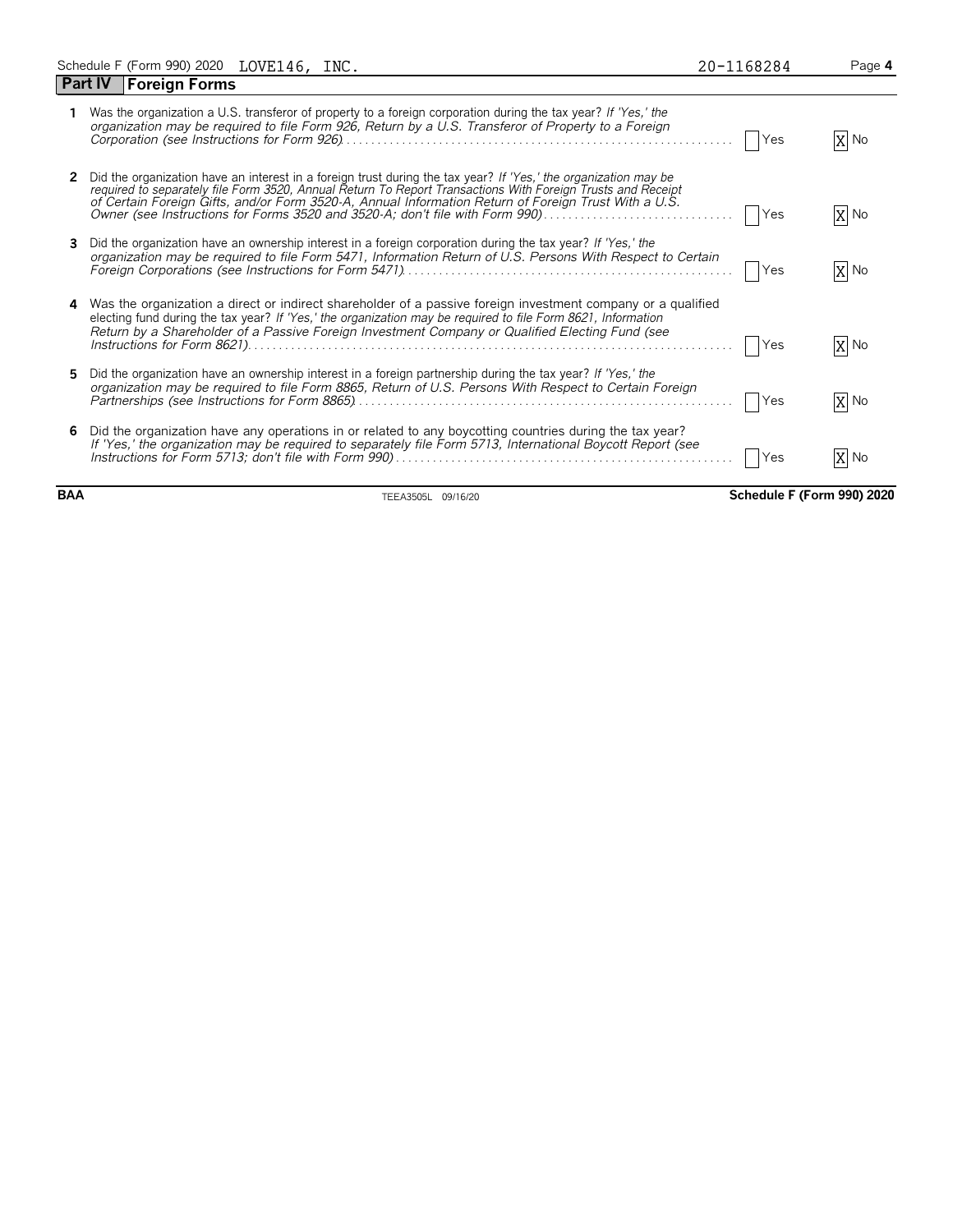|            | X No                                                                                                                                                                                                                                                                                                                |
|------------|---------------------------------------------------------------------------------------------------------------------------------------------------------------------------------------------------------------------------------------------------------------------------------------------------------------------|
| Yes        | X No                                                                                                                                                                                                                                                                                                                |
| Yes        | X No                                                                                                                                                                                                                                                                                                                |
| Yes        | X No                                                                                                                                                                                                                                                                                                                |
| Yes        | X No                                                                                                                                                                                                                                                                                                                |
| <b>Yes</b> | X No                                                                                                                                                                                                                                                                                                                |
|            | Yes<br>Owner (see Instructions for Forms 3520 and 3520-A; don't file with Form 990)<br>organization may be required to file Form 5471, Information Return of U.S. Persons With Respect to Certain<br>4 Was the organization a direct or indirect shareholder of a passive foreign investment company or a qualified |

**BAA** TEEA3505L 09/16/20 **Schedule F (Form 990) 2020**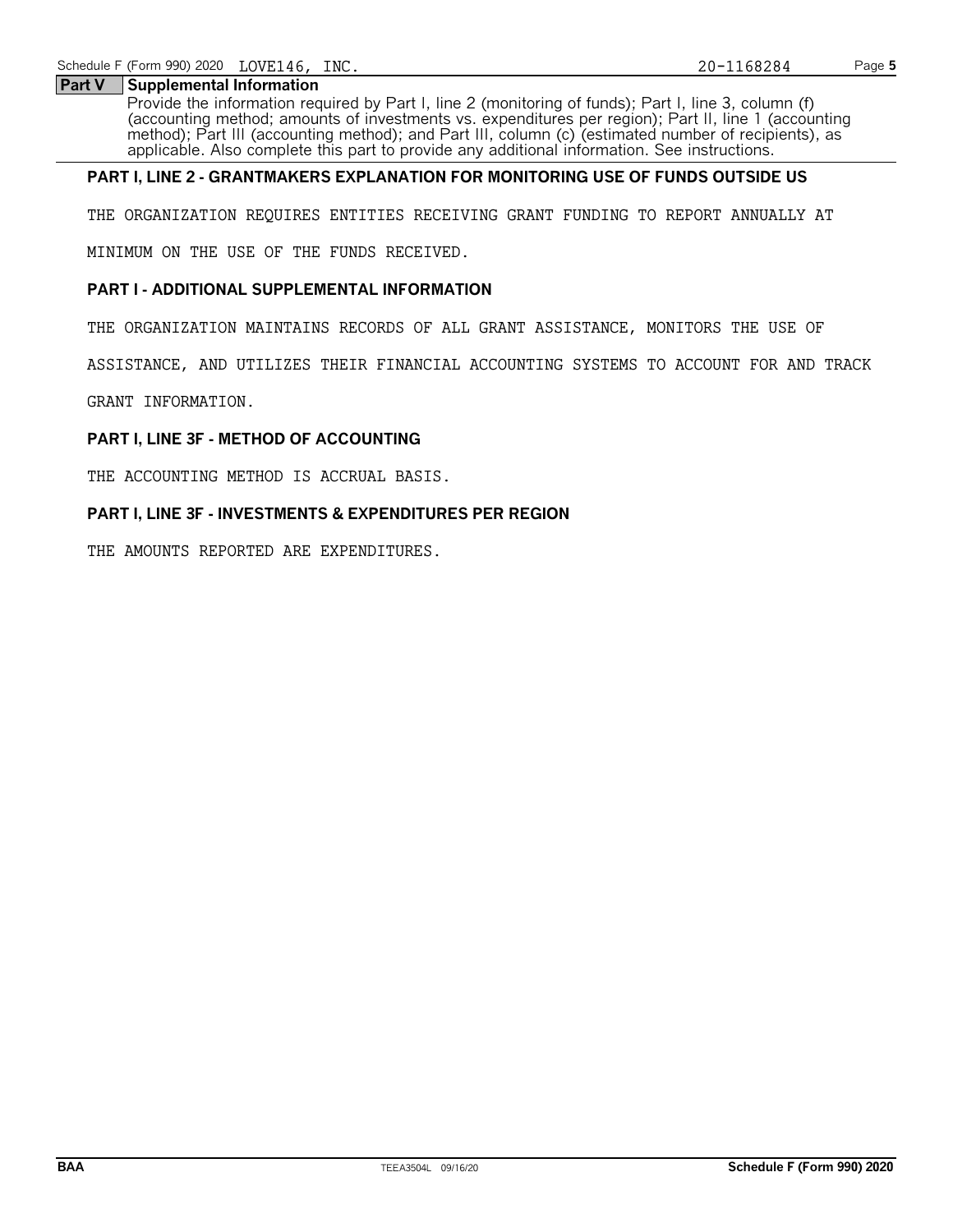#### **Part V Supplemental Information**

Provide the information required by Part I, line 2 (monitoring of funds); Part I, line 3, column (f) (accounting method; amounts of investments vs. expenditures per region); Part II, line 1 (accounting method); Part III (accounting method); and Part III, column (c) (estimated number of recipients), as applicable. Also complete this part to provide any additional information. See instructions.

#### **PART I, LINE 2 - GRANTMAKERS EXPLANATION FOR MONITORING USE OF FUNDS OUTSIDE US**

THE ORGANIZATION REQUIRES ENTITIES RECEIVING GRANT FUNDING TO REPORT ANNUALLY AT

MINIMUM ON THE USE OF THE FUNDS RECEIVED.

#### **PART I - ADDITIONAL SUPPLEMENTAL INFORMATION**

THE ORGANIZATION MAINTAINS RECORDS OF ALL GRANT ASSISTANCE, MONITORS THE USE OF

ASSISTANCE, AND UTILIZES THEIR FINANCIAL ACCOUNTING SYSTEMS TO ACCOUNT FOR AND TRACK

GRANT INFORMATION.

#### **PART I, LINE 3F - METHOD OF ACCOUNTING**

THE ACCOUNTING METHOD IS ACCRUAL BASIS.

#### **PART I, LINE 3F - INVESTMENTS & EXPENDITURES PER REGION**

THE AMOUNTS REPORTED ARE EXPENDITURES.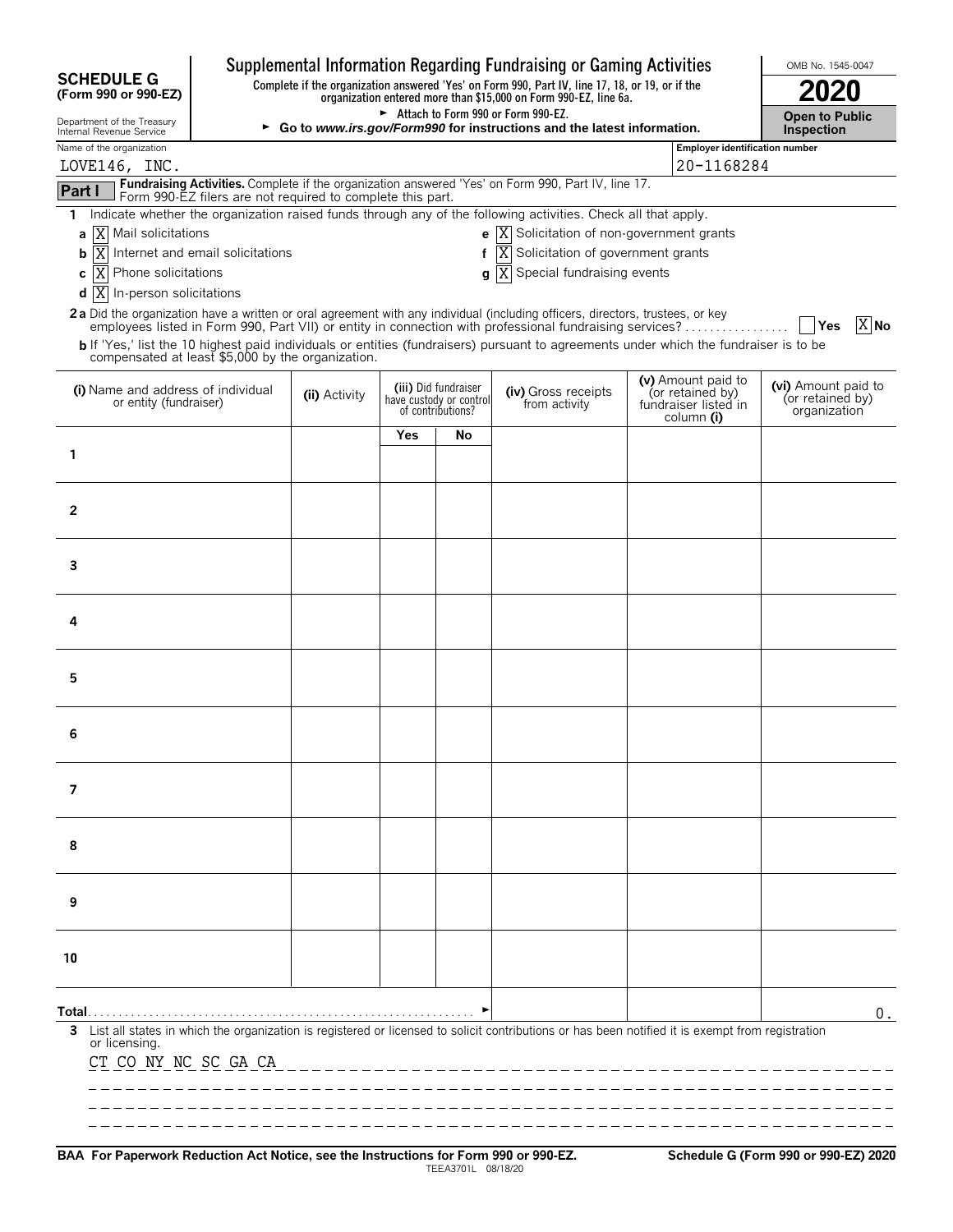|                                                                   |                                                            |                                                                                                                                                                     |     |                                                                      | Supplemental Information Regarding Fundraising or Gaming Activities                                                                              |                                                        | OMB No. 1545-0047                                       |  |
|-------------------------------------------------------------------|------------------------------------------------------------|---------------------------------------------------------------------------------------------------------------------------------------------------------------------|-----|----------------------------------------------------------------------|--------------------------------------------------------------------------------------------------------------------------------------------------|--------------------------------------------------------|---------------------------------------------------------|--|
| <b>SCHEDULE G</b><br>(Form 990 or 990-EZ)                         |                                                            | Complete if the organization answered 'Yes' on Form 990, Part IV, line 17, 18, or 19, or if the<br>organization entered more than \$15,000 on Form 990-EZ, line 6a. |     |                                                                      |                                                                                                                                                  |                                                        |                                                         |  |
| Department of the Treasury<br>Internal Revenue Service            |                                                            |                                                                                                                                                                     |     |                                                                      | Attach to Form 990 or Form 990-EZ.<br>► Go to www.irs.gov/Form990 for instructions and the latest information.                                   |                                                        | <b>Open to Public</b><br>Inspection                     |  |
| Name of the organization                                          |                                                            |                                                                                                                                                                     |     |                                                                      |                                                                                                                                                  | Employer identification number                         |                                                         |  |
| LOVE146, INC.                                                     |                                                            |                                                                                                                                                                     |     |                                                                      | Fundraising Activities. Complete if the organization answered 'Yes' on Form 990, Part IV, line 17.                                               | 20-1168284                                             |                                                         |  |
| Part I                                                            | Form 990-EZ filers are not required to complete this part. |                                                                                                                                                                     |     |                                                                      |                                                                                                                                                  |                                                        |                                                         |  |
| 1.                                                                |                                                            |                                                                                                                                                                     |     |                                                                      | Indicate whether the organization raised funds through any of the following activities. Check all that apply.                                    |                                                        |                                                         |  |
| X Mail solicitations<br>a                                         |                                                            |                                                                                                                                                                     |     |                                                                      | <b>e</b> $\overline{X}$ Solicitation of non-government grants                                                                                    |                                                        |                                                         |  |
| ΙX<br>b                                                           | Internet and email solicitations                           |                                                                                                                                                                     |     |                                                                      | Solicitation of government grants<br>ΙX                                                                                                          |                                                        |                                                         |  |
| X <br>Phone solicitations<br>C<br>$d$  X  In-person solicitations |                                                            |                                                                                                                                                                     |     |                                                                      | g  X Special fundraising events                                                                                                                  |                                                        |                                                         |  |
|                                                                   |                                                            |                                                                                                                                                                     |     |                                                                      | 2a Did the organization have a written or oral agreement with any individual (including officers, directors, trustees, or key                    |                                                        |                                                         |  |
|                                                                   |                                                            |                                                                                                                                                                     |     |                                                                      | employees listed in Form 990, Part VII) or entity in connection with professional fundraising services?                                          |                                                        | X No<br> Yes                                            |  |
| compensated at least \$5,000 by the organization.                 |                                                            |                                                                                                                                                                     |     |                                                                      | b If 'Yes,' list the 10 highest paid individuals or entities (fundraisers) pursuant to agreements under which the fundraiser is to be            |                                                        |                                                         |  |
|                                                                   |                                                            |                                                                                                                                                                     |     |                                                                      |                                                                                                                                                  | (v) Amount paid to                                     |                                                         |  |
| (i) Name and address of individual<br>or entity (fundraiser)      |                                                            | (ii) Activity                                                                                                                                                       |     | (iii) Did fundraiser<br>have custody or control<br>of contributions? | (iv) Gross receipts<br>from activity                                                                                                             | (or retained by)<br>fundraiser listed in<br>column (i) | (vi) Amount paid to<br>(or retained by)<br>organization |  |
|                                                                   |                                                            |                                                                                                                                                                     | Yes | No                                                                   |                                                                                                                                                  |                                                        |                                                         |  |
| 1                                                                 |                                                            |                                                                                                                                                                     |     |                                                                      |                                                                                                                                                  |                                                        |                                                         |  |
| 2                                                                 |                                                            |                                                                                                                                                                     |     |                                                                      |                                                                                                                                                  |                                                        |                                                         |  |
|                                                                   |                                                            |                                                                                                                                                                     |     |                                                                      |                                                                                                                                                  |                                                        |                                                         |  |
| 3                                                                 |                                                            |                                                                                                                                                                     |     |                                                                      |                                                                                                                                                  |                                                        |                                                         |  |
|                                                                   |                                                            |                                                                                                                                                                     |     |                                                                      |                                                                                                                                                  |                                                        |                                                         |  |
| 4                                                                 |                                                            |                                                                                                                                                                     |     |                                                                      |                                                                                                                                                  |                                                        |                                                         |  |
|                                                                   |                                                            |                                                                                                                                                                     |     |                                                                      |                                                                                                                                                  |                                                        |                                                         |  |
| 5                                                                 |                                                            |                                                                                                                                                                     |     |                                                                      |                                                                                                                                                  |                                                        |                                                         |  |
| 6                                                                 |                                                            |                                                                                                                                                                     |     |                                                                      |                                                                                                                                                  |                                                        |                                                         |  |
|                                                                   |                                                            |                                                                                                                                                                     |     |                                                                      |                                                                                                                                                  |                                                        |                                                         |  |
| 7                                                                 |                                                            |                                                                                                                                                                     |     |                                                                      |                                                                                                                                                  |                                                        |                                                         |  |
| 8                                                                 |                                                            |                                                                                                                                                                     |     |                                                                      |                                                                                                                                                  |                                                        |                                                         |  |
|                                                                   |                                                            |                                                                                                                                                                     |     |                                                                      |                                                                                                                                                  |                                                        |                                                         |  |
| 9                                                                 |                                                            |                                                                                                                                                                     |     |                                                                      |                                                                                                                                                  |                                                        |                                                         |  |
| 10                                                                |                                                            |                                                                                                                                                                     |     |                                                                      |                                                                                                                                                  |                                                        |                                                         |  |
|                                                                   |                                                            |                                                                                                                                                                     |     |                                                                      |                                                                                                                                                  |                                                        |                                                         |  |
| Total…                                                            |                                                            |                                                                                                                                                                     |     |                                                                      |                                                                                                                                                  |                                                        | 0.                                                      |  |
| 3<br>or licensing.<br>CT CO NY NC SC GA CA                        |                                                            |                                                                                                                                                                     |     |                                                                      | List all states in which the organization is registered or licensed to solicit contributions or has been notified it is exempt from registration |                                                        |                                                         |  |
|                                                                   |                                                            |                                                                                                                                                                     |     |                                                                      |                                                                                                                                                  |                                                        |                                                         |  |
|                                                                   |                                                            |                                                                                                                                                                     |     |                                                                      |                                                                                                                                                  |                                                        |                                                         |  |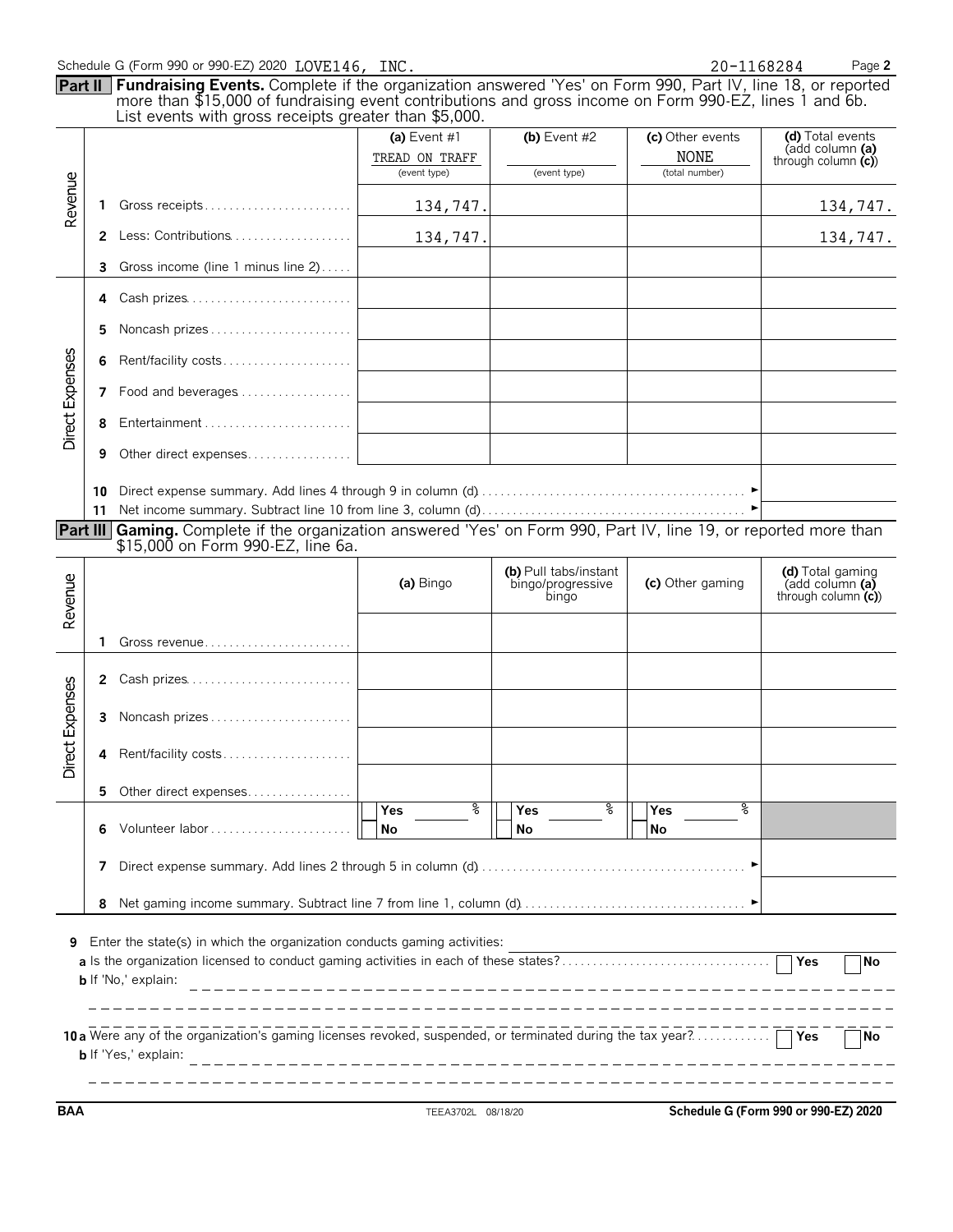|  |  |  |  |  |  |  | Schedule G (Form 990 or 990-EZ) 2020 LOVE146, INC |  |
|--|--|--|--|--|--|--|---------------------------------------------------|--|
|--|--|--|--|--|--|--|---------------------------------------------------|--|

20-1168284

| Schedule G (Form 990 or 990-EZ) 2020 $\rm LOVE146$ , $\rm INC.$                                                             | 20-1168284     | Page 2         |                  |                  |  |  |  |  |  |  |
|-----------------------------------------------------------------------------------------------------------------------------|----------------|----------------|------------------|------------------|--|--|--|--|--|--|
| <b>Part II   Fundraising Events.</b> Complete if the organization answered 'Yes' on Form 990, Part IV, line 18, or reported |                |                |                  |                  |  |  |  |  |  |  |
| more than \$15,000 of fundraising event contributions and gross income on Form 990-EZ, lines 1 and 6b.                      |                |                |                  |                  |  |  |  |  |  |  |
| List events with gross receipts greater than \$5,000.                                                                       |                |                |                  |                  |  |  |  |  |  |  |
|                                                                                                                             | (a) Event $#1$ | (b) Event $#2$ | (c) Other events | (d) Total events |  |  |  |  |  |  |

|                 |                                                                                                                            |                                                                                                                                                        | (a) Event #1                             | (b) Event $#2$                                      | (c) Other events              | (d) Total events<br>(add column (a)                           |  |  |  |  |  |
|-----------------|----------------------------------------------------------------------------------------------------------------------------|--------------------------------------------------------------------------------------------------------------------------------------------------------|------------------------------------------|-----------------------------------------------------|-------------------------------|---------------------------------------------------------------|--|--|--|--|--|
|                 |                                                                                                                            |                                                                                                                                                        | TREAD ON TRAFF<br>(event type)           | (event type)                                        | <b>NONE</b><br>(total number) | through column $(c)$                                          |  |  |  |  |  |
| Revenue         | 1                                                                                                                          | Gross receipts                                                                                                                                         | 134,747.                                 |                                                     |                               | 134,747.                                                      |  |  |  |  |  |
|                 | $\mathbf{2}$                                                                                                               |                                                                                                                                                        | 134,747.                                 |                                                     |                               | 134,747.                                                      |  |  |  |  |  |
|                 | 3                                                                                                                          | Gross income (line 1 minus line 2)                                                                                                                     |                                          |                                                     |                               |                                                               |  |  |  |  |  |
|                 | 4                                                                                                                          | Cash prizes                                                                                                                                            |                                          |                                                     |                               |                                                               |  |  |  |  |  |
|                 | 5                                                                                                                          | Noncash prizes                                                                                                                                         |                                          |                                                     |                               |                                                               |  |  |  |  |  |
|                 | 6                                                                                                                          | Rent/facility costs                                                                                                                                    |                                          |                                                     |                               |                                                               |  |  |  |  |  |
|                 | 7                                                                                                                          | Food and beverages                                                                                                                                     |                                          |                                                     |                               |                                                               |  |  |  |  |  |
| Direct Expenses | 8                                                                                                                          | Entertainment                                                                                                                                          |                                          |                                                     |                               |                                                               |  |  |  |  |  |
|                 | 9                                                                                                                          | Other direct expenses                                                                                                                                  |                                          |                                                     |                               |                                                               |  |  |  |  |  |
|                 | 10<br>11                                                                                                                   |                                                                                                                                                        |                                          |                                                     |                               |                                                               |  |  |  |  |  |
|                 |                                                                                                                            | Part III Gaming. Complete if the organization answered 'Yes' on Form 990, Part IV, line 19, or reported more than<br>\$15,000 on Form 990-EZ, line 6a. |                                          |                                                     |                               |                                                               |  |  |  |  |  |
| Revenue         |                                                                                                                            |                                                                                                                                                        | (a) Bingo                                | (b) Pull tabs/instant<br>bingo/progressive<br>bingo | (c) Other gaming              | (d) Total gaming<br>$(add column (a)$<br>through column $(c)$ |  |  |  |  |  |
|                 | 1.                                                                                                                         |                                                                                                                                                        |                                          |                                                     |                               |                                                               |  |  |  |  |  |
|                 | 2                                                                                                                          | Cash prizes                                                                                                                                            |                                          |                                                     |                               |                                                               |  |  |  |  |  |
|                 | 3                                                                                                                          | Noncash prizes                                                                                                                                         |                                          |                                                     |                               |                                                               |  |  |  |  |  |
| Direct Expenses | 4                                                                                                                          | Rent/facility costs                                                                                                                                    |                                          |                                                     |                               |                                                               |  |  |  |  |  |
|                 | 5                                                                                                                          | Other direct expenses                                                                                                                                  |                                          |                                                     |                               |                                                               |  |  |  |  |  |
|                 |                                                                                                                            | 6 Volunteer labor                                                                                                                                      | နွ<br>Yes<br>$\overline{\phantom{a}}$ No | နွ<br>Yes<br><b>No</b>                              | န္<br>Yes<br>N <sub>o</sub>   |                                                               |  |  |  |  |  |
|                 | 7                                                                                                                          |                                                                                                                                                        |                                          |                                                     |                               |                                                               |  |  |  |  |  |
|                 | 8                                                                                                                          |                                                                                                                                                        |                                          |                                                     |                               |                                                               |  |  |  |  |  |
| 9               | Enter the state(s) in which the organization conducts gaming activities:<br><b>Yes</b><br>No<br><b>b</b> If 'No,' explain: |                                                                                                                                                        |                                          |                                                     |                               |                                                               |  |  |  |  |  |
|                 |                                                                                                                            | 10 a Were any of the organization's gaming licenses revoked, suspended, or terminated during the tax year?<br><b>b</b> If 'Yes,' explain:              |                                          |                                                     |                               | Yes<br><b>No</b>                                              |  |  |  |  |  |

**BAA** TEEA3702L 08/18/20 **Schedule G (Form 990 or 990-EZ) 2020**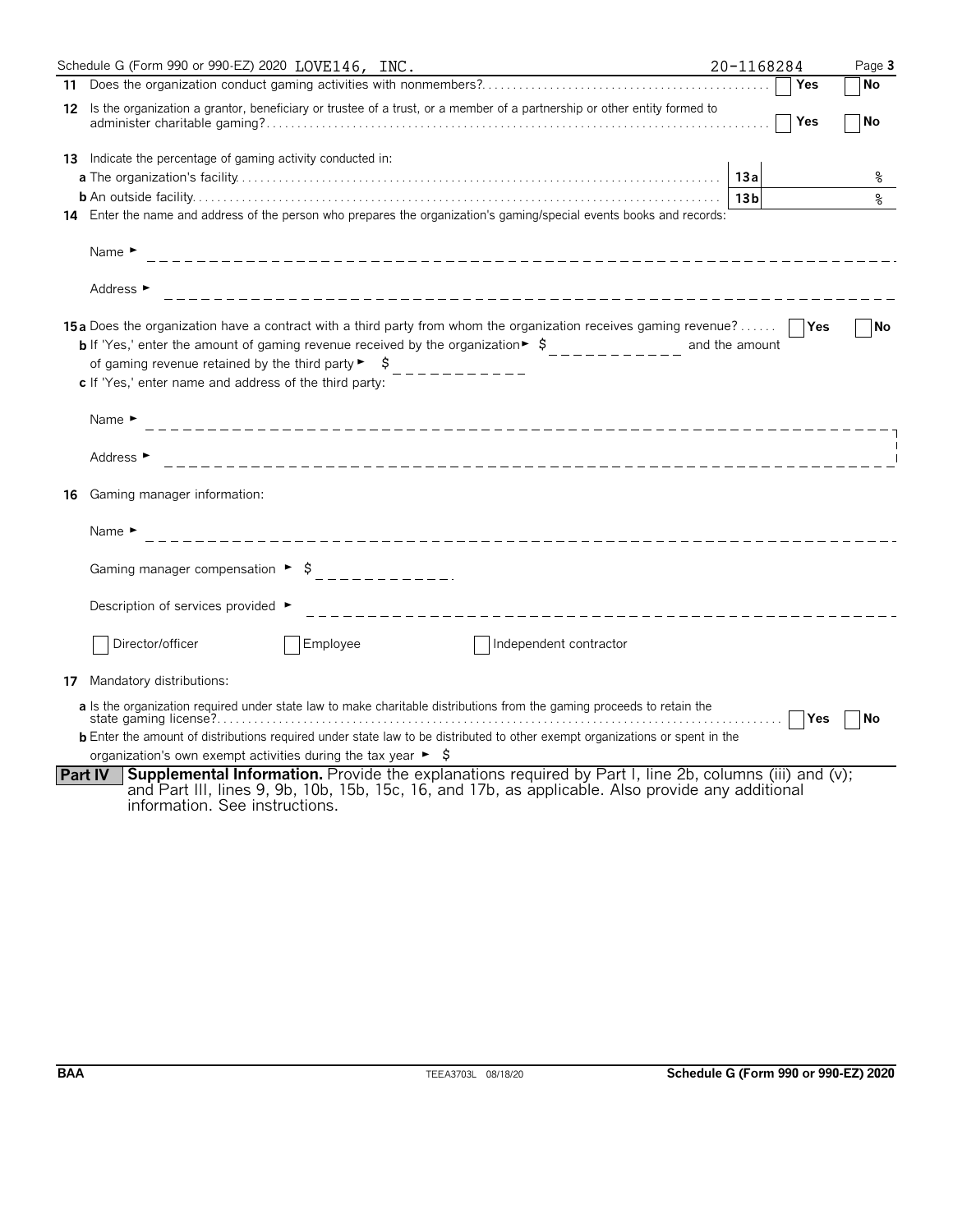|    | Schedule G (Form 990 or 990-EZ) 2020 LOVE146, INC.                                                                                                                                                                                                                             | 20-1168284      |        | Page 3    |
|----|--------------------------------------------------------------------------------------------------------------------------------------------------------------------------------------------------------------------------------------------------------------------------------|-----------------|--------|-----------|
|    |                                                                                                                                                                                                                                                                                |                 | Yes    | No        |
|    | 12 Is the organization a grantor, beneficiary or trustee of a trust, or a member of a partnership or other entity formed to                                                                                                                                                    |                 | Yes    | No        |
|    | <b>13</b> Indicate the percentage of gaming activity conducted in:                                                                                                                                                                                                             |                 |        |           |
|    |                                                                                                                                                                                                                                                                                | 13a             |        | ိဝ        |
|    |                                                                                                                                                                                                                                                                                | 13 <sub>b</sub> |        | နွ        |
|    | 14 Enter the name and address of the person who prepares the organization's gaming/special events books and records:                                                                                                                                                           |                 |        |           |
|    | Name $\blacktriangleright$                                                                                                                                                                                                                                                     |                 |        |           |
|    | Address ►                                                                                                                                                                                                                                                                      |                 |        |           |
|    | 15a Does the organization have a contract with a third party from whom the organization receives gaming revenue?<br><b>b</b> If 'Yes,' enter the amount of gaming revenue received by the organization $\frac{1}{2}$<br>c If 'Yes,' enter name and address of the third party: | and the amount  |        | <b>No</b> |
|    | Name $\blacktriangleright$                                                                                                                                                                                                                                                     |                 |        |           |
|    | Address ►                                                                                                                                                                                                                                                                      |                 |        |           |
| 16 | Gaming manager information:                                                                                                                                                                                                                                                    |                 |        |           |
|    | Name $\blacktriangleright$<br>__________________________________                                                                                                                                                                                                               |                 |        |           |
|    | Gaming manager compensation $\rightarrow$ \$ _____________                                                                                                                                                                                                                     |                 |        |           |
|    | Description of services provided ►<br>___________________________                                                                                                                                                                                                              |                 |        |           |
|    | Director/officer<br>Employee<br>Independent contractor                                                                                                                                                                                                                         |                 |        |           |
|    | 17 Mandatory distributions:                                                                                                                                                                                                                                                    |                 |        |           |
|    | a Is the organization required under state law to make charitable distributions from the gaming proceeds to retain the                                                                                                                                                         |                 | ∣ ∣Yes | No        |
|    | <b>b</b> Enter the amount of distributions required under state law to be distributed to other exempt organizations or spent in the                                                                                                                                            |                 |        |           |
|    | organization's own exempt activities during the tax year $\blacktriangleright$ $\blacklozenge$                                                                                                                                                                                 |                 |        |           |
|    | <b>Supplemental Information.</b> Provide the explanations required by Part I, line 2b, columns (iii) and (v);<br><b>Part IV</b><br>and Part III, lines 9, 9b, 10b, 15b, 15c, 16, and 17b, as applicable. Also provide any additional<br>information. See instructions.         |                 |        |           |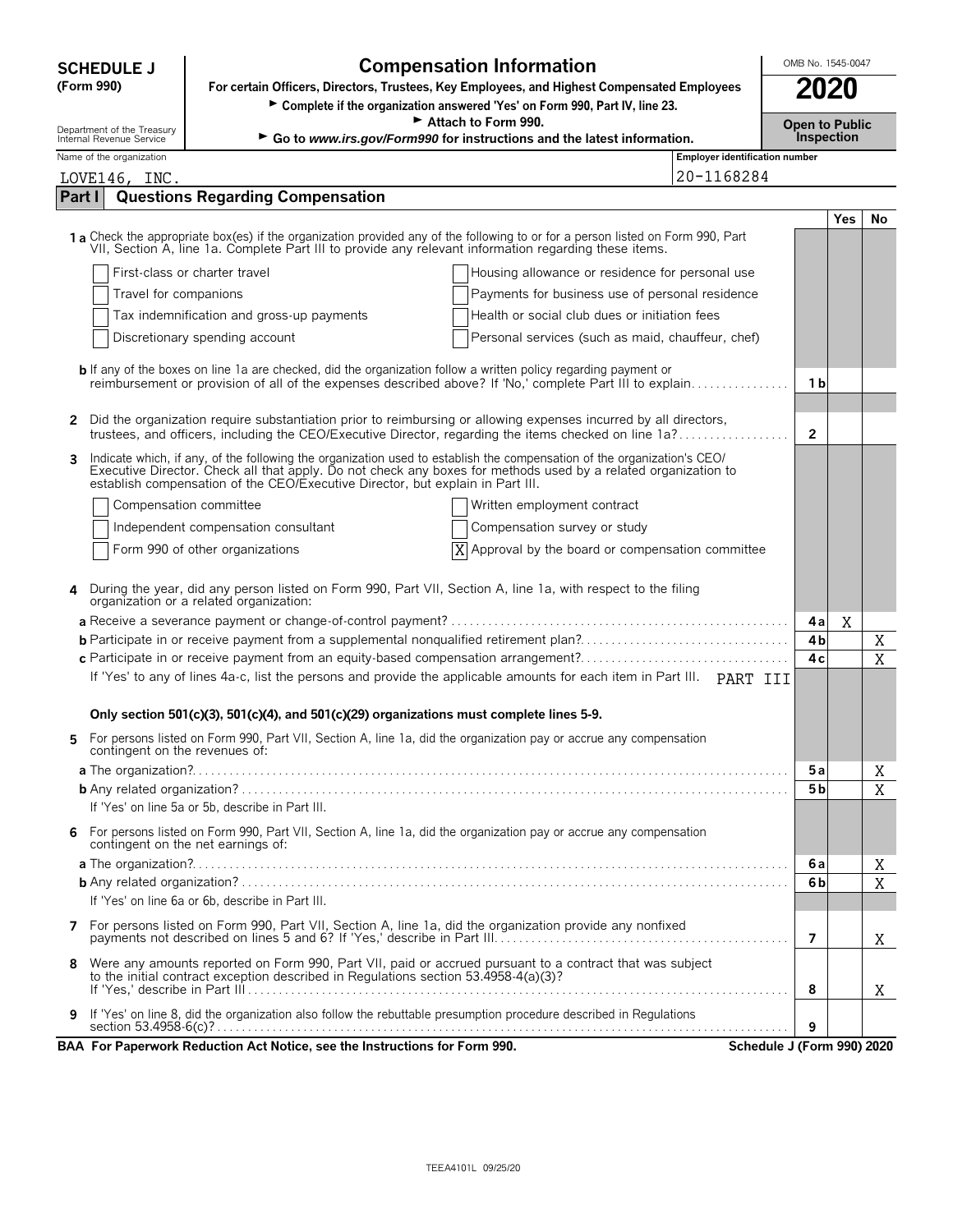|               |                                                                                                           | <b>Compensation Information</b><br><b>SCHEDULE J</b>                                                                                                                                                                                                                                                                        |                                |                       |            |           |  |  |
|---------------|-----------------------------------------------------------------------------------------------------------|-----------------------------------------------------------------------------------------------------------------------------------------------------------------------------------------------------------------------------------------------------------------------------------------------------------------------------|--------------------------------|-----------------------|------------|-----------|--|--|
|               | For certain Officers, Directors, Trustees, Key Employees, and Highest Compensated Employees<br>(Form 990) |                                                                                                                                                                                                                                                                                                                             |                                |                       |            |           |  |  |
|               |                                                                                                           | > Complete if the organization answered 'Yes' on Form 990, Part IV, line 23.                                                                                                                                                                                                                                                |                                |                       |            |           |  |  |
|               | Department of the Treasury<br>Internal Revenue Service                                                    | Attach to Form 990.                                                                                                                                                                                                                                                                                                         |                                | <b>Open to Public</b> |            |           |  |  |
|               | Name of the organization                                                                                  | Go to www.irs.gov/Form990 for instructions and the latest information.                                                                                                                                                                                                                                                      | Employer identification number | Inspection            |            |           |  |  |
|               | LOVE146, INC.                                                                                             |                                                                                                                                                                                                                                                                                                                             | 20-1168284                     |                       |            |           |  |  |
| <b>Part I</b> |                                                                                                           | <b>Questions Regarding Compensation</b>                                                                                                                                                                                                                                                                                     |                                |                       |            |           |  |  |
|               |                                                                                                           |                                                                                                                                                                                                                                                                                                                             |                                |                       | <b>Yes</b> | <b>No</b> |  |  |
|               |                                                                                                           | 1a Check the appropriate box(es) if the organization provided any of the following to or for a person listed on Form 990, Part<br>VII, Section A, line 1a. Complete Part III to provide any relevant information regarding these items.                                                                                     |                                |                       |            |           |  |  |
|               |                                                                                                           | First-class or charter travel<br>Housing allowance or residence for personal use                                                                                                                                                                                                                                            |                                |                       |            |           |  |  |
|               | Travel for companions                                                                                     | Payments for business use of personal residence                                                                                                                                                                                                                                                                             |                                |                       |            |           |  |  |
|               |                                                                                                           | Tax indemnification and gross-up payments<br>Health or social club dues or initiation fees                                                                                                                                                                                                                                  |                                |                       |            |           |  |  |
|               |                                                                                                           | Discretionary spending account<br>Personal services (such as maid, chauffeur, chef)                                                                                                                                                                                                                                         |                                |                       |            |           |  |  |
|               |                                                                                                           |                                                                                                                                                                                                                                                                                                                             |                                |                       |            |           |  |  |
|               |                                                                                                           | <b>b</b> If any of the boxes on line 1a are checked, did the organization follow a written policy regarding payment or<br>reimbursement or provision of all of the expenses described above? If 'No,' complete Part III to explain                                                                                          |                                | 1 b                   |            |           |  |  |
|               |                                                                                                           |                                                                                                                                                                                                                                                                                                                             |                                |                       |            |           |  |  |
| 2             |                                                                                                           | Did the organization require substantiation prior to reimbursing or allowing expenses incurred by all directors,                                                                                                                                                                                                            |                                |                       |            |           |  |  |
|               |                                                                                                           | trustees, and officers, including the CEO/Executive Director, regarding the items checked on line 1a?                                                                                                                                                                                                                       |                                | $\overline{2}$        |            |           |  |  |
| 3             |                                                                                                           | Indicate which, if any, of the following the organization used to establish the compensation of the organization's CEO/<br>Executive Director. Check all that apply. Do not check any boxes for methods used by a related organization to<br>establish compensation of the CEO/Executive Director, but explain in Part III. |                                |                       |            |           |  |  |
|               |                                                                                                           | Compensation committee<br>Written employment contract                                                                                                                                                                                                                                                                       |                                |                       |            |           |  |  |
|               |                                                                                                           | Independent compensation consultant<br>Compensation survey or study                                                                                                                                                                                                                                                         |                                |                       |            |           |  |  |
|               |                                                                                                           | Form 990 of other organizations<br>Approval by the board or compensation committee<br>X                                                                                                                                                                                                                                     |                                |                       |            |           |  |  |
|               |                                                                                                           |                                                                                                                                                                                                                                                                                                                             |                                |                       |            |           |  |  |
|               |                                                                                                           | During the year, did any person listed on Form 990, Part VII, Section A, line 1a, with respect to the filing<br>organization or a related organization:                                                                                                                                                                     |                                |                       |            |           |  |  |
|               |                                                                                                           |                                                                                                                                                                                                                                                                                                                             |                                | 4a                    | X          |           |  |  |
|               |                                                                                                           | <b>b</b> Participate in or receive payment from a supplemental nonqualified retirement plan?                                                                                                                                                                                                                                |                                | 4b                    |            | Χ         |  |  |
|               |                                                                                                           | c Participate in or receive payment from an equity-based compensation arrangement?                                                                                                                                                                                                                                          |                                | 4c                    |            | X         |  |  |
|               |                                                                                                           | If 'Yes' to any of lines 4a-c, list the persons and provide the applicable amounts for each item in Part III. PART III                                                                                                                                                                                                      |                                |                       |            |           |  |  |
|               |                                                                                                           | Only section 501(c)(3), 501(c)(4), and 501(c)(29) organizations must complete lines 5-9.                                                                                                                                                                                                                                    |                                |                       |            |           |  |  |
|               | contingent on the revenues of:                                                                            | For persons listed on Form 990, Part VII, Section A, line 1a, did the organization pay or accrue any compensation                                                                                                                                                                                                           |                                |                       |            |           |  |  |
|               |                                                                                                           |                                                                                                                                                                                                                                                                                                                             |                                | 5a                    |            | Χ         |  |  |
|               |                                                                                                           |                                                                                                                                                                                                                                                                                                                             |                                | 5 <sub>b</sub>        |            | X         |  |  |
|               |                                                                                                           | If 'Yes' on line 5a or 5b, describe in Part III.                                                                                                                                                                                                                                                                            |                                |                       |            |           |  |  |
| 6             |                                                                                                           | For persons listed on Form 990, Part VII, Section A, line 1a, did the organization pay or accrue any compensation<br>contingent on the net earnings of:                                                                                                                                                                     |                                |                       |            |           |  |  |
|               |                                                                                                           |                                                                                                                                                                                                                                                                                                                             |                                | 6a                    |            | Χ         |  |  |
|               |                                                                                                           |                                                                                                                                                                                                                                                                                                                             |                                | 6 <sub>b</sub>        |            | X         |  |  |
|               |                                                                                                           | If 'Yes' on line 6a or 6b, describe in Part III.                                                                                                                                                                                                                                                                            |                                |                       |            |           |  |  |
|               |                                                                                                           |                                                                                                                                                                                                                                                                                                                             |                                | 7                     |            | X         |  |  |
| 8             |                                                                                                           | Were any amounts reported on Form 990, Part VII, paid or accrued pursuant to a contract that was subject                                                                                                                                                                                                                    |                                |                       |            |           |  |  |
|               |                                                                                                           | to the initial contract exception described in Regulations section 53.4958-4(a)(3)?                                                                                                                                                                                                                                         |                                | 8                     |            | X         |  |  |
|               |                                                                                                           | If 'Yes' on line 8, did the organization also follow the rebuttable presumption procedure described in Regulations                                                                                                                                                                                                          |                                |                       |            |           |  |  |
| 9             |                                                                                                           |                                                                                                                                                                                                                                                                                                                             |                                | 9                     |            |           |  |  |
|               |                                                                                                           | BAA For Paperwork Reduction Act Notice, see the Instructions for Form 990.                                                                                                                                                                                                                                                  | Schedule J (Form 990) 2020     |                       |            |           |  |  |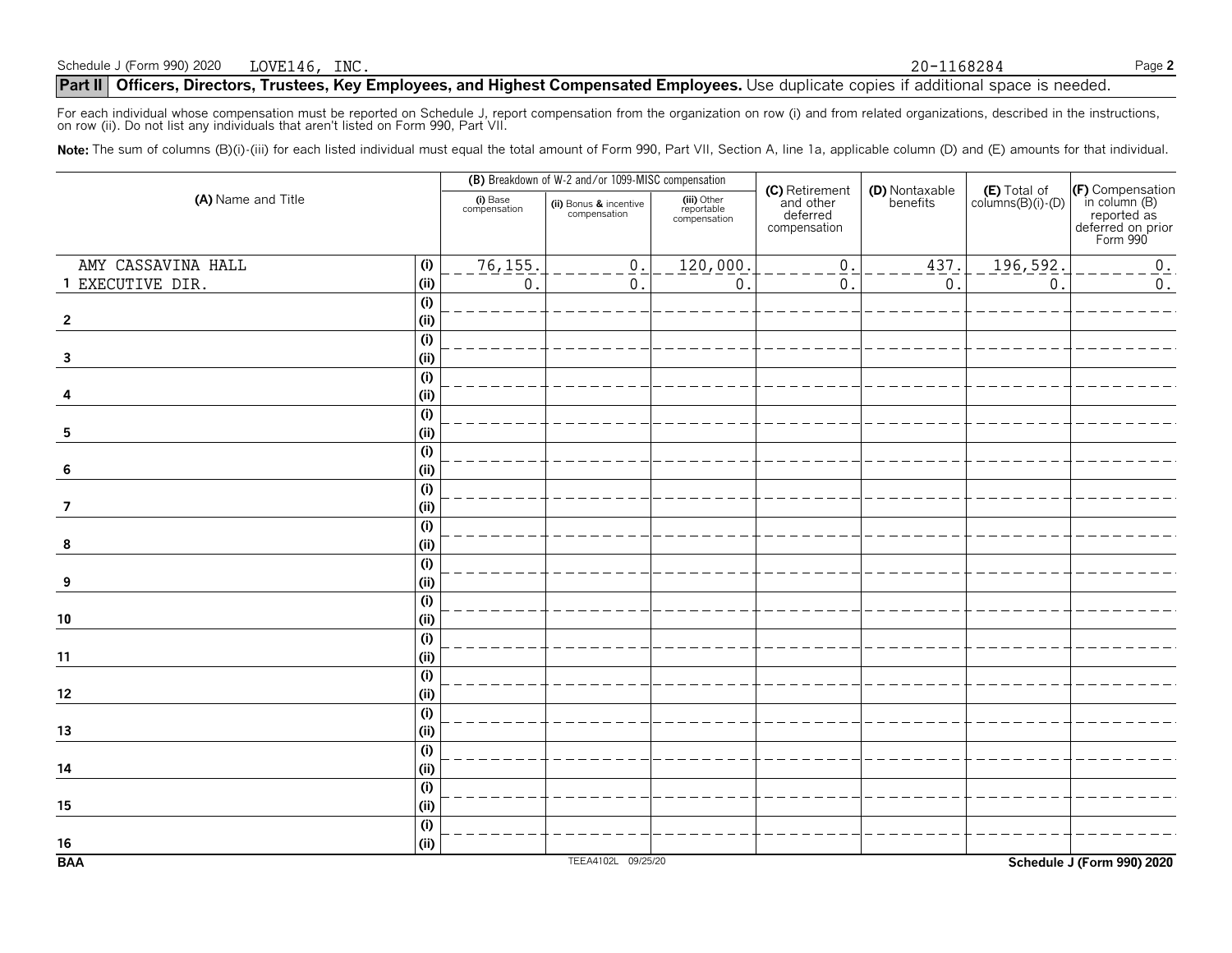**Part II** Officers, Directors, Trustees, Key Employees, and Highest Compensated Employees. Use duplicate copies if additional space is needed.

For each individual whose compensation must be reported on Schedule J, report compensation from the organization on row (i) and from related organizations, described in the instructions, on row (ii). Do not list any individuals that aren't listed on Form 990, Part VII.

Note: The sum of columns (B)(i)-(iii) for each listed individual must equal the total amount of Form 990, Part VII, Section A, line 1a, applicable column (D) and (E) amounts for that individual.

|                         |                           |                          | (B) Breakdown of W-2 and/or 1099-MISC compensation |                                           |                                                         |                            |                                            |                                                                                   |
|-------------------------|---------------------------|--------------------------|----------------------------------------------------|-------------------------------------------|---------------------------------------------------------|----------------------------|--------------------------------------------|-----------------------------------------------------------------------------------|
| (A) Name and Title      |                           | (i) Base<br>compensation | (ii) Bonus & incentive<br>compensation             | (iii) Other<br>reportable<br>compensation | (C) Retirement<br>and other<br>deferred<br>compensation | (D) Nontaxable<br>benefits | $(E)$ Total of<br>columns $(B)(i)$ - $(D)$ | (F) Compensation<br>in column (B)<br>reported as<br>deferred on prior<br>Form 990 |
| AMY CASSAVINA HALL      | (i)                       | 76, 155.                 | $\underline{0}$ .                                  | 120,000.                                  | $\boldsymbol{0}$ .                                      | 437.                       | 196,592.                                   | 0.                                                                                |
| 1 EXECUTIVE DIR.        | (i)                       | $\mathsf{O}$             | $\overline{0}$ .                                   | $\boldsymbol{0}$                          | $\mathbf{0}$ .                                          | $\,0$ .                    | $\boldsymbol{0}$                           | $0$ .                                                                             |
|                         | (i)                       |                          |                                                    |                                           |                                                         |                            |                                            |                                                                                   |
| $\overline{2}$          | (i)                       |                          |                                                    |                                           |                                                         |                            |                                            |                                                                                   |
|                         | (i)                       |                          |                                                    |                                           |                                                         |                            |                                            |                                                                                   |
| $\overline{\mathbf{3}}$ | (i)                       |                          |                                                    |                                           |                                                         |                            |                                            |                                                                                   |
|                         | (i)                       |                          |                                                    |                                           |                                                         |                            |                                            |                                                                                   |
|                         | (i)                       |                          |                                                    |                                           |                                                         |                            |                                            |                                                                                   |
|                         | (i)                       |                          |                                                    |                                           |                                                         |                            |                                            |                                                                                   |
| 5                       | (i)                       |                          |                                                    |                                           |                                                         |                            |                                            |                                                                                   |
|                         | (i)                       |                          |                                                    |                                           |                                                         |                            |                                            |                                                                                   |
| 6                       | (i)                       |                          |                                                    |                                           |                                                         |                            |                                            |                                                                                   |
|                         | $\overline{(\mathsf{i})}$ |                          |                                                    |                                           |                                                         |                            |                                            |                                                                                   |
| $\overline{7}$          | (i)                       |                          |                                                    |                                           |                                                         |                            |                                            |                                                                                   |
|                         | (i)                       |                          |                                                    |                                           |                                                         |                            |                                            |                                                                                   |
| 8                       | (i)                       |                          |                                                    |                                           |                                                         |                            |                                            |                                                                                   |
|                         | (i)                       |                          |                                                    |                                           |                                                         |                            |                                            |                                                                                   |
| 9                       | (i)                       |                          |                                                    |                                           |                                                         |                            |                                            |                                                                                   |
|                         | $\overline{(\mathsf{i})}$ |                          |                                                    |                                           |                                                         |                            |                                            |                                                                                   |
| ${\bf 10}$              | (i)                       |                          |                                                    |                                           |                                                         |                            |                                            |                                                                                   |
|                         | $\overline{(\mathsf{i})}$ |                          |                                                    |                                           |                                                         |                            |                                            |                                                                                   |
| 11                      | (i)                       |                          |                                                    |                                           |                                                         |                            |                                            |                                                                                   |
|                         | $\overline{(\mathsf{i})}$ |                          |                                                    |                                           |                                                         |                            |                                            |                                                                                   |
| $12\,$                  | (i)                       |                          |                                                    |                                           |                                                         |                            |                                            |                                                                                   |
|                         | (i)                       |                          |                                                    |                                           |                                                         |                            |                                            |                                                                                   |
| 13                      | (i)                       |                          |                                                    |                                           |                                                         |                            |                                            |                                                                                   |
|                         | $\overline{(\mathsf{i})}$ |                          |                                                    |                                           |                                                         |                            |                                            |                                                                                   |
| 14                      | (i)                       |                          |                                                    |                                           |                                                         |                            |                                            |                                                                                   |
|                         | (i)                       |                          |                                                    |                                           |                                                         |                            |                                            |                                                                                   |
| 15                      | (i)                       |                          |                                                    |                                           |                                                         |                            |                                            |                                                                                   |
|                         | (i)                       |                          |                                                    |                                           |                                                         |                            |                                            |                                                                                   |
| 16                      | (i)                       |                          |                                                    |                                           |                                                         |                            |                                            |                                                                                   |
| <b>BAA</b>              |                           |                          | TEEA4102L 09/25/20                                 |                                           |                                                         |                            |                                            | Schedule J (Form 990) 2020                                                        |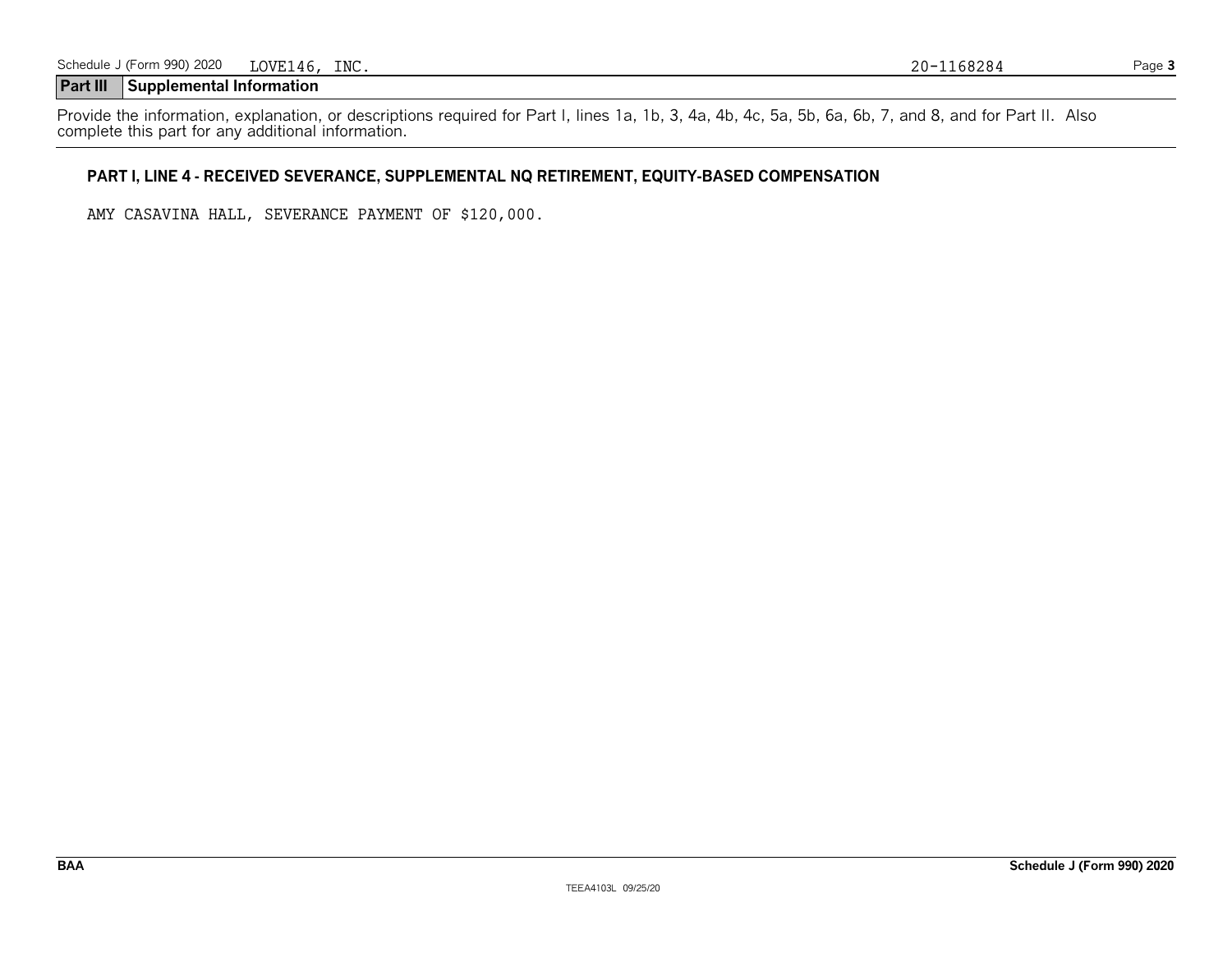### **Part III Supplemental Information**

Provide the information, explanation, or descriptions required for Part I, lines 1a, 1b, 3, 4a, 4b, 4c, 5a, 5b, 6a, 6b, 7, and 8, and for Part II. Also complete this part for any additional information.

#### **PART I, LINE 4 - RECEIVED SEVERANCE, SUPPLEMENTAL NQ RETIREMENT, EQUITY-BASED COMPENSATION**

AMY CASAVINA HALL, SEVERANCE PAYMENT OF \$120,000.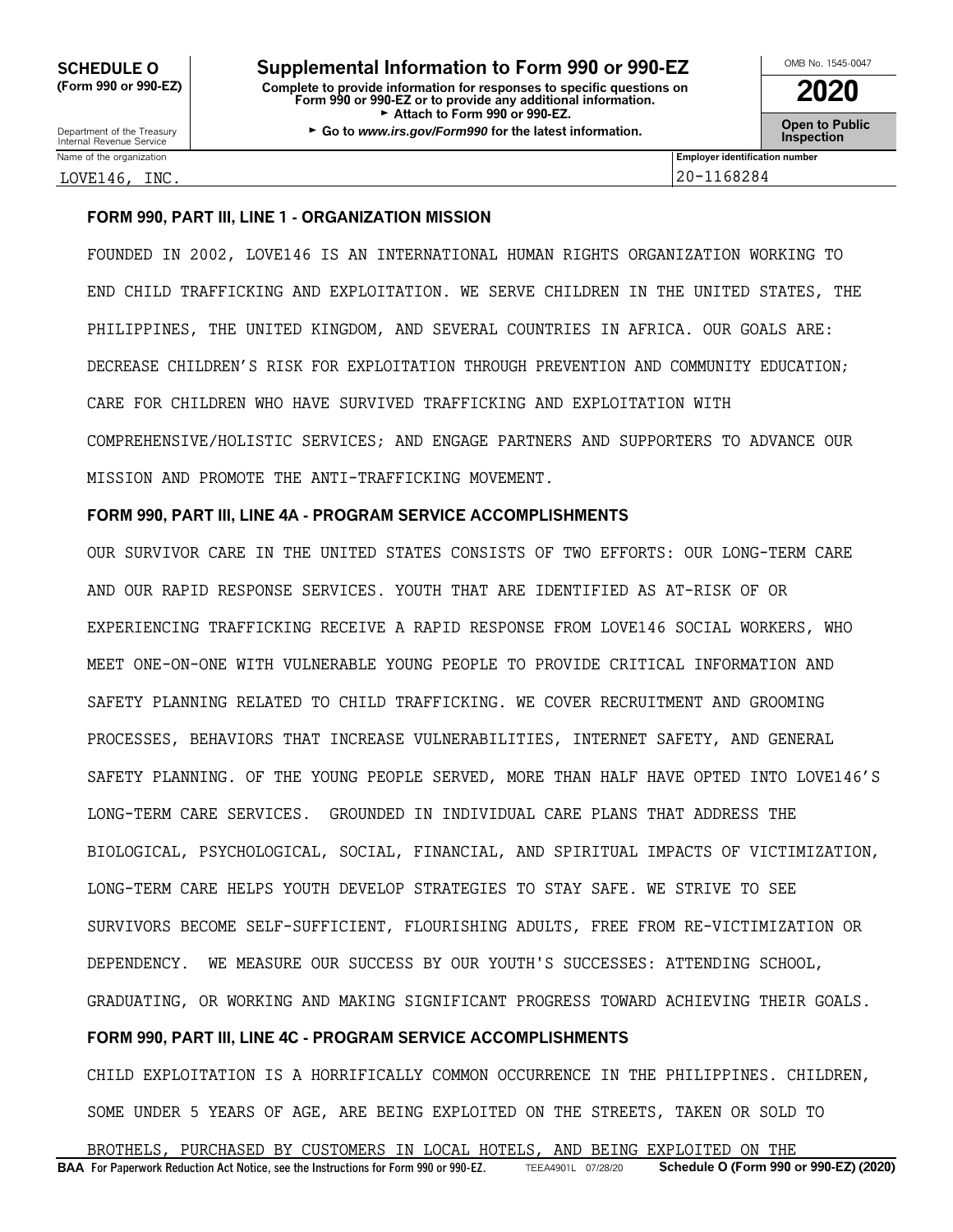Department of the Treasury **Constant Comment of the Collam Constant Constant Constant Comment Constant Constant<br>Internal Revenue Service <b>Inspection** 

Name of the organization **Employer identification number Employer identification number** 

LOVE146, INC. 20-1168284

#### **FORM 990, PART III, LINE 1 - ORGANIZATION MISSION**

FOUNDED IN 2002, LOVE146 IS AN INTERNATIONAL HUMAN RIGHTS ORGANIZATION WORKING TO END CHILD TRAFFICKING AND EXPLOITATION. WE SERVE CHILDREN IN THE UNITED STATES, THE PHILIPPINES, THE UNITED KINGDOM, AND SEVERAL COUNTRIES IN AFRICA. OUR GOALS ARE: DECREASE CHILDREN'S RISK FOR EXPLOITATION THROUGH PREVENTION AND COMMUNITY EDUCATION; CARE FOR CHILDREN WHO HAVE SURVIVED TRAFFICKING AND EXPLOITATION WITH COMPREHENSIVE/HOLISTIC SERVICES; AND ENGAGE PARTNERS AND SUPPORTERS TO ADVANCE OUR MISSION AND PROMOTE THE ANTI-TRAFFICKING MOVEMENT.

#### **FORM 990, PART III, LINE 4A - PROGRAM SERVICE ACCOMPLISHMENTS**

OUR SURVIVOR CARE IN THE UNITED STATES CONSISTS OF TWO EFFORTS: OUR LONG-TERM CARE AND OUR RAPID RESPONSE SERVICES. YOUTH THAT ARE IDENTIFIED AS AT-RISK OF OR EXPERIENCING TRAFFICKING RECEIVE A RAPID RESPONSE FROM LOVE146 SOCIAL WORKERS, WHO MEET ONE-ON-ONE WITH VULNERABLE YOUNG PEOPLE TO PROVIDE CRITICAL INFORMATION AND SAFETY PLANNING RELATED TO CHILD TRAFFICKING. WE COVER RECRUITMENT AND GROOMING PROCESSES, BEHAVIORS THAT INCREASE VULNERABILITIES, INTERNET SAFETY, AND GENERAL SAFETY PLANNING. OF THE YOUNG PEOPLE SERVED, MORE THAN HALF HAVE OPTED INTO LOVE146'S LONG-TERM CARE SERVICES. GROUNDED IN INDIVIDUAL CARE PLANS THAT ADDRESS THE BIOLOGICAL, PSYCHOLOGICAL, SOCIAL, FINANCIAL, AND SPIRITUAL IMPACTS OF VICTIMIZATION, LONG-TERM CARE HELPS YOUTH DEVELOP STRATEGIES TO STAY SAFE. WE STRIVE TO SEE SURVIVORS BECOME SELF-SUFFICIENT, FLOURISHING ADULTS, FREE FROM RE-VICTIMIZATION OR DEPENDENCY. WE MEASURE OUR SUCCESS BY OUR YOUTH'S SUCCESSES: ATTENDING SCHOOL, GRADUATING, OR WORKING AND MAKING SIGNIFICANT PROGRESS TOWARD ACHIEVING THEIR GOALS. **FORM 990, PART III, LINE 4C - PROGRAM SERVICE ACCOMPLISHMENTS**

CHILD EXPLOITATION IS A HORRIFICALLY COMMON OCCURRENCE IN THE PHILIPPINES. CHILDREN, SOME UNDER 5 YEARS OF AGE, ARE BEING EXPLOITED ON THE STREETS, TAKEN OR SOLD TO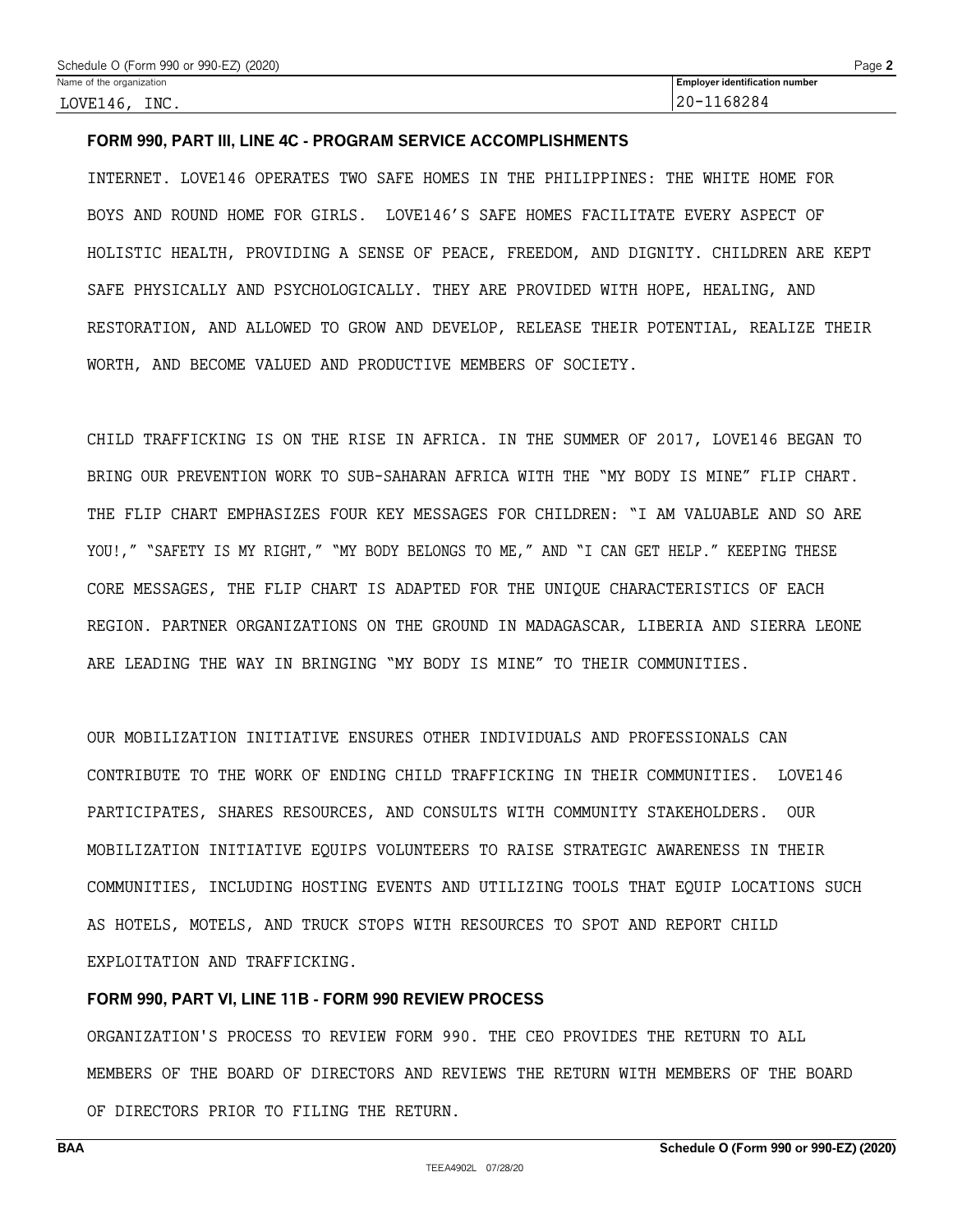#### **FORM 990, PART III, LINE 4C - PROGRAM SERVICE ACCOMPLISHMENTS**

INTERNET. LOVE146 OPERATES TWO SAFE HOMES IN THE PHILIPPINES: THE WHITE HOME FOR BOYS AND ROUND HOME FOR GIRLS. LOVE146'S SAFE HOMES FACILITATE EVERY ASPECT OF HOLISTIC HEALTH, PROVIDING A SENSE OF PEACE, FREEDOM, AND DIGNITY. CHILDREN ARE KEPT SAFE PHYSICALLY AND PSYCHOLOGICALLY. THEY ARE PROVIDED WITH HOPE, HEALING, AND RESTORATION, AND ALLOWED TO GROW AND DEVELOP, RELEASE THEIR POTENTIAL, REALIZE THEIR WORTH, AND BECOME VALUED AND PRODUCTIVE MEMBERS OF SOCIETY.

CHILD TRAFFICKING IS ON THE RISE IN AFRICA. IN THE SUMMER OF 2017, LOVE146 BEGAN TO BRING OUR PREVENTION WORK TO SUB-SAHARAN AFRICA WITH THE "MY BODY IS MINE" FLIP CHART. THE FLIP CHART EMPHASIZES FOUR KEY MESSAGES FOR CHILDREN: "I AM VALUABLE AND SO ARE YOU!," "SAFETY IS MY RIGHT," "MY BODY BELONGS TO ME," AND "I CAN GET HELP." KEEPING THESE CORE MESSAGES, THE FLIP CHART IS ADAPTED FOR THE UNIQUE CHARACTERISTICS OF EACH REGION. PARTNER ORGANIZATIONS ON THE GROUND IN MADAGASCAR, LIBERIA AND SIERRA LEONE ARE LEADING THE WAY IN BRINGING "MY BODY IS MINE" TO THEIR COMMUNITIES.

OUR MOBILIZATION INITIATIVE ENSURES OTHER INDIVIDUALS AND PROFESSIONALS CAN CONTRIBUTE TO THE WORK OF ENDING CHILD TRAFFICKING IN THEIR COMMUNITIES. LOVE146 PARTICIPATES, SHARES RESOURCES, AND CONSULTS WITH COMMUNITY STAKEHOLDERS. OUR MOBILIZATION INITIATIVE EQUIPS VOLUNTEERS TO RAISE STRATEGIC AWARENESS IN THEIR COMMUNITIES, INCLUDING HOSTING EVENTS AND UTILIZING TOOLS THAT EQUIP LOCATIONS SUCH AS HOTELS, MOTELS, AND TRUCK STOPS WITH RESOURCES TO SPOT AND REPORT CHILD EXPLOITATION AND TRAFFICKING.

#### **FORM 990, PART VI, LINE 11B - FORM 990 REVIEW PROCESS**

ORGANIZATION'S PROCESS TO REVIEW FORM 990. THE CEO PROVIDES THE RETURN TO ALL MEMBERS OF THE BOARD OF DIRECTORS AND REVIEWS THE RETURN WITH MEMBERS OF THE BOARD OF DIRECTORS PRIOR TO FILING THE RETURN.